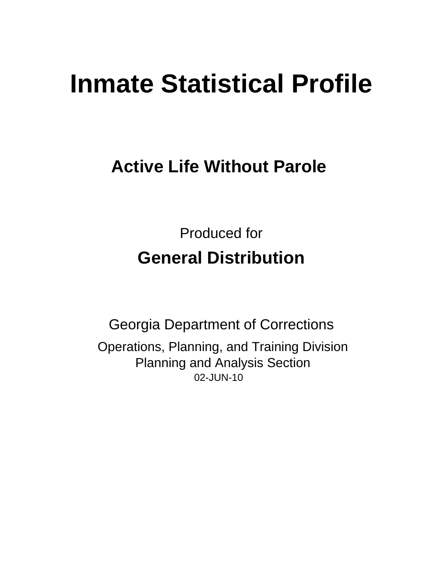# **Inmate Statistical Profile**

## **Active Life Without Parole**

**Produced for General Distribution** 

**Georgia Department of Corrections** Operations, Planning, and Training Division **Planning and Analysis Section** 02-JUN-10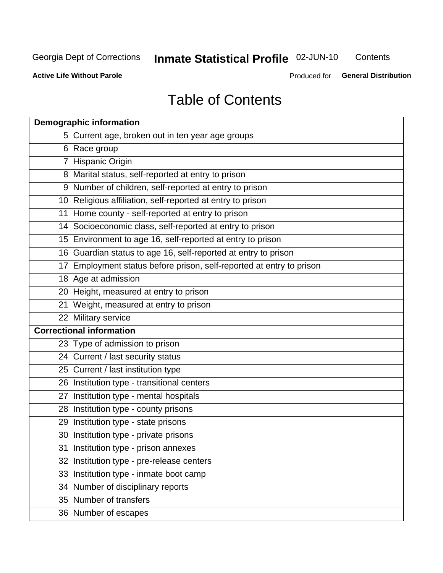## **Inmate Statistical Profile 02-JUN-10**

Contents

**Active Life Without Parole** 

Produced for General Distribution

## **Table of Contents**

|    | <b>Demographic information</b>                                       |
|----|----------------------------------------------------------------------|
|    | 5 Current age, broken out in ten year age groups                     |
|    | 6 Race group                                                         |
|    | 7 Hispanic Origin                                                    |
|    | 8 Marital status, self-reported at entry to prison                   |
|    | 9 Number of children, self-reported at entry to prison               |
|    | 10 Religious affiliation, self-reported at entry to prison           |
|    | 11 Home county - self-reported at entry to prison                    |
|    | 14 Socioeconomic class, self-reported at entry to prison             |
|    | 15 Environment to age 16, self-reported at entry to prison           |
|    | 16 Guardian status to age 16, self-reported at entry to prison       |
|    | 17 Employment status before prison, self-reported at entry to prison |
|    | 18 Age at admission                                                  |
|    | 20 Height, measured at entry to prison                               |
|    | 21 Weight, measured at entry to prison                               |
|    | 22 Military service                                                  |
|    | <b>Correctional information</b>                                      |
|    | 23 Type of admission to prison                                       |
|    | 24 Current / last security status                                    |
|    | 25 Current / last institution type                                   |
|    | 26 Institution type - transitional centers                           |
| 27 | Institution type - mental hospitals                                  |
|    | 28 Institution type - county prisons                                 |
|    | 29 Institution type - state prisons                                  |
|    | 30 Institution type - private prisons                                |
|    | 31 Institution type - prison annexes                                 |
|    | 32 Institution type - pre-release centers                            |
|    | 33 Institution type - inmate boot camp                               |
|    | 34 Number of disciplinary reports                                    |
|    | 35 Number of transfers                                               |
|    | 36 Number of escapes                                                 |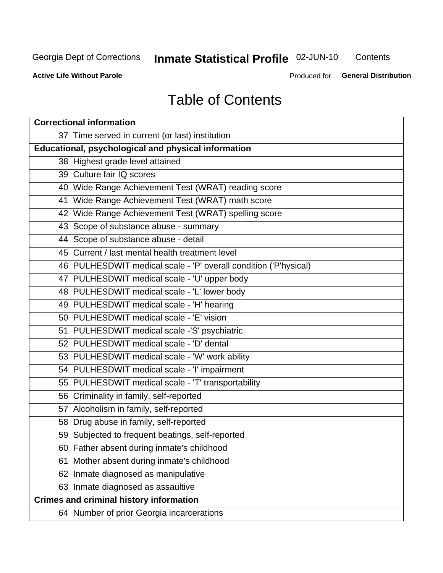## Inmate Statistical Profile 02-JUN-10

Contents

**Active Life Without Parole** 

Produced for General Distribution

## **Table of Contents**

| <b>Correctional information</b>                                  |  |  |  |  |  |  |  |
|------------------------------------------------------------------|--|--|--|--|--|--|--|
| 37 Time served in current (or last) institution                  |  |  |  |  |  |  |  |
| Educational, psychological and physical information              |  |  |  |  |  |  |  |
| 38 Highest grade level attained                                  |  |  |  |  |  |  |  |
| 39 Culture fair IQ scores                                        |  |  |  |  |  |  |  |
| 40 Wide Range Achievement Test (WRAT) reading score              |  |  |  |  |  |  |  |
| 41 Wide Range Achievement Test (WRAT) math score                 |  |  |  |  |  |  |  |
| 42 Wide Range Achievement Test (WRAT) spelling score             |  |  |  |  |  |  |  |
| 43 Scope of substance abuse - summary                            |  |  |  |  |  |  |  |
| 44 Scope of substance abuse - detail                             |  |  |  |  |  |  |  |
| 45 Current / last mental health treatment level                  |  |  |  |  |  |  |  |
| 46 PULHESDWIT medical scale - 'P' overall condition ('P'hysical) |  |  |  |  |  |  |  |
| 47 PULHESDWIT medical scale - 'U' upper body                     |  |  |  |  |  |  |  |
| 48 PULHESDWIT medical scale - 'L' lower body                     |  |  |  |  |  |  |  |
| 49 PULHESDWIT medical scale - 'H' hearing                        |  |  |  |  |  |  |  |
| 50 PULHESDWIT medical scale - 'E' vision                         |  |  |  |  |  |  |  |
| 51 PULHESDWIT medical scale -'S' psychiatric                     |  |  |  |  |  |  |  |
| 52 PULHESDWIT medical scale - 'D' dental                         |  |  |  |  |  |  |  |
| 53 PULHESDWIT medical scale - 'W' work ability                   |  |  |  |  |  |  |  |
| 54 PULHESDWIT medical scale - 'I' impairment                     |  |  |  |  |  |  |  |
| 55 PULHESDWIT medical scale - 'T' transportability               |  |  |  |  |  |  |  |
| 56 Criminality in family, self-reported                          |  |  |  |  |  |  |  |
| 57 Alcoholism in family, self-reported                           |  |  |  |  |  |  |  |
| 58 Drug abuse in family, self-reported                           |  |  |  |  |  |  |  |
| 59 Subjected to frequent beatings, self-reported                 |  |  |  |  |  |  |  |
| 60 Father absent during inmate's childhood                       |  |  |  |  |  |  |  |
| Mother absent during inmate's childhood<br>61                    |  |  |  |  |  |  |  |
| 62 Inmate diagnosed as manipulative                              |  |  |  |  |  |  |  |
| 63 Inmate diagnosed as assaultive                                |  |  |  |  |  |  |  |
| <b>Crimes and criminal history information</b>                   |  |  |  |  |  |  |  |
| 64 Number of prior Georgia incarcerations                        |  |  |  |  |  |  |  |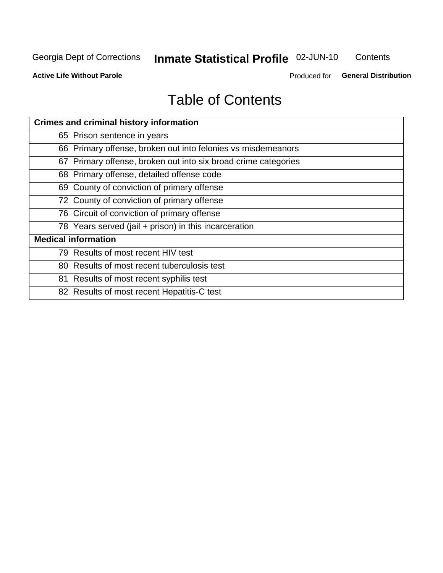## **Inmate Statistical Profile 02-JUN-10**

Contents

**Active Life Without Parole** 

Produced for General Distribution

## **Table of Contents**

| <b>Crimes and criminal history information</b>                 |
|----------------------------------------------------------------|
| 65 Prison sentence in years                                    |
| 66 Primary offense, broken out into felonies vs misdemeanors   |
| 67 Primary offense, broken out into six broad crime categories |
| 68 Primary offense, detailed offense code                      |
| 69 County of conviction of primary offense                     |
| 72 County of conviction of primary offense                     |
| 76 Circuit of conviction of primary offense                    |
| 78 Years served (jail + prison) in this incarceration          |
| <b>Medical information</b>                                     |
| 79 Results of most recent HIV test                             |
| 80 Results of most recent tuberculosis test                    |
| 81 Results of most recent syphilis test                        |
| 82 Results of most recent Hepatitis-C test                     |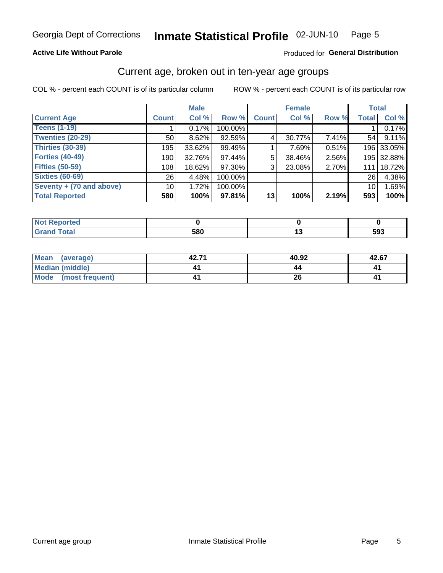#### Inmate Statistical Profile 02-JUN-10 Page 5

#### **Active Life Without Parole**

#### Produced for General Distribution

### Current age, broken out in ten-year age groups

COL % - percent each COUNT is of its particular column

|                          |              | <b>Male</b> |         |              | <b>Female</b> |          | <b>Total</b>    |            |
|--------------------------|--------------|-------------|---------|--------------|---------------|----------|-----------------|------------|
| <b>Current Age</b>       | <b>Count</b> | Col %       | Row %   | <b>Count</b> | Col %         | Row %    | <b>Total</b>    | Col %      |
| <b>Teens (1-19)</b>      |              | 0.17%       | 100.00% |              |               |          |                 | 0.17%      |
| <b>Twenties (20-29)</b>  | 50           | 8.62%       | 92.59%  | 4            | 30.77%        | $7.41\%$ | 54              | 9.11%      |
| Thirties (30-39)         | 195          | $33.62\%$   | 99.49%  |              | 7.69%         | 0.51%    |                 | 196 33.05% |
| <b>Forties (40-49)</b>   | 190          | 32.76%      | 97.44%  | 5            | 38.46%        | 2.56%    |                 | 195 32.88% |
| <b>Fifties (50-59)</b>   | 108          | 18.62%      | 97.30%  | 3            | 23.08%        | 2.70%    | 111             | 18.72%     |
| <b>Sixties (60-69)</b>   | 26           | 4.48%       | 100.00% |              |               |          | 26              | 4.38%      |
| Seventy + (70 and above) | 10           | 1.72%       | 100.00% |              |               |          | 10 <sup>1</sup> | 1.69%      |
| <b>Total Reported</b>    | 580          | 100%        | 97.81%  | 13           | 100%          | 2.19%    | 593             | 100%       |

| $-4-7$ | <b>EON</b> | $\sim$ | EN0 |
|--------|------------|--------|-----|
| _____  | JOU        |        | ວອວ |

| Mean<br>(average)       | 42.71 | 40.92 | 42.67 |
|-------------------------|-------|-------|-------|
| <b>Median (middle)</b>  |       |       |       |
| Mode<br>(most frequent) |       |       |       |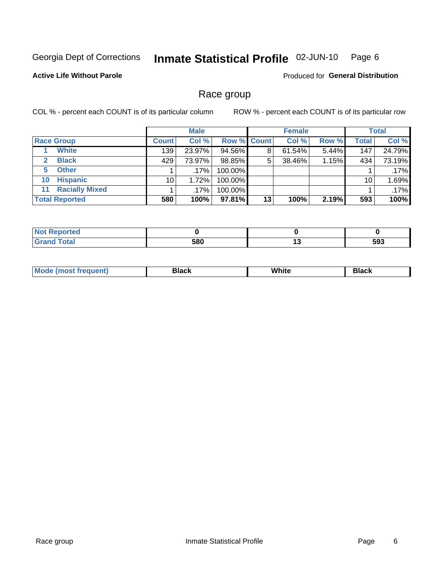#### Inmate Statistical Profile 02-JUN-10 Page 6

#### **Active Life Without Parole**

**Produced for General Distribution** 

### Race group

COL % - percent each COUNT is of its particular column

|              |                       | <b>Male</b>  |         |         | <b>Female</b>      |        |       | <b>Total</b> |        |
|--------------|-----------------------|--------------|---------|---------|--------------------|--------|-------|--------------|--------|
|              | <b>Race Group</b>     | <b>Count</b> | Col %   |         | <b>Row % Count</b> | Col %  | Row % | <b>Total</b> | Col %  |
|              | <b>White</b>          | 139          | 23.97%  | 94.56%  | 8                  | 61.54% | 5.44% | 147          | 24.79% |
| $\mathbf{2}$ | <b>Black</b>          | 429          | 73.97%  | 98.85%  | 5                  | 38.46% | 1.15% | 434          | 73.19% |
| 5.           | <b>Other</b>          |              | $.17\%$ | 100.00% |                    |        |       |              | .17%   |
| 10           | <b>Hispanic</b>       | 10           | 1.72%   | 100.00% |                    |        |       | 10           | 1.69%  |
| 11           | <b>Racially Mixed</b> |              | $.17\%$ | 100.00% |                    |        |       |              | .17%   |
|              | <b>Total Reported</b> | 580          | 100%    | 97.81%  | 13                 | 100%   | 2.19% | 593          | 100%   |

| Reported     |     |         |
|--------------|-----|---------|
| <b>Total</b> | 580 | <br>593 |

| M | .<br>w<br>$\sim$ $\sim$ $\sim$ $\sim$ | Piasn |
|---|---------------------------------------|-------|
|   |                                       |       |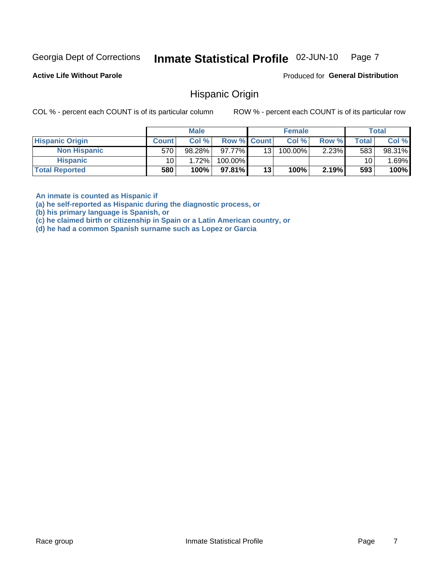#### Inmate Statistical Profile 02-JUN-10 Page 7

**Active Life Without Parole** 

Produced for General Distribution

### **Hispanic Origin**

COL % - percent each COUNT is of its particular column

ROW % - percent each COUNT is of its particular row

|                        |              | <b>Male</b> |                    |    | <b>Female</b> |          |       | <b>Total</b> |
|------------------------|--------------|-------------|--------------------|----|---------------|----------|-------|--------------|
| <b>Hispanic Origin</b> | <b>Count</b> | Col %       | <b>Row % Count</b> |    | Col %         | Row %    | Total | Col %        |
| <b>Non Hispanic</b>    | 570          | 98.28%      | $97.77\%$          | 13 | 100.00%       | $2.23\%$ | 583   | 98.31%       |
| <b>Hispanic</b>        | 10           | 1.72%       | 100.00%            |    |               |          | 10    | .69%         |
| <b>Total Reported</b>  | 580          | 100%        | $97.81\%$          | 13 | 100%          | 2.19%    | 593   | 100%         |

An inmate is counted as Hispanic if

(a) he self-reported as Hispanic during the diagnostic process, or

(b) his primary language is Spanish, or

(c) he claimed birth or citizenship in Spain or a Latin American country, or

(d) he had a common Spanish surname such as Lopez or Garcia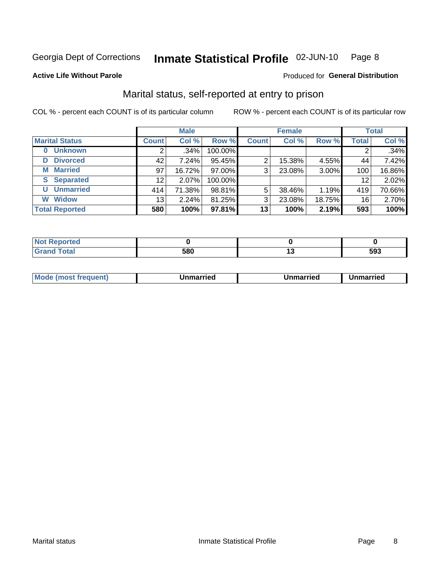#### Inmate Statistical Profile 02-JUN-10 Page 8

#### **Active Life Without Parole**

#### Produced for General Distribution

## Marital status, self-reported at entry to prison

COL % - percent each COUNT is of its particular column

|                            | <b>Male</b>  |         |         | <b>Female</b> |        |        | <b>Total</b> |        |
|----------------------------|--------------|---------|---------|---------------|--------|--------|--------------|--------|
| <b>Marital Status</b>      | <b>Count</b> | Col %   | Row %   | <b>Count</b>  | Col %  | Row %  | <b>Total</b> | Col %  |
| <b>Unknown</b><br>$\bf{0}$ |              | $.34\%$ | 100.00% |               |        |        |              | .34%   |
| <b>Divorced</b><br>D       | 42           | 7.24%   | 95.45%  | 2             | 15.38% | 4.55%  | 44           | 7.42%  |
| <b>Married</b><br>М        | 97           | 16.72%  | 97.00%  | 3             | 23.08% | 3.00%  | 100          | 16.86% |
| <b>Separated</b><br>S      | 12           | 2.07%   | 100.00% |               |        |        | 12           | 2.02%  |
| <b>Unmarried</b><br>U      | 414          | 71.38%  | 98.81%  | 5             | 38.46% | 1.19%  | 419          | 70.66% |
| <b>Widow</b><br>W          | 13           | 2.24%   | 81.25%  | 3             | 23.08% | 18.75% | 16           | 2.70%  |
| <b>Total Reported</b>      | 580          | 100%    | 97.81%  | 13            | 100%   | 2.19%  | 593          | 100%   |

| prted<br>NOT |                   |     |
|--------------|-------------------|-----|
|              | <b>EOO</b><br>JOU | 593 |

|--|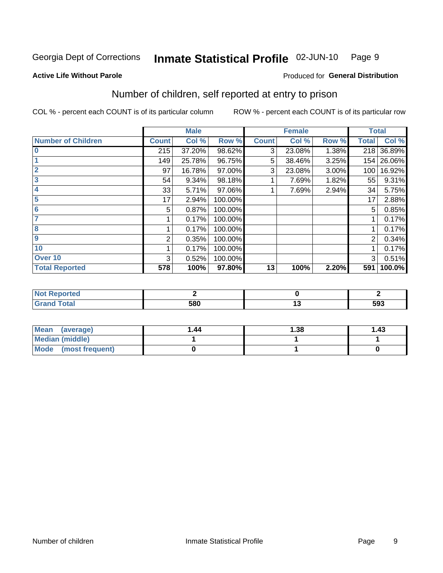#### Inmate Statistical Profile 02-JUN-10 Page 9

**Produced for General Distribution** 

#### **Active Life Without Parole**

## Number of children, self reported at entry to prison

COL % - percent each COUNT is of its particular column

|                           |              | <b>Male</b> |         |              | <b>Female</b> |       | <b>Total</b> |            |
|---------------------------|--------------|-------------|---------|--------------|---------------|-------|--------------|------------|
| <b>Number of Children</b> | <b>Count</b> | Col %       | Row %   | <b>Count</b> | Col %         | Row % | <b>Total</b> | Col %      |
| $\bf{0}$                  | 215          | 37.20%      | 98.62%  | 3            | 23.08%        | 1.38% | 218          | 36.89%     |
|                           | 149          | 25.78%      | 96.75%  | 5            | 38.46%        | 3.25% |              | 154 26.06% |
| $\overline{2}$            | 97           | 16.78%      | 97.00%  | 3            | 23.08%        | 3.00% | 100          | 16.92%     |
| 3                         | 54           | 9.34%       | 98.18%  |              | 7.69%         | 1.82% | 55           | 9.31%      |
| 4                         | 33           | 5.71%       | 97.06%  |              | 7.69%         | 2.94% | 34           | 5.75%      |
| 5                         | 17           | 2.94%       | 100.00% |              |               |       | 17           | 2.88%      |
| 6                         | 5            | 0.87%       | 100.00% |              |               |       | 5            | 0.85%      |
|                           |              | 0.17%       | 100.00% |              |               |       |              | 0.17%      |
| 8                         |              | 0.17%       | 100.00% |              |               |       |              | 0.17%      |
| 9                         | 2            | 0.35%       | 100.00% |              |               |       | 2            | 0.34%      |
| 10                        |              | 0.17%       | 100.00% |              |               |       |              | 0.17%      |
| Over 10                   | 3            | 0.52%       | 100.00% |              |               |       | 3            | 0.51%      |
| <b>Total Reported</b>     | 578          | 100%        | 97.80%  | 13           | 100%          | 2.20% | 591          | 100.0%     |

| n eo      |     |     |
|-----------|-----|-----|
| $- \cdot$ | 580 | 593 |

| Mean<br>(average)       | 1.44 | 1.38 | 1.43 |
|-------------------------|------|------|------|
| Median (middle)         |      |      |      |
| Mode<br>(most frequent) |      |      |      |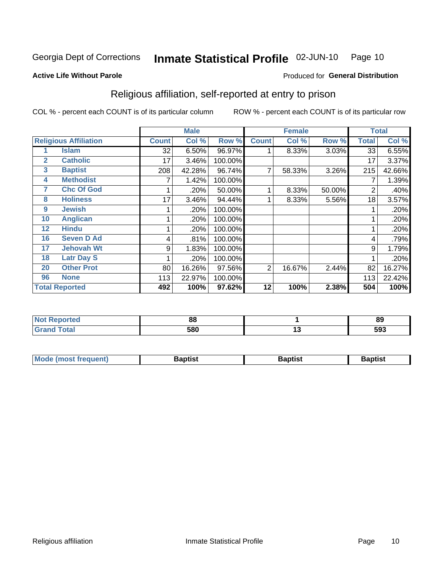#### Inmate Statistical Profile 02-JUN-10 Page 10

Produced for General Distribution

#### **Active Life Without Parole**

### Religious affiliation, self-reported at entry to prison

COL % - percent each COUNT is of its particular column

|              |                              | <b>Male</b>  |        |         | <b>Female</b>  |        | <b>Total</b> |       |        |
|--------------|------------------------------|--------------|--------|---------|----------------|--------|--------------|-------|--------|
|              | <b>Religious Affiliation</b> | <b>Count</b> | Col %  | Row %   | <b>Count</b>   | Col %  | Row %        | Total | Col %  |
|              | <b>Islam</b>                 | 32           | 6.50%  | 96.97%  |                | 8.33%  | 3.03%        | 33    | 6.55%  |
| $\mathbf{2}$ | <b>Catholic</b>              | 17           | 3.46%  | 100.00% |                |        |              | 17    | 3.37%  |
| 3            | <b>Baptist</b>               | 208          | 42.28% | 96.74%  |                | 58.33% | 3.26%        | 215   | 42.66% |
| 4            | <b>Methodist</b>             |              | 1.42%  | 100.00% |                |        |              |       | 1.39%  |
| 7            | <b>Chc Of God</b>            |              | .20%   | 50.00%  |                | 8.33%  | 50.00%       | 2     | .40%   |
| 8            | <b>Holiness</b>              | 17           | 3.46%  | 94.44%  |                | 8.33%  | 5.56%        | 18    | 3.57%  |
| 9            | <b>Jewish</b>                |              | .20%   | 100.00% |                |        |              |       | .20%   |
| 10           | <b>Anglican</b>              |              | .20%   | 100.00% |                |        |              |       | .20%   |
| 12           | <b>Hindu</b>                 |              | .20%   | 100.00% |                |        |              |       | .20%   |
| 16           | <b>Seven D Ad</b>            | 4            | .81%   | 100.00% |                |        |              | 4     | .79%   |
| 17           | <b>Jehovah Wt</b>            | 9            | 1.83%  | 100.00% |                |        |              | 9     | 1.79%  |
| 18           | <b>Latr Day S</b>            |              | .20%   | 100.00% |                |        |              |       | .20%   |
| 20           | <b>Other Prot</b>            | 80           | 16.26% | 97.56%  | $\overline{2}$ | 16.67% | 2.44%        | 82    | 16.27% |
| 96           | <b>None</b>                  | 113          | 22.97% | 100.00% |                |        |              | 113   | 22.42% |
|              | <b>Total Reported</b>        | 492          | 100%   | 97.62%  | 12             | 100%   | 2.38%        | 504   | 100%   |

| rreo<br>. | n n |    | or<br>০১ |
|-----------|-----|----|----------|
| _____     | 580 | ., | 593      |

| Mode (most frequent) | Baptist | <b>Baptist</b> | aptıst |
|----------------------|---------|----------------|--------|
|                      |         |                |        |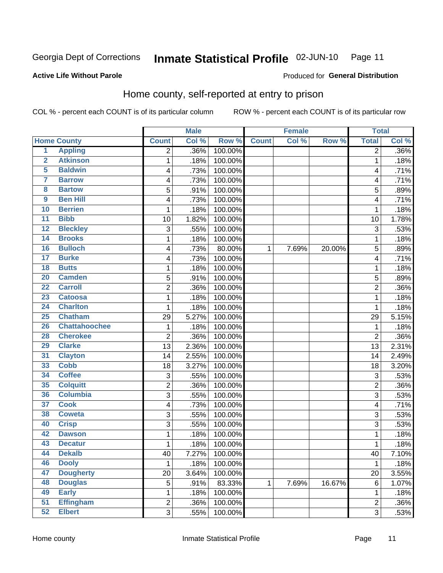#### Inmate Statistical Profile 02-JUN-10 Page 11

Produced for General Distribution

#### **Active Life Without Parole**

### Home county, self-reported at entry to prison

COL % - percent each COUNT is of its particular column

|                         |                      |                | <b>Male</b> |         |              | <b>Female</b> |        | <b>Total</b>   |         |
|-------------------------|----------------------|----------------|-------------|---------|--------------|---------------|--------|----------------|---------|
|                         | <b>Home County</b>   | <b>Count</b>   | Col %       | Row %   | <b>Count</b> | Col %         | Row %  | <b>Total</b>   | Col %   |
| $\overline{1}$          | <b>Appling</b>       | 2              | .36%        | 100.00% |              |               |        | 2              | $.36\%$ |
| $\overline{2}$          | <b>Atkinson</b>      | 1              | .18%        | 100.00% |              |               |        | 1              | .18%    |
| 5                       | <b>Baldwin</b>       | 4              | .73%        | 100.00% |              |               |        | 4              | .71%    |
| 7                       | <b>Barrow</b>        | 4              | .73%        | 100.00% |              |               |        | 4              | .71%    |
| $\overline{\mathbf{8}}$ | <b>Bartow</b>        | 5              | .91%        | 100.00% |              |               |        | 5              | .89%    |
| $\boldsymbol{9}$        | <b>Ben Hill</b>      | 4              | .73%        | 100.00% |              |               |        | 4              | .71%    |
| 10                      | <b>Berrien</b>       | 1              | .18%        | 100.00% |              |               |        | 1              | .18%    |
| $\overline{11}$         | <b>Bibb</b>          | 10             | 1.82%       | 100.00% |              |               |        | 10             | 1.78%   |
| 12                      | <b>Bleckley</b>      | 3              | .55%        | 100.00% |              |               |        | 3              | .53%    |
| 14                      | <b>Brooks</b>        | $\mathbf 1$    | .18%        | 100.00% |              |               |        | 1              | .18%    |
| 16                      | <b>Bulloch</b>       | 4              | .73%        | 80.00%  | 1            | 7.69%         | 20.00% | 5              | .89%    |
| $\overline{17}$         | <b>Burke</b>         | 4              | .73%        | 100.00% |              |               |        | 4              | .71%    |
| 18                      | <b>Butts</b>         | $\mathbf{1}$   | .18%        | 100.00% |              |               |        | 1              | .18%    |
| 20                      | <b>Camden</b>        | 5              | .91%        | 100.00% |              |               |        | 5              | .89%    |
| $\overline{22}$         | <b>Carroll</b>       | $\overline{2}$ | .36%        | 100.00% |              |               |        | $\overline{2}$ | .36%    |
| 23                      | <b>Catoosa</b>       | 1              | .18%        | 100.00% |              |               |        | 1              | .18%    |
| 24                      | <b>Charlton</b>      | $\mathbf 1$    | .18%        | 100.00% |              |               |        | 1              | .18%    |
| 25                      | <b>Chatham</b>       | 29             | 5.27%       | 100.00% |              |               |        | 29             | 5.15%   |
| 26                      | <b>Chattahoochee</b> | 1              | .18%        | 100.00% |              |               |        | 1              | .18%    |
| 28                      | <b>Cherokee</b>      | $\overline{2}$ | .36%        | 100.00% |              |               |        | $\overline{2}$ | .36%    |
| 29                      | <b>Clarke</b>        | 13             | 2.36%       | 100.00% |              |               |        | 13             | 2.31%   |
| 31                      | <b>Clayton</b>       | 14             | 2.55%       | 100.00% |              |               |        | 14             | 2.49%   |
| 33                      | <b>Cobb</b>          | 18             | 3.27%       | 100.00% |              |               |        | 18             | 3.20%   |
| 34                      | <b>Coffee</b>        | 3              | .55%        | 100.00% |              |               |        | 3              | .53%    |
| 35                      | <b>Colquitt</b>      | 2              | .36%        | 100.00% |              |               |        | 2              | .36%    |
| 36                      | <b>Columbia</b>      | $\overline{3}$ | .55%        | 100.00% |              |               |        | 3              | .53%    |
| $\overline{37}$         | <b>Cook</b>          | 4              | .73%        | 100.00% |              |               |        | 4              | .71%    |
| 38                      | <b>Coweta</b>        | 3              | .55%        | 100.00% |              |               |        | 3              | .53%    |
| 40                      | <b>Crisp</b>         | 3              | .55%        | 100.00% |              |               |        | 3              | .53%    |
| 42                      | <b>Dawson</b>        | $\mathbf{1}$   | .18%        | 100.00% |              |               |        | 1              | .18%    |
| 43                      | <b>Decatur</b>       | $\mathbf 1$    | .18%        | 100.00% |              |               |        | 1              | .18%    |
| 44                      | <b>Dekalb</b>        | 40             | 7.27%       | 100.00% |              |               |        | 40             | 7.10%   |
| 46                      | <b>Dooly</b>         | $\mathbf 1$    | .18%        | 100.00% |              |               |        | 1              | .18%    |
| 47                      | <b>Dougherty</b>     | 20             | 3.64%       | 100.00% |              |               |        | 20             | 3.55%   |
| 48                      | <b>Douglas</b>       | 5              | .91%        | 83.33%  | 1            | 7.69%         | 16.67% | 6              | 1.07%   |
| 49                      | <b>Early</b>         | $\mathbf 1$    | .18%        | 100.00% |              |               |        | 1              | .18%    |
| 51                      | <b>Effingham</b>     | $\overline{2}$ | .36%        | 100.00% |              |               |        | 2              | .36%    |
| 52                      | <b>Elbert</b>        | $\overline{3}$ | .55%        | 100.00% |              |               |        | 3              | .53%    |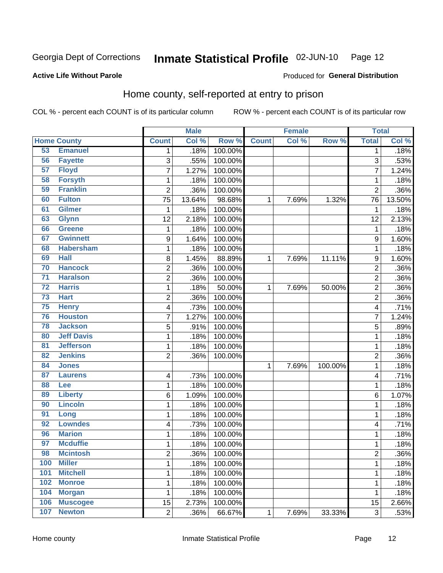#### Inmate Statistical Profile 02-JUN-10 Page 12

**Active Life Without Parole** 

#### Produced for General Distribution

## Home county, self-reported at entry to prison

COL % - percent each COUNT is of its particular column

|                 |                    |                | <b>Male</b> |         |              | <b>Female</b> |         | <b>Total</b>            |         |
|-----------------|--------------------|----------------|-------------|---------|--------------|---------------|---------|-------------------------|---------|
|                 | <b>Home County</b> | <b>Count</b>   | Col %       | Row %   | <b>Count</b> | Col %         | Row %   | <b>Total</b>            | Col %   |
| 53              | <b>Emanuel</b>     | $\mathbf 1$    | .18%        | 100.00% |              |               |         | 1                       | .18%    |
| 56              | <b>Fayette</b>     | 3              | .55%        | 100.00% |              |               |         | 3                       | .53%    |
| 57              | <b>Floyd</b>       | $\overline{7}$ | 1.27%       | 100.00% |              |               |         | 7                       | 1.24%   |
| 58              | <b>Forsyth</b>     | 1              | .18%        | 100.00% |              |               |         | 1                       | .18%    |
| 59              | <b>Franklin</b>    | $\overline{2}$ | .36%        | 100.00% |              |               |         | $\overline{2}$          | .36%    |
| 60              | <b>Fulton</b>      | 75             | 13.64%      | 98.68%  | $\mathbf{1}$ | 7.69%         | 1.32%   | 76                      | 13.50%  |
| 61              | <b>Gilmer</b>      | 1              | .18%        | 100.00% |              |               |         | 1                       | .18%    |
| 63              | <b>Glynn</b>       | 12             | 2.18%       | 100.00% |              |               |         | 12                      | 2.13%   |
| 66              | <b>Greene</b>      | $\mathbf 1$    | .18%        | 100.00% |              |               |         | 1                       | .18%    |
| 67              | <b>Gwinnett</b>    | 9              | 1.64%       | 100.00% |              |               |         | 9                       | 1.60%   |
| 68              | <b>Habersham</b>   | $\mathbf 1$    | .18%        | 100.00% |              |               |         | 1                       | .18%    |
| 69              | <b>Hall</b>        | 8              | 1.45%       | 88.89%  | 1            | 7.69%         | 11.11%  | 9                       | 1.60%   |
| 70              | <b>Hancock</b>     | $\overline{c}$ | .36%        | 100.00% |              |               |         | $\overline{\mathbf{c}}$ | .36%    |
| $\overline{71}$ | <b>Haralson</b>    | $\overline{c}$ | .36%        | 100.00% |              |               |         | $\overline{c}$          | .36%    |
| $\overline{72}$ | <b>Harris</b>      | $\mathbf{1}$   | .18%        | 50.00%  | 1            | 7.69%         | 50.00%  | $\overline{2}$          | .36%    |
| 73              | <b>Hart</b>        | 2              | .36%        | 100.00% |              |               |         | $\overline{2}$          | .36%    |
| 75              | <b>Henry</b>       | 4              | .73%        | 100.00% |              |               |         | 4                       | .71%    |
| 76              | <b>Houston</b>     | $\overline{7}$ | 1.27%       | 100.00% |              |               |         | 7                       | 1.24%   |
| 78              | <b>Jackson</b>     | 5              | .91%        | 100.00% |              |               |         | 5                       | .89%    |
| 80              | <b>Jeff Davis</b>  | $\mathbf 1$    | .18%        | 100.00% |              |               |         | 1                       | .18%    |
| 81              | <b>Jefferson</b>   | $\mathbf 1$    | .18%        | 100.00% |              |               |         | 1                       | .18%    |
| 82              | <b>Jenkins</b>     | $\overline{2}$ | .36%        | 100.00% |              |               |         | 2                       | .36%    |
| 84              | <b>Jones</b>       |                |             |         | 1            | 7.69%         | 100.00% | 1                       | .18%    |
| 87              | <b>Laurens</b>     | 4              | .73%        | 100.00% |              |               |         | 4                       | .71%    |
| 88              | Lee                | $\mathbf 1$    | .18%        | 100.00% |              |               |         | 1                       | .18%    |
| 89              | <b>Liberty</b>     | 6              | 1.09%       | 100.00% |              |               |         | 6                       | 1.07%   |
| 90              | <b>Lincoln</b>     | $\mathbf 1$    | .18%        | 100.00% |              |               |         | 1                       | .18%    |
| 91              | Long               | $\mathbf{1}$   | .18%        | 100.00% |              |               |         | 1                       | .18%    |
| 92              | <b>Lowndes</b>     | 4              | .73%        | 100.00% |              |               |         | 4                       | .71%    |
| 96              | <b>Marion</b>      | $\mathbf 1$    | .18%        | 100.00% |              |               |         | 1                       | .18%    |
| $\overline{97}$ | <b>Mcduffie</b>    | $\mathbf 1$    | .18%        | 100.00% |              |               |         | 1                       | .18%    |
| 98              | <b>Mcintosh</b>    | 2              | .36%        | 100.00% |              |               |         | $\overline{c}$          | $.36\%$ |
| 100             | <b>Miller</b>      | $\mathbf{1}$   | .18%        | 100.00% |              |               |         | 1                       | .18%    |
| 101             | <b>Mitchell</b>    | $\mathbf 1$    | .18%        | 100.00% |              |               |         | 1                       | .18%    |
| 102             | <b>Monroe</b>      | $\mathbf 1$    | .18%        | 100.00% |              |               |         | 1                       | .18%    |
| 104             | <b>Morgan</b>      | $\mathbf 1$    | .18%        | 100.00% |              |               |         | 1                       | .18%    |
| 106             | <b>Muscogee</b>    | 15             | 2.73%       | 100.00% |              |               |         | 15                      | 2.66%   |
| 107             | <b>Newton</b>      | $\overline{2}$ | .36%        | 66.67%  | $\mathbf 1$  | 7.69%         | 33.33%  | $\overline{3}$          | .53%    |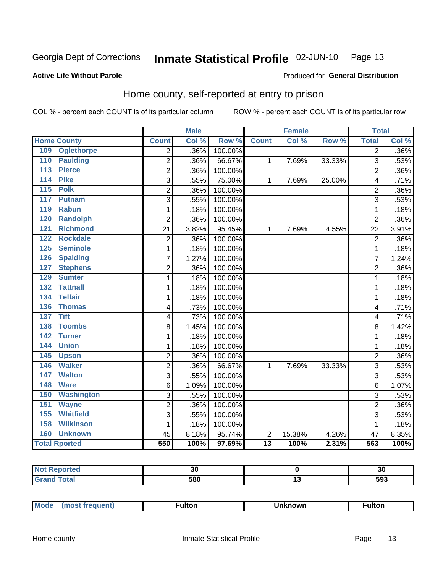#### Inmate Statistical Profile 02-JUN-10 Page 13

#### **Active Life Without Parole**

## Produced for General Distribution

## Home county, self-reported at entry to prison

COL % - percent each COUNT is of its particular column

|     |                      |                | <b>Male</b> |         |                 | <b>Female</b> |        | <b>Total</b>   |       |
|-----|----------------------|----------------|-------------|---------|-----------------|---------------|--------|----------------|-------|
|     | <b>Home County</b>   | <b>Count</b>   | Col %       | Row %   | <b>Count</b>    | Col %         | Row %  | <b>Total</b>   | Col % |
| 109 | <b>Oglethorpe</b>    | $\overline{2}$ | .36%        | 100.00% |                 |               |        | $\overline{2}$ | .36%  |
| 110 | <b>Paulding</b>      | 2              | .36%        | 66.67%  | 1               | 7.69%         | 33.33% | 3              | .53%  |
| 113 | <b>Pierce</b>        | $\overline{2}$ | .36%        | 100.00% |                 |               |        | $\overline{2}$ | .36%  |
| 114 | <b>Pike</b>          | 3              | .55%        | 75.00%  | $\mathbf{1}$    | 7.69%         | 25.00% | 4              | .71%  |
| 115 | <b>Polk</b>          | $\overline{c}$ | .36%        | 100.00% |                 |               |        | $\overline{2}$ | .36%  |
| 117 | <b>Putnam</b>        | 3              | .55%        | 100.00% |                 |               |        | 3              | .53%  |
| 119 | <b>Rabun</b>         | $\mathbf{1}$   | .18%        | 100.00% |                 |               |        | 1              | .18%  |
| 120 | <b>Randolph</b>      | $\overline{2}$ | .36%        | 100.00% |                 |               |        | $\overline{2}$ | .36%  |
| 121 | <b>Richmond</b>      | 21             | 3.82%       | 95.45%  | 1               | 7.69%         | 4.55%  | 22             | 3.91% |
| 122 | <b>Rockdale</b>      | $\overline{c}$ | .36%        | 100.00% |                 |               |        | $\overline{2}$ | .36%  |
| 125 | <b>Seminole</b>      | 1              | .18%        | 100.00% |                 |               |        | 1              | .18%  |
| 126 | <b>Spalding</b>      | 7              | 1.27%       | 100.00% |                 |               |        | 7              | 1.24% |
| 127 | <b>Stephens</b>      | $\overline{2}$ | .36%        | 100.00% |                 |               |        | $\overline{2}$ | .36%  |
| 129 | <b>Sumter</b>        | 1              | .18%        | 100.00% |                 |               |        | 1              | .18%  |
| 132 | <b>Tattnall</b>      | 1              | .18%        | 100.00% |                 |               |        | 1              | .18%  |
| 134 | <b>Telfair</b>       | 1              | .18%        | 100.00% |                 |               |        | 1              | .18%  |
| 136 | <b>Thomas</b>        | 4              | .73%        | 100.00% |                 |               |        | $\overline{4}$ | .71%  |
| 137 | <b>Tift</b>          | 4              | .73%        | 100.00% |                 |               |        | 4              | .71%  |
| 138 | <b>Toombs</b>        | 8              | 1.45%       | 100.00% |                 |               |        | 8              | 1.42% |
| 142 | <b>Turner</b>        | $\mathbf{1}$   | .18%        | 100.00% |                 |               |        | 1              | .18%  |
| 144 | <b>Union</b>         | $\mathbf{1}$   | .18%        | 100.00% |                 |               |        | 1              | .18%  |
| 145 | <b>Upson</b>         | $\overline{2}$ | .36%        | 100.00% |                 |               |        | $\overline{2}$ | .36%  |
| 146 | <b>Walker</b>        | $\overline{2}$ | .36%        | 66.67%  | 1               | 7.69%         | 33.33% | 3              | .53%  |
| 147 | <b>Walton</b>        | 3              | .55%        | 100.00% |                 |               |        | 3              | .53%  |
| 148 | <b>Ware</b>          | 6              | 1.09%       | 100.00% |                 |               |        | 6              | 1.07% |
| 150 | <b>Washington</b>    | 3              | .55%        | 100.00% |                 |               |        | 3              | .53%  |
| 151 | <b>Wayne</b>         | $\overline{2}$ | .36%        | 100.00% |                 |               |        | $\overline{2}$ | .36%  |
| 155 | <b>Whitfield</b>     | 3              | .55%        | 100.00% |                 |               |        | 3              | .53%  |
| 158 | <b>Wilkinson</b>     | $\mathbf{1}$   | .18%        | 100.00% |                 |               |        | 1              | .18%  |
| 160 | <b>Unknown</b>       | 45             | 8.18%       | 95.74%  | 2               | 15.38%        | 4.26%  | 47             | 8.35% |
|     | <b>Total Rported</b> | 550            | 100%        | 97.69%  | $\overline{13}$ | 100%          | 2.31%  | 563            | 100%  |

| . Reported<br>' NOT<br> |           |     | งเ  |
|-------------------------|-----------|-----|-----|
|                         | con<br>יש | . . | 593 |

| 'Moo. | ------<br>untor.· | ตดพท | .<br>ultor |  |
|-------|-------------------|------|------------|--|
|-------|-------------------|------|------------|--|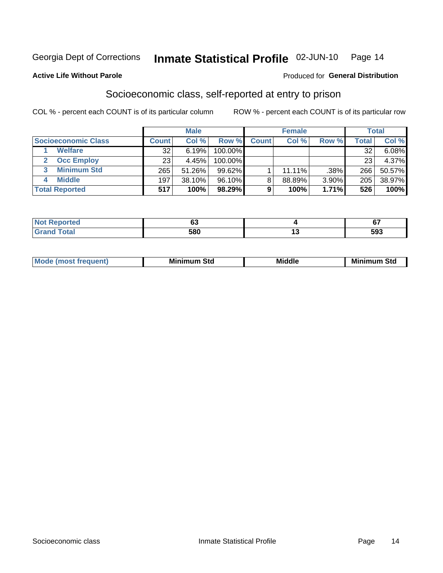#### Inmate Statistical Profile 02-JUN-10 Page 14

#### **Active Life Without Parole**

#### **Produced for General Distribution**

## Socioeconomic class, self-reported at entry to prison

COL % - percent each COUNT is of its particular column

|                       |                 | <b>Male</b> |           |              | <b>Female</b> |       |       | <b>Total</b> |
|-----------------------|-----------------|-------------|-----------|--------------|---------------|-------|-------|--------------|
| Socioeconomic Class   | Count⊺          | Col %       | Row %     | <b>Count</b> | Col %         | Row % | Total | Col %        |
| <b>Welfare</b>        | 32              | 6.19%       | 100.00%   |              |               |       | 32    | $6.08\%$     |
| <b>Occ Employ</b>     | 23 <sub>1</sub> | 4.45%       | 100.00%   |              |               |       | 23    | 4.37%        |
| <b>Minimum Std</b>    | 265             | 51.26%      | $99.62\%$ |              | $11.11\%$     | .38%  | 266   | 50.57%       |
| <b>Middle</b>         | 197             | 38.10%      | 96.10%    | 8            | 88.89%        | 3.90% | 205   | 38.97%       |
| <b>Total Reported</b> | 517             | 100%        | 98.29%    |              | 100%          | 1.71% | 526   | 100%         |

| rtea<br>NOT F<br><b>ACDO</b><br>$\sim$ | ບປ  | v,         |
|----------------------------------------|-----|------------|
|                                        | 580 | ran<br>ນນວ |

| ____ |
|------|
|------|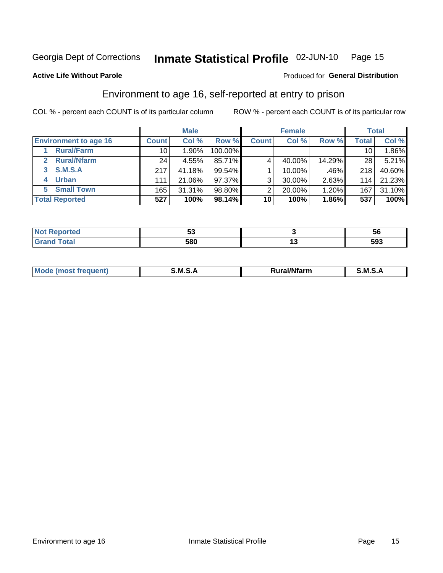#### Inmate Statistical Profile 02-JUN-10 Page 15

Produced for General Distribution

#### **Active Life Without Parole**

## Environment to age 16, self-reported at entry to prison

COL % - percent each COUNT is of its particular column

|                              |                 | <b>Male</b> |           |              | <b>Female</b> |        |              | <b>Total</b> |
|------------------------------|-----------------|-------------|-----------|--------------|---------------|--------|--------------|--------------|
| <b>Environment to age 16</b> | <b>Count</b>    | Col %       | Row %     | <b>Count</b> | Col %         | Row %  | <b>Total</b> | Col %        |
| <b>Rural/Farm</b>            | 10              | 1.90%       | 100.00%   |              |               |        | 10           | 1.86%        |
| <b>Rural/Nfarm</b><br>2      | 24 <sub>1</sub> | 4.55%       | 85.71%    |              | 40.00%        | 14.29% | 28           | $5.21\%$     |
| 3 S.M.S.A                    | 217             | 41.18%      | $99.54\%$ |              | 10.00%        | .46%   | 218          | 40.60%       |
| <b>Urban</b><br>4            | 111             | 21.06%      | 97.37%    | 3            | 30.00%        | 2.63%  | 114          | 21.23%       |
| <b>Small Town</b><br>5.      | 165             | 31.31%      | 98.80%    | ⌒            | 20.00%        | 1.20%  | 167          | 31.10%       |
| <b>Total Reported</b>        | 527             | 100%        | 98.14%    | 10           | 100%          | 1.86%  | 537          | 100%         |

| Reported<br>NOT.<br>$\sim$ | vu  |    | -<br>IJ                |
|----------------------------|-----|----|------------------------|
| <b>Total</b>               | 580 | '' | EO <sub>2</sub><br>593 |

| Mo | M | .<br>----<br>יarm. | M |
|----|---|--------------------|---|
|    |   |                    |   |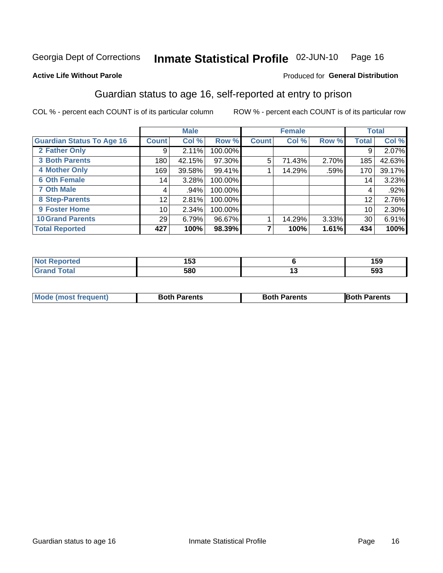## Inmate Statistical Profile 02-JUN-10 Page 16

#### **Active Life Without Parole**

#### **Produced for General Distribution**

## Guardian status to age 16, self-reported at entry to prison

COL % - percent each COUNT is of its particular column

|                                  |                 | <b>Male</b> |         |              | <b>Female</b> |       |              | <b>Total</b> |
|----------------------------------|-----------------|-------------|---------|--------------|---------------|-------|--------------|--------------|
| <b>Guardian Status To Age 16</b> | <b>Count</b>    | Col %       | Row %   | <b>Count</b> | Col %         | Row % | <b>Total</b> | Col %        |
| 2 Father Only                    | 9               | 2.11%       | 100.00% |              |               |       | 9            | 2.07%        |
| <b>3 Both Parents</b>            | 180             | 42.15%      | 97.30%  | 5            | 71.43%        | 2.70% | 185          | 42.63%       |
| <b>4 Mother Only</b>             | 169             | 39.58%      | 99.41%  |              | 14.29%        | .59%  | 170          | 39.17%       |
| <b>6 Oth Female</b>              | 14 <sub>1</sub> | 3.28%       | 100.00% |              |               |       | 14           | 3.23%        |
| <b>7 Oth Male</b>                | 4               | .94%        | 100.00% |              |               |       | 4            | $.92\%$      |
| 8 Step-Parents                   | 12              | 2.81%       | 100.00% |              |               |       | 12           | 2.76%        |
| 9 Foster Home                    | 10 <sup>1</sup> | 2.34%       | 100.00% |              |               |       | 10           | 2.30%        |
| <b>10 Grand Parents</b>          | 29              | 6.79%       | 96.67%  |              | 14.29%        | 3.33% | 30           | 6.91%        |
| <b>Total Reported</b>            | 427             | 100%        | 98.39%  |              | 100%          | 1.61% | 434          | 100%         |

| रeported | ^ ר<br>ט ש | 159 |
|----------|------------|-----|
| Total    | 580        | 593 |

| <b>Mode (most frequent)</b> | <b>Both Parents</b> | <b>Both Parents</b> | <b>Both Parents</b> |
|-----------------------------|---------------------|---------------------|---------------------|
|                             |                     |                     |                     |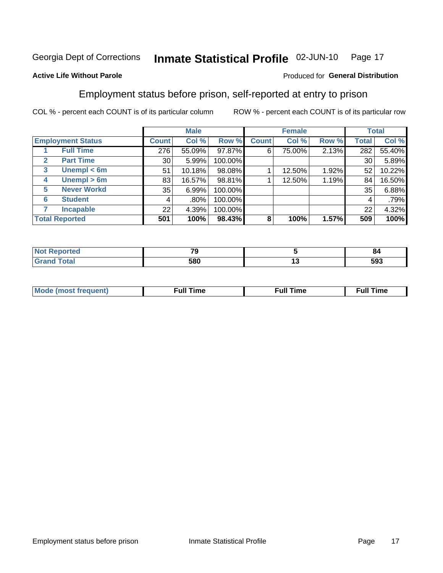#### Inmate Statistical Profile 02-JUN-10 Page 17

#### **Active Life Without Parole**

#### Produced for General Distribution

## Employment status before prison, self-reported at entry to prison

COL % - percent each COUNT is of its particular column

|                                  |                 | <b>Male</b> |         |              | <b>Female</b> |       |       | <b>Total</b> |
|----------------------------------|-----------------|-------------|---------|--------------|---------------|-------|-------|--------------|
| <b>Employment Status</b>         | Count l         | Col %       | Row %   | <b>Count</b> | Col %         | Row % | Total | Col %        |
| <b>Full Time</b>                 | 276             | 55.09%      | 97.87%  | 6            | 75.00%        | 2.13% | 282   | 55.40%       |
| <b>Part Time</b><br>$\mathbf{2}$ | 30 <sup>1</sup> | 5.99%       | 100.00% |              |               |       | 30    | 5.89%        |
| Unempl $<$ 6m<br>$\mathbf{3}$    | 51              | 10.18%      | 98.08%  |              | 12.50%        | 1.92% | 52    | 10.22%       |
| Unempl > 6m<br>4                 | 83              | 16.57%      | 98.81%  |              | 12.50%        | 1.19% | 84    | 16.50%       |
| <b>Never Workd</b><br>5          | 35              | 6.99%       | 100.00% |              |               |       | 35    | 6.88%        |
| <b>Student</b><br>6              | 4               | $.80\%$     | 100.00% |              |               |       | 4     | .79%         |
| <b>Incapable</b>                 | 22              | 4.39%       | 100.00% |              |               |       | 22    | 4.32%        |
| <b>Total Reported</b>            | 501             | 100%        | 98.43%  | 8            | 100%          | 1.57% | 509   | 100%         |

| тео | 70<br>۰.<br>$\overline{\phantom{a}}$ | o.      |
|-----|--------------------------------------|---------|
|     | 580                                  | <br>593 |

| Mc | ∙u∥<br>----<br>ıme | ίuΙ<br>Πmε |
|----|--------------------|------------|
|    |                    |            |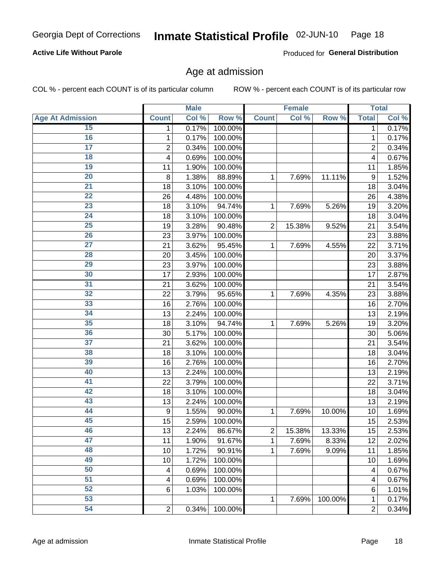#### Inmate Statistical Profile 02-JUN-10 Page 18

#### **Active Life Without Parole**

Produced for General Distribution

#### Age at admission

COL % - percent each COUNT is of its particular column

|                         |                  | <b>Male</b> |         |                | <b>Female</b> |         |                | <b>Total</b> |
|-------------------------|------------------|-------------|---------|----------------|---------------|---------|----------------|--------------|
| <b>Age At Admission</b> | <b>Count</b>     | Col %       | Row %   | <b>Count</b>   | Col %         | Row %   | <b>Total</b>   | Col %        |
| 15                      | 1                | 0.17%       | 100.00% |                |               |         | 1              | 0.17%        |
| 16                      | 1                | 0.17%       | 100.00% |                |               |         | 1              | 0.17%        |
| $\overline{17}$         | $\overline{c}$   | 0.34%       | 100.00% |                |               |         | $\overline{2}$ | 0.34%        |
| 18                      | 4                | 0.69%       | 100.00% |                |               |         | 4              | 0.67%        |
| 19                      | 11               | 1.90%       | 100.00% |                |               |         | 11             | 1.85%        |
| $\overline{20}$         | 8                | 1.38%       | 88.89%  | 1              | 7.69%         | 11.11%  | 9              | 1.52%        |
| 21                      | 18               | 3.10%       | 100.00% |                |               |         | 18             | 3.04%        |
| 22                      | 26               | 4.48%       | 100.00% |                |               |         | 26             | 4.38%        |
| $\overline{23}$         | 18               | 3.10%       | 94.74%  | 1              | 7.69%         | 5.26%   | 19             | 3.20%        |
| $\overline{24}$         | 18               | 3.10%       | 100.00% |                |               |         | 18             | 3.04%        |
| $\overline{25}$         | 19               | 3.28%       | 90.48%  | $\overline{2}$ | 15.38%        | 9.52%   | 21             | 3.54%        |
| 26                      | 23               | 3.97%       | 100.00% |                |               |         | 23             | 3.88%        |
| $\overline{27}$         | 21               | 3.62%       | 95.45%  | 1              | 7.69%         | 4.55%   | 22             | 3.71%        |
| 28                      | 20               | 3.45%       | 100.00% |                |               |         | 20             | 3.37%        |
| 29                      | 23               | 3.97%       | 100.00% |                |               |         | 23             | 3.88%        |
| 30                      | 17               | 2.93%       | 100.00% |                |               |         | 17             | 2.87%        |
| 31                      | 21               | 3.62%       | 100.00% |                |               |         | 21             | 3.54%        |
| 32                      | 22               | 3.79%       | 95.65%  | 1              | 7.69%         | 4.35%   | 23             | 3.88%        |
| 33                      | 16               | 2.76%       | 100.00% |                |               |         | 16             | 2.70%        |
| 34                      | 13               | 2.24%       | 100.00% |                |               |         | 13             | 2.19%        |
| 35                      | 18               | 3.10%       | 94.74%  | 1              | 7.69%         | 5.26%   | 19             | 3.20%        |
| 36                      | 30               | 5.17%       | 100.00% |                |               |         | 30             | 5.06%        |
| $\overline{37}$         | 21               | 3.62%       | 100.00% |                |               |         | 21             | 3.54%        |
| 38                      | 18               | 3.10%       | 100.00% |                |               |         | 18             | 3.04%        |
| 39                      | 16               | 2.76%       | 100.00% |                |               |         | 16             | 2.70%        |
| 40                      | 13               | 2.24%       | 100.00% |                |               |         | 13             | 2.19%        |
| 41                      | 22               | 3.79%       | 100.00% |                |               |         | 22             | 3.71%        |
| 42                      | 18               | 3.10%       | 100.00% |                |               |         | 18             | 3.04%        |
| 43                      | 13               | 2.24%       | 100.00% |                |               |         | 13             | 2.19%        |
| 44                      | $\boldsymbol{9}$ | 1.55%       | 90.00%  | 1              | 7.69%         | 10.00%  | 10             | 1.69%        |
| 45                      | 15               | 2.59%       | 100.00% |                |               |         | 15             | 2.53%        |
| 46                      | 13               | 2.24%       | 86.67%  | $\overline{c}$ | 15.38%        | 13.33%  | 15             | 2.53%        |
| 47                      | 11               | 1.90%       | 91.67%  | 1              | 7.69%         | 8.33%   | 12             | 2.02%        |
| 48                      | 10               | 1.72%       | 90.91%  | 1              | 7.69%         | 9.09%   | 11             | 1.85%        |
| 49                      | 10               | 1.72%       | 100.00% |                |               |         | 10             | 1.69%        |
| 50                      | 4                | 0.69%       | 100.00% |                |               |         | 4              | 0.67%        |
| $\overline{51}$         | 4                | 0.69%       | 100.00% |                |               |         | 4              | 0.67%        |
| 52                      | 6                | 1.03%       | 100.00% |                |               |         | 6              | 1.01%        |
| 53                      |                  |             |         | 1              | 7.69%         | 100.00% | 1              | 0.17%        |
| 54                      | $\boldsymbol{2}$ | 0.34%       | 100.00% |                |               |         | 2              | 0.34%        |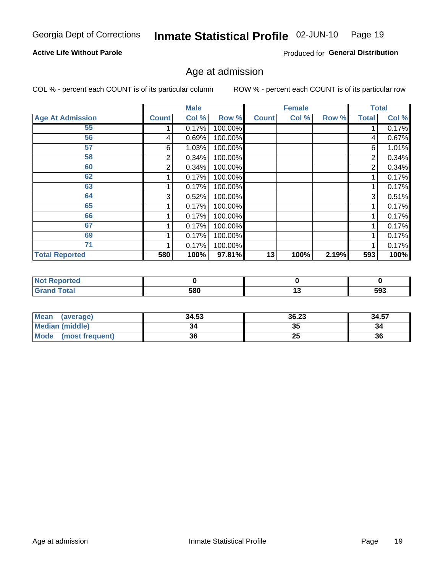#### Inmate Statistical Profile 02-JUN-10 Page 19

#### **Active Life Without Parole**

Produced for General Distribution

## Age at admission

COL % - percent each COUNT is of its particular column

|                         |              | <b>Male</b> |         |              | <b>Female</b> |       |              | <b>Total</b> |
|-------------------------|--------------|-------------|---------|--------------|---------------|-------|--------------|--------------|
| <b>Age At Admission</b> | <b>Count</b> | Col %       | Row %   | <b>Count</b> | Col %         | Row % | <b>Total</b> | Col %        |
| 55                      |              | 0.17%       | 100.00% |              |               |       |              | 0.17%        |
| 56                      | 4            | 0.69%       | 100.00% |              |               |       | 4            | 0.67%        |
| 57                      | 6            | 1.03%       | 100.00% |              |               |       | 6            | 1.01%        |
| 58                      | 2            | 0.34%       | 100.00% |              |               |       | 2            | 0.34%        |
| 60                      | 2            | 0.34%       | 100.00% |              |               |       | 2            | 0.34%        |
| 62                      |              | 0.17%       | 100.00% |              |               |       |              | 0.17%        |
| 63                      |              | 0.17%       | 100.00% |              |               |       |              | 0.17%        |
| 64                      | 3            | 0.52%       | 100.00% |              |               |       | 3            | 0.51%        |
| 65                      |              | 0.17%       | 100.00% |              |               |       |              | 0.17%        |
| 66                      |              | 0.17%       | 100.00% |              |               |       |              | 0.17%        |
| 67                      |              | 0.17%       | 100.00% |              |               |       |              | 0.17%        |
| 69                      |              | 0.17%       | 100.00% |              |               |       |              | 0.17%        |
| 71                      |              | 0.17%       | 100.00% |              |               |       |              | 0.17%        |
| <b>Total Reported</b>   | 580          | 100%        | 97.81%  | 13           | 100%          | 2.19% | 593          | 100%         |

| <b>Not Reported</b> |     |         |
|---------------------|-----|---------|
| <b>Grand Total</b>  | 580 | <br>593 |

| Mean<br>(average)       | 34.53 | 36.23 | 34.57 |
|-------------------------|-------|-------|-------|
| Median (middle)         |       | 35    | 34    |
| Mode<br>(most frequent) | 36    | 25    | 36    |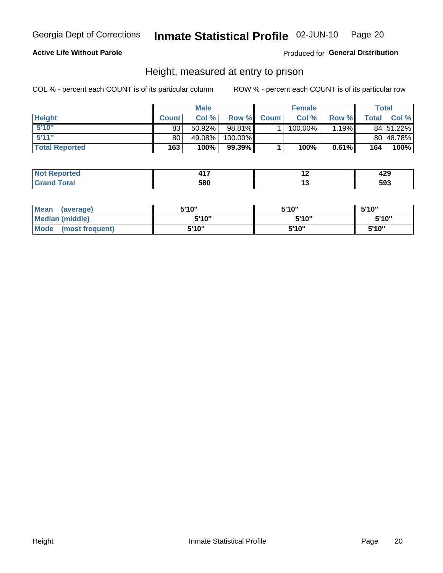#### Inmate Statistical Profile 02-JUN-10 Page 20

#### **Active Life Without Parole**

Produced for General Distribution

#### Height, measured at entry to prison

COL % - percent each COUNT is of its particular column

|                       |              | <b>Male</b> |         |              | <b>Female</b> |       |              | Total     |
|-----------------------|--------------|-------------|---------|--------------|---------------|-------|--------------|-----------|
| <b>Height</b>         | <b>Count</b> | Col%        | Row %   | <b>Count</b> | Col %         | Row % | <b>Total</b> | Col %     |
| 5'10''                | 83           | $50.92\%$   | 98.81%  |              | 100.00%       | 1.19% |              | 84 51.22% |
| 5'11''                | 80           | 49.08%      | 100.00% |              |               |       |              | 80 48.78% |
| <b>Total Reported</b> | 163          | 100%        | 99.39%  |              | 100%          | 0.61% | 164          | 100%      |

| тео   | .   | ה ה<br>443 |
|-------|-----|------------|
| `otal | 580 | 593        |

| <b>Mean</b><br>(average)       | 5'10"  | 5'10" | 5'10"  |
|--------------------------------|--------|-------|--------|
| <b>Median (middle)</b>         | 5'10'' | 5'10" | 5'10'' |
| <b>Mode</b><br>(most frequent) | 5'10"  | 5'10" | 5'10"  |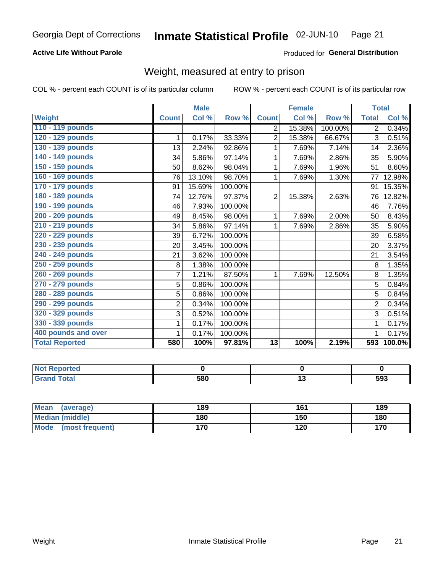#### Inmate Statistical Profile 02-JUN-10 Page 21

#### **Active Life Without Parole**

#### Produced for General Distribution

## Weight, measured at entry to prison

COL % - percent each COUNT is of its particular column

|                       |                | <b>Male</b> |                      |                 | <b>Female</b> |         | <b>Total</b>   |        |
|-----------------------|----------------|-------------|----------------------|-----------------|---------------|---------|----------------|--------|
| <b>Weight</b>         | <b>Count</b>   | Col %       | Row %                | <b>Count</b>    | Col %         | Row %   | <b>Total</b>   | Col %  |
| 110 - 119 pounds      |                |             |                      | 2               | 15.38%        | 100.00% | $\overline{2}$ | 0.34%  |
| 120 - 129 pounds      | 1              | 0.17%       | 33.33%               | $\overline{2}$  | 15.38%        | 66.67%  | 3              | 0.51%  |
| 130 - 139 pounds      | 13             | 2.24%       | 92.86%               |                 | 7.69%         | 7.14%   | 14             | 2.36%  |
| 140 - 149 pounds      | 34             | 5.86%       | 97.14%               | 1               | 7.69%         | 2.86%   | 35             | 5.90%  |
| 150 - 159 pounds      | 50             | 8.62%       | 98.04%               | 1               | 7.69%         | 1.96%   | 51             | 8.60%  |
| 160 - 169 pounds      | 76             | 13.10%      | 98.70%               | 1               | 7.69%         | 1.30%   | 77             | 12.98% |
| 170 - 179 pounds      | 91             | 15.69%      | 100.00%              |                 |               |         | 91             | 15.35% |
| 180 - 189 pounds      | 74             | 12.76%      | 97.37%               | $\overline{2}$  | 15.38%        | 2.63%   | 76             | 12.82% |
| 190 - 199 pounds      | 46             | 7.93%       | 100.00%              |                 |               |         | 46             | 7.76%  |
| 200 - 209 pounds      | 49             | 8.45%       | 98.00%               | 1               | 7.69%         | 2.00%   | 50             | 8.43%  |
| 210 - 219 pounds      | 34             | 5.86%       | $\overline{97.14\%}$ | 1               | 7.69%         | 2.86%   | 35             | 5.90%  |
| 220 - 229 pounds      | 39             | 6.72%       | 100.00%              |                 |               |         | 39             | 6.58%  |
| 230 - 239 pounds      | 20             | 3.45%       | 100.00%              |                 |               |         | 20             | 3.37%  |
| 240 - 249 pounds      | 21             | 3.62%       | 100.00%              |                 |               |         | 21             | 3.54%  |
| 250 - 259 pounds      | 8              | 1.38%       | 100.00%              |                 |               |         | 8              | 1.35%  |
| 260 - 269 pounds      | 7              | 1.21%       | 87.50%               | 1               | 7.69%         | 12.50%  | 8              | 1.35%  |
| 270 - 279 pounds      | 5              | 0.86%       | 100.00%              |                 |               |         | 5              | 0.84%  |
| 280 - 289 pounds      | 5              | 0.86%       | 100.00%              |                 |               |         | 5              | 0.84%  |
| 290 - 299 pounds      | $\overline{2}$ | 0.34%       | 100.00%              |                 |               |         | $\overline{2}$ | 0.34%  |
| 320 - 329 pounds      | 3              | 0.52%       | 100.00%              |                 |               |         | 3              | 0.51%  |
| 330 - 339 pounds      | 1              | 0.17%       | 100.00%              |                 |               |         | 1              | 0.17%  |
| 400 pounds and over   | 1              | 0.17%       | 100.00%              |                 |               |         | 1              | 0.17%  |
| <b>Total Reported</b> | 580            | 100%        | 97.81%               | $\overline{13}$ | 100%          | 2.19%   | 593            | 100.0% |

| orted<br>N                       |     |     |
|----------------------------------|-----|-----|
| <b>cotal</b><br>$\mathbf{v}$ and | 580 | 593 |

| Mean<br>(average)              | 189 | 161 | 189 |
|--------------------------------|-----|-----|-----|
| <b>Median (middle)</b>         | 180 | 150 | 180 |
| <b>Mode</b><br>(most frequent) | 170 | 120 | 170 |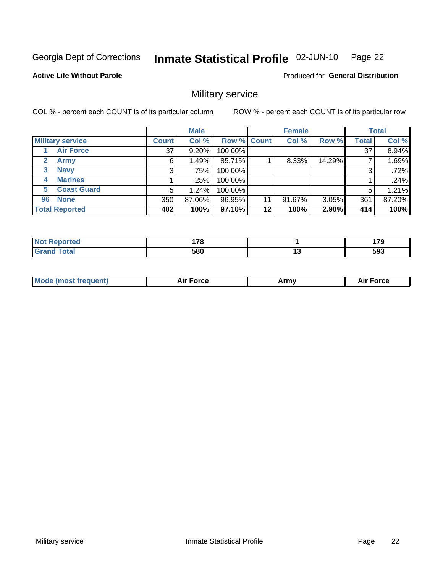#### Inmate Statistical Profile 02-JUN-10 Page 22

**Active Life Without Parole** 

**Produced for General Distribution** 

## Military service

COL % - percent each COUNT is of its particular column

|                             |              | <b>Male</b> |         |             | <b>Female</b> |        |              | <b>Total</b> |
|-----------------------------|--------------|-------------|---------|-------------|---------------|--------|--------------|--------------|
| <b>Military service</b>     | <b>Count</b> | Col %       |         | Row % Count | Col %         | Row %  | <b>Total</b> | Col %        |
| <b>Air Force</b>            | 37           | $9.20\%$    | 100.00% |             |               |        | 37           | 8.94%        |
| $\mathbf{2}$<br><b>Army</b> | 6            | 1.49%       | 85.71%  |             | 8.33%         | 14.29% |              | 1.69%        |
| <b>Navy</b><br>3            | 3            | .75%        | 100.00% |             |               |        | 3            | .72%         |
| <b>Marines</b><br>4         |              | .25%        | 100.00% |             |               |        |              | .24%         |
| <b>Coast Guard</b><br>5     | 5            | 1.24%       | 100.00% |             |               |        | 5            | 1.21%        |
| <b>None</b><br>96           | 350          | 87.06%      | 96.95%  | 11          | 91.67%        | 3.05%  | 361          | 87.20%       |
| <b>Total Reported</b>       | 402          | 100%        | 97.10%  | 12          | 100%          | 2.90%  | 414          | 100%         |

| orted<br>N.          | 470 |    | --- |
|----------------------|-----|----|-----|
| <b>otal</b><br>Grand | 580 | '' | 593 |

|  | <b>Mode (most frequent)</b> | <b>Force</b><br>Aır | Army | <b>Force</b><br>Ali |
|--|-----------------------------|---------------------|------|---------------------|
|--|-----------------------------|---------------------|------|---------------------|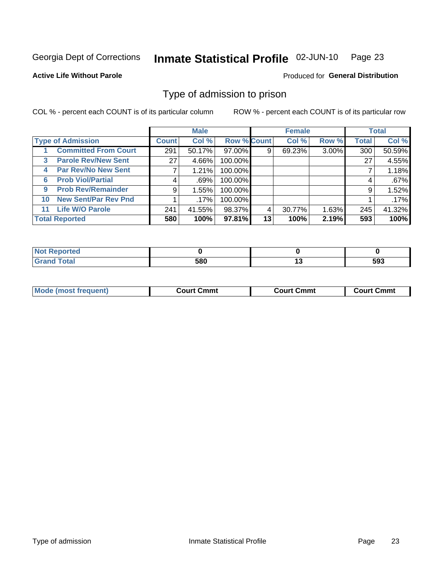#### Inmate Statistical Profile 02-JUN-10 Page 23

#### **Active Life Without Parole**

#### Produced for General Distribution

### Type of admission to prison

COL % - percent each COUNT is of its particular column

|                                            |                 | <b>Male</b> |                    |    | <b>Female</b> |          |       | <b>Total</b> |
|--------------------------------------------|-----------------|-------------|--------------------|----|---------------|----------|-------|--------------|
| <b>Type of Admission</b>                   | <b>Count</b>    | Col %       | <b>Row % Count</b> |    | Col %         | Row %    | Total | Col %        |
| <b>Committed From Court</b>                | 291             | 50.17%      | 97.00%             | 9  | 69.23%        | $3.00\%$ | 300   | 50.59%       |
| <b>Parole Rev/New Sent</b><br>$\mathbf{3}$ | 27 <sup>1</sup> | 4.66%       | 100.00%            |    |               |          | 27    | 4.55%        |
| <b>Par Rev/No New Sent</b><br>4            |                 | 1.21%       | 100.00%            |    |               |          |       | 1.18%        |
| <b>Prob Viol/Partial</b><br>6              | 4               | .69%        | 100.00%            |    |               |          | 4     | .67%         |
| <b>Prob Rev/Remainder</b><br>9             | 9               | 1.55%       | 100.00%            |    |               |          | 9     | 1.52%        |
| <b>New Sent/Par Rev Pnd</b><br>10          |                 | $.17\%$     | 100.00%            |    |               |          |       | .17%         |
| <b>Life W/O Parole</b><br>11.              | 241             | 41.55%      | 98.37%             | 4  | 30.77%        | 1.63%    | 245   | 41.32%       |
| <b>Total Reported</b>                      | 580             | 100%        | 97.81%             | 13 | 100%          | 2.19%    | 593   | 100%         |

| Reported<br>NO.        |     |     |
|------------------------|-----|-----|
| <b>Total</b><br>'Grand | 580 | 593 |

| <b>Mode (most frequent)</b> | <b>Court Cmmt</b> | <b>Court Cmmt</b> | Court Cmmt |
|-----------------------------|-------------------|-------------------|------------|
|                             |                   |                   |            |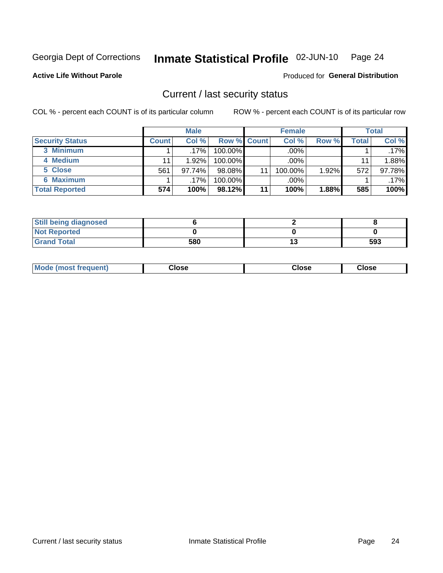#### Inmate Statistical Profile 02-JUN-10 Page 24

**Active Life Without Parole** 

Produced for General Distribution

### Current / last security status

COL % - percent each COUNT is of its particular column

|                        |              | <b>Male</b> |                    |    | <b>Female</b> |       |       | <b>Total</b> |
|------------------------|--------------|-------------|--------------------|----|---------------|-------|-------|--------------|
| <b>Security Status</b> | <b>Count</b> | Col%        | <b>Row % Count</b> |    | Col %         | Row % | Total | Col %        |
| 3 Minimum              |              | $.17\%$     | $100.00\%$         |    | .00%          |       |       | $.17\%$      |
| 4 Medium               |              | 1.92%       | 100.00%            |    | .00%          |       | 11    | 1.88%        |
| 5 Close                | 561          | 97.74%      | $98.08\%$          | 11 | 100.00%       | 1.92% | 572   | 97.78%       |
| 6 Maximum              |              | .17%        | 100.00%            |    | .00%          |       |       | $.17\%$      |
| <b>Total Reported</b>  | 574          | 100%        | 98.12%             | 11 | 100%          | 1.88% | 585   | 100%         |

| <b>Still being diagnosed</b> |     |    |     |
|------------------------------|-----|----|-----|
| <b>Not Reported</b>          |     |    |     |
| <b>Grand Total</b>           | 580 | IJ | 593 |

| Mode (most | Close   | Close   | Close   |
|------------|---------|---------|---------|
| frequent)  | - - - - | - - - - | - - - - |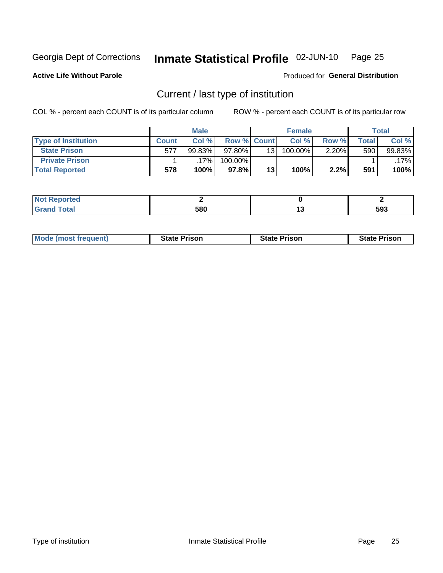#### Inmate Statistical Profile 02-JUN-10 Page 25

**Active Life Without Parole** 

Produced for General Distribution

## Current / last type of institution

COL % - percent each COUNT is of its particular column

|                            |              | <b>Male</b> |                    |                 | <b>Female</b> |          |       | <b>Total</b> |
|----------------------------|--------------|-------------|--------------------|-----------------|---------------|----------|-------|--------------|
| <b>Type of Institution</b> | <b>Count</b> | Col %       | <b>Row % Count</b> |                 | Col %         | Row %    | Total | Col %        |
| <b>State Prison</b>        | 577          | 99.83%      | $97.80\%$          | 13 <sub>1</sub> | 100.00%       | $2.20\%$ | 590   | 99.83%       |
| <b>Private Prison</b>      |              | 17%         | 100.00%            |                 |               |          |       | .17%l        |
| <b>Total Reported</b>      | 578          | 100%        | $97.8\%$           | 13              | 100%          | 2.2%     | 591   | 100%         |

| ---<br>portea |     |         |
|---------------|-----|---------|
|               | 580 | <br>593 |

| <b>Mode (most frequent)</b> | <b>State Prison</b> | <b>State Prison</b> | <b>State Prison</b> |
|-----------------------------|---------------------|---------------------|---------------------|
|                             |                     |                     |                     |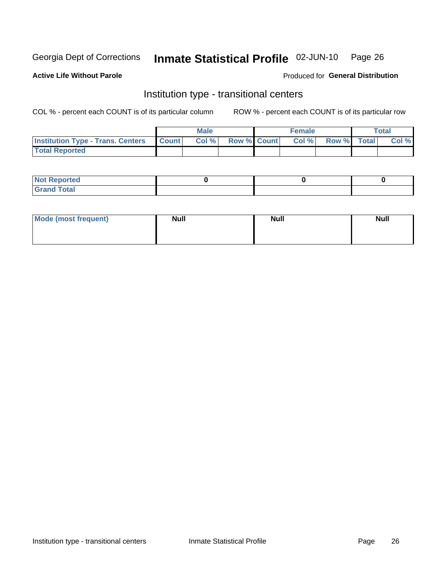#### Inmate Statistical Profile 02-JUN-10 Page 26

**Active Life Without Parole** 

#### Produced for General Distribution

## Institution type - transitional centers

COL % - percent each COUNT is of its particular column

|                                                | <b>Male</b> |                          | <b>Female</b> |             | Total |
|------------------------------------------------|-------------|--------------------------|---------------|-------------|-------|
| <b>Institution Type - Trans. Centers Count</b> |             | <b>Col %</b> Row % Count | Col%          | Row % Total | Col % |
| <b>Total Reported</b>                          |             |                          |               |             |       |

| <b>Reported</b><br><b>NOT</b><br>$\sim$            |  |  |
|----------------------------------------------------|--|--|
| $f$ $f \circ f \circ f$<br>$C = 1$<br><b>TULAI</b> |  |  |

| Mode (most frequent) | <b>Null</b> | <b>Null</b> | <b>Null</b> |
|----------------------|-------------|-------------|-------------|
|                      |             |             |             |
|                      |             |             |             |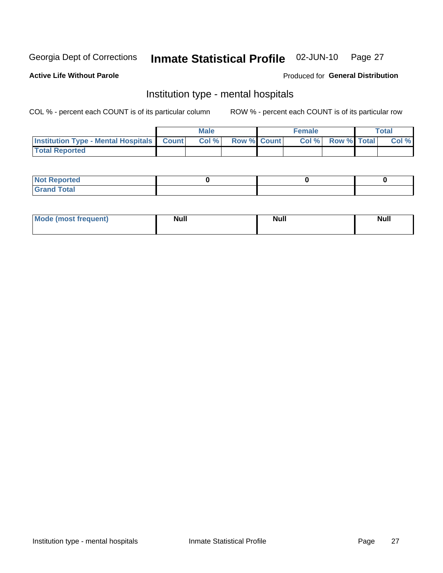#### Inmate Statistical Profile 02-JUN-10 Page 27

#### **Active Life Without Parole**

#### Produced for General Distribution

## Institution type - mental hospitals

COL % - percent each COUNT is of its particular column

|                                                  | Male |                    | <b>Female</b> |                   | <b>Total</b> |
|--------------------------------------------------|------|--------------------|---------------|-------------------|--------------|
| <b>Institution Type - Mental Hospitals Count</b> | Col% | <b>Row % Count</b> |               | Col % Row % Total | Col %        |
| <b>Total Reported</b>                            |      |                    |               |                   |              |

| <b>Not Reported</b>   |  |  |
|-----------------------|--|--|
| <b>Total</b><br>_____ |  |  |

| Mode.<br>frequent) | <b>Nul</b><br>_____ | <b>Null</b> | <b>Null</b> |
|--------------------|---------------------|-------------|-------------|
|                    |                     |             |             |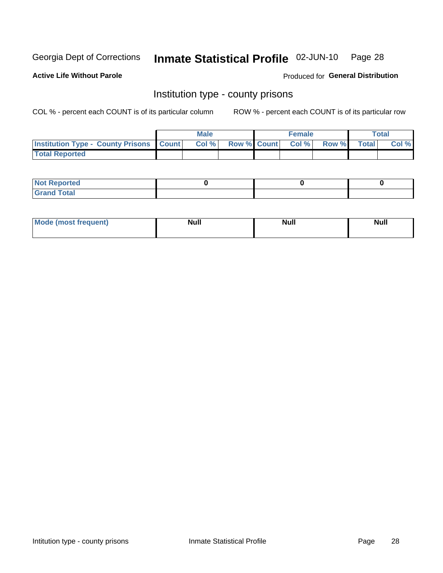## Inmate Statistical Profile 02-JUN-10 Page 28

**Active Life Without Parole** 

Produced for General Distribution

#### Institution type - county prisons

COL % - percent each COUNT is of its particular column

|                                                    | <b>Male</b> |                          | <b>Female</b> |             | <b>Total</b> |
|----------------------------------------------------|-------------|--------------------------|---------------|-------------|--------------|
| <b>Institution Type - County Prisons   Count  </b> | Col %       | <b>Row % Count Col %</b> |               | Row % Total | Col %        |
| <b>Total Reported</b>                              |             |                          |               |             |              |

| <b>Not Reported</b>         |  |  |
|-----------------------------|--|--|
| <b>Total</b><br>-<br>______ |  |  |

| <b>Mode</b>      | <b>Null</b> | <b>Null</b> | <b>Null</b> |  |
|------------------|-------------|-------------|-------------|--|
| (most freauent). |             |             |             |  |
|                  |             |             |             |  |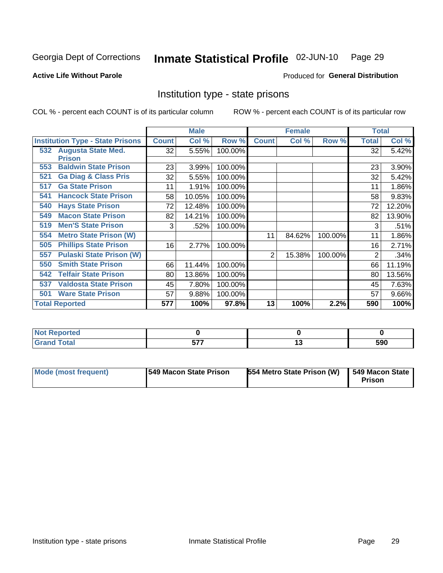#### Inmate Statistical Profile 02-JUN-10 Page 29

#### **Active Life Without Parole**

#### **Produced for General Distribution**

## Institution type - state prisons

COL % - percent each COUNT is of its particular column

|                                         |              | <b>Male</b> |         |              | <b>Female</b> |         | <b>Total</b> |        |
|-----------------------------------------|--------------|-------------|---------|--------------|---------------|---------|--------------|--------|
| <b>Institution Type - State Prisons</b> | <b>Count</b> | Col %       | Row %   | <b>Count</b> | Col %         | Row %   | Total        | Col %  |
| 532 Augusta State Med.<br><b>Prison</b> | 32           | 5.55%       | 100.00% |              |               |         | 32           | 5.42%  |
| <b>Baldwin State Prison</b><br>553      | 23           | 3.99%       | 100.00% |              |               |         | 23           | 3.90%  |
| <b>Ga Diag &amp; Class Pris</b><br>521  | 32           | 5.55%       | 100.00% |              |               |         | 32           | 5.42%  |
| <b>Ga State Prison</b><br>517           | 11           | 1.91%       | 100.00% |              |               |         | 11           | 1.86%  |
| <b>Hancock State Prison</b><br>541      | 58           | 10.05%      | 100.00% |              |               |         | 58           | 9.83%  |
| <b>Hays State Prison</b><br>540         | 72           | 12.48%      | 100.00% |              |               |         | 72           | 12.20% |
| <b>Macon State Prison</b><br>549        | 82           | 14.21%      | 100.00% |              |               |         | 82           | 13.90% |
| <b>Men'S State Prison</b><br>519        | 3            | .52%        | 100.00% |              |               |         | 3            | .51%   |
| <b>Metro State Prison (W)</b><br>554    |              |             |         | 11           | 84.62%        | 100.00% | 11           | 1.86%  |
| <b>Phillips State Prison</b><br>505     | 16           | 2.77%       | 100.00% |              |               |         | 16           | 2.71%  |
| <b>Pulaski State Prison (W)</b><br>557  |              |             |         | 2            | 15.38%        | 100.00% | 2            | .34%   |
| <b>Smith State Prison</b><br>550        | 66           | 11.44%      | 100.00% |              |               |         | 66           | 11.19% |
| <b>Telfair State Prison</b><br>542      | 80           | 13.86%      | 100.00% |              |               |         | 80           | 13.56% |
| <b>Valdosta State Prison</b><br>537     | 45           | 7.80%       | 100.00% |              |               |         | 45           | 7.63%  |
| <b>Ware State Prison</b><br>501         | 57           | 9.88%       | 100.00% |              |               |         | 57           | 9.66%  |
| <b>Total Reported</b>                   | 577          | 100%        | 97.8%   | 13           | 100%          | 2.2%    | 590          | 100%   |

| Reported<br>.        |                   |     |
|----------------------|-------------------|-----|
| <b>otal</b><br>_____ | ---<br>---<br>--- | 590 |

| Mode (most frequent) | <b>1549 Macon State Prison</b> | 554 Metro State Prison (W) | 549 Macon State<br>Prison |
|----------------------|--------------------------------|----------------------------|---------------------------|
|----------------------|--------------------------------|----------------------------|---------------------------|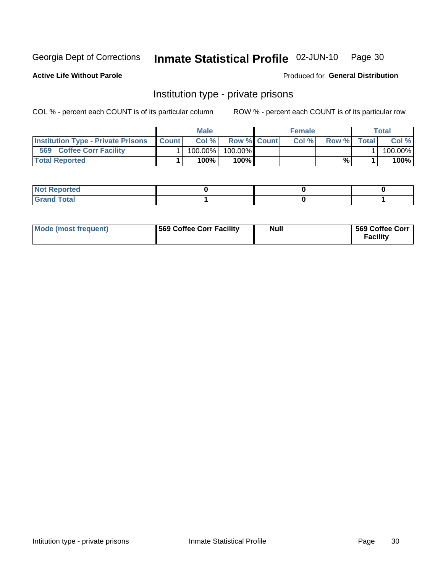#### Inmate Statistical Profile 02-JUN-10 Page 30

**Active Life Without Parole** 

Produced for General Distribution

## Institution type - private prisons

COL % - percent each COUNT is of its particular column

|                                            | <b>Male</b> |                    | <b>Female</b> |       |              | Total   |
|--------------------------------------------|-------------|--------------------|---------------|-------|--------------|---------|
| Institution Type - Private Prisons   Count | Col%        | <b>Row % Count</b> | Col %         | Row % | <b>Total</b> | Col %   |
| 569<br><b>Coffee Corr Facility</b>         | 100.00%     | 100.00%            |               |       |              | 100.00% |
| <b>Total Reported</b>                      | $100\%$     | $100\%$            |               | %\    |              | 100%    |

| Not Reported |  |  |
|--------------|--|--|
|              |  |  |

| Mode (most frequent) | <b>1569 Coffee Corr Facility</b> | Null | 569 Coffee Corr<br><b>Facility</b> |
|----------------------|----------------------------------|------|------------------------------------|
|----------------------|----------------------------------|------|------------------------------------|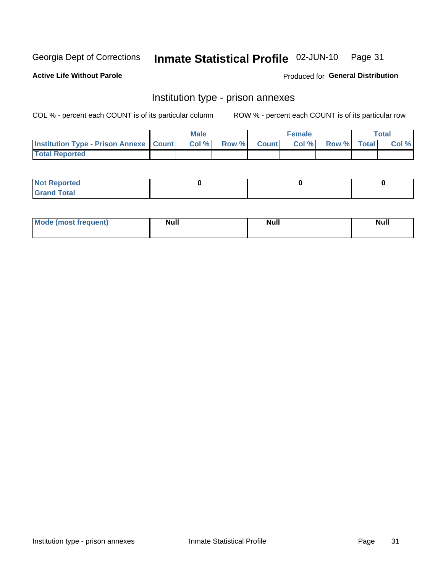## Inmate Statistical Profile 02-JUN-10 Page 31

**Active Life Without Parole** 

Produced for General Distribution

## Institution type - prison annexes

COL % - percent each COUNT is of its particular column

|                                                   | <b>Male</b> |              |       | <b>Female</b> |                    | <b>Total</b> |
|---------------------------------------------------|-------------|--------------|-------|---------------|--------------------|--------------|
| <b>Institution Type - Prison Annexe   Count  </b> | Col %       | <b>Row %</b> | Count | Col %         | <b>Row %</b> Total | Col %        |
| <b>Total Reported</b>                             |             |              |       |               |                    |              |

| <b>Reported</b><br>I NOT |  |  |
|--------------------------|--|--|
| <b>Total</b><br>$C$ ren  |  |  |

| <b>Mode</b>     | <b>Null</b> | <b>Null</b> | <b>Null</b> |
|-----------------|-------------|-------------|-------------|
| most frequent). |             |             |             |
|                 |             |             |             |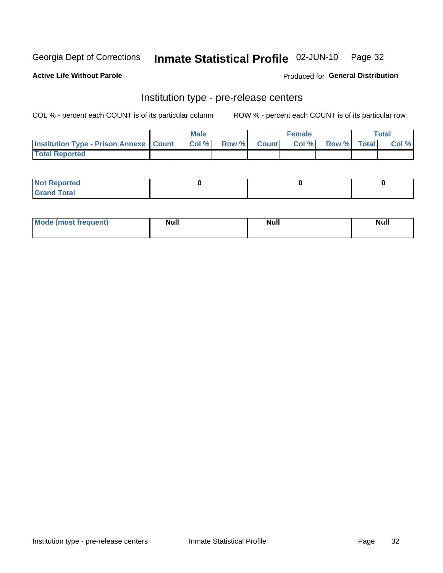## Inmate Statistical Profile 02-JUN-10 Page 32

**Active Life Without Parole** 

Produced for General Distribution

## Institution type - pre-release centers

COL % - percent each COUNT is of its particular column

|                                                   | <b>Male</b> |                    | <b>Female</b> |             | <b>Total</b> |
|---------------------------------------------------|-------------|--------------------|---------------|-------------|--------------|
| <b>Institution Type - Prison Annexe   Count  </b> | Col %       | <b>Row % Count</b> | Col %         | Row % Total | Col %        |
| <b>Total Reported</b>                             |             |                    |               |             |              |

| <b>Reported</b><br>I NOT |  |  |
|--------------------------|--|--|
| <b>Total</b><br>$C$ ren  |  |  |

| $^{\prime}$ Mo <sub>t</sub><br>frequent)<br>⊥(mos* | <b>Null</b> | Noll<br><b>vull</b> | <b>Null</b> |
|----------------------------------------------------|-------------|---------------------|-------------|
|                                                    |             |                     |             |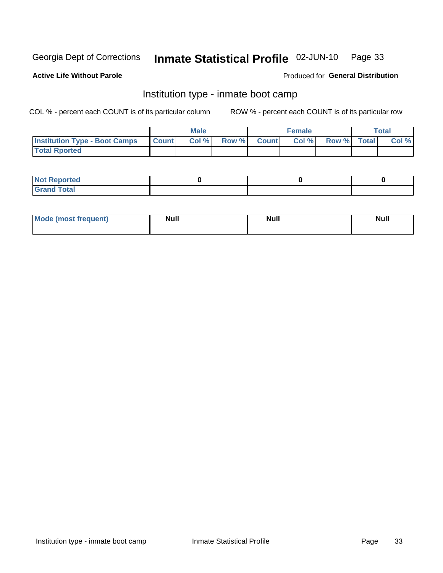#### Inmate Statistical Profile 02-JUN-10 Page 33

#### **Active Life Without Parole**

#### Produced for General Distribution

## Institution type - inmate boot camp

COL % - percent each COUNT is of its particular column

|                                            | <b>Male</b> |                    | <b>Female</b> |             | <b>Total</b> |
|--------------------------------------------|-------------|--------------------|---------------|-------------|--------------|
| <b>Institution Type - Boot Camps Count</b> | Col%        | <b>Row % Count</b> | Col%          | Row % Total | Col %        |
| <b>Total Rported</b>                       |             |                    |               |             |              |

| <b>Not Reported</b> |  |  |
|---------------------|--|--|
| <b>Total</b><br>Cro |  |  |

| <b>I Mode (most frequent)</b> | <b>Null</b> | <b>Null</b> | <b>Null</b> |
|-------------------------------|-------------|-------------|-------------|
|                               |             |             |             |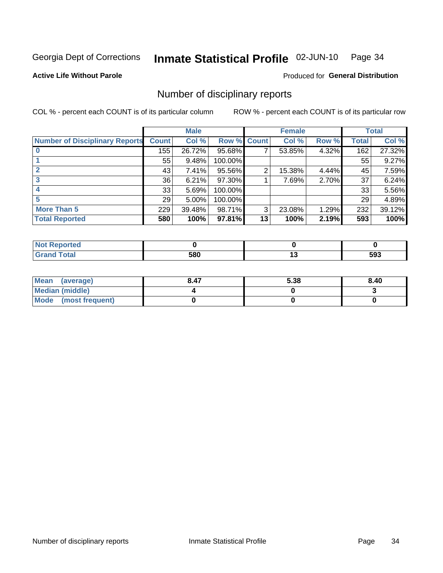#### Inmate Statistical Profile 02-JUN-10 Page 34

**Active Life Without Parole** 

Produced for General Distribution

### Number of disciplinary reports

COL % - percent each COUNT is of its particular column

|                                       |              | <b>Male</b> |                    |    | <b>Female</b> |       |              | <b>Total</b> |
|---------------------------------------|--------------|-------------|--------------------|----|---------------|-------|--------------|--------------|
| <b>Number of Disciplinary Reports</b> | <b>Count</b> | Col %       | <b>Row % Count</b> |    | Col %         | Row % | <b>Total</b> | Col %        |
|                                       | 155          | 26.72%      | 95.68%             | 7  | 53.85%        | 4.32% | 162          | 27.32%       |
|                                       | 55           | 9.48%       | 100.00%            |    |               |       | 55           | 9.27%        |
|                                       | 43           | 7.41%       | 95.56%             | 2  | 15.38%        | 4.44% | 45           | 7.59%        |
| 3                                     | 36           | 6.21%       | 97.30%             |    | 7.69%         | 2.70% | 37           | 6.24%        |
|                                       | 33           | 5.69%       | 100.00%            |    |               |       | 33           | 5.56%        |
|                                       | 29           | 5.00%       | 100.00%            |    |               |       | 29           | 4.89%        |
| <b>More Than 5</b>                    | 229          | 39.48%      | 98.71%             | 3  | 23.08%        | 1.29% | 232          | 39.12%       |
| <b>Total Reported</b>                 | 580          | 100%        | 97.81%             | 13 | 100%          | 2.19% | 593          | 100%         |

| N<br>тес     |     |            |     |
|--------------|-----|------------|-----|
| <b>Total</b> | 580 | <br>$\sim$ | 593 |

| Mean (average)       | 8.47 | 5.38 | 8.40 |
|----------------------|------|------|------|
| Median (middle)      |      |      |      |
| Mode (most frequent) |      |      |      |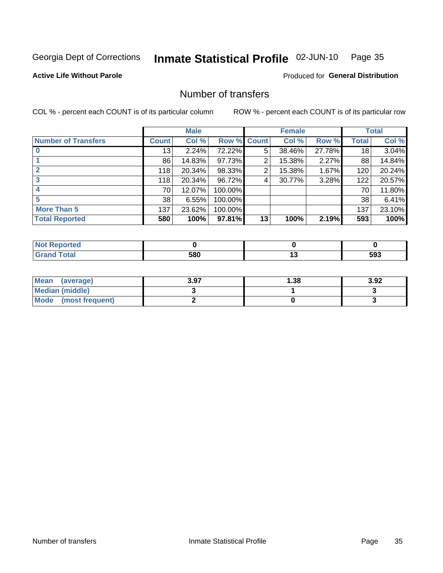#### Inmate Statistical Profile 02-JUN-10 Page 35

**Active Life Without Parole** 

**Produced for General Distribution** 

## Number of transfers

COL % - percent each COUNT is of its particular column

|                            |              | <b>Male</b> |                    |    | <b>Female</b> |        |              | <b>Total</b> |
|----------------------------|--------------|-------------|--------------------|----|---------------|--------|--------------|--------------|
| <b>Number of Transfers</b> | <b>Count</b> | Col %       | <b>Row % Count</b> |    | Col %         | Row %  | <b>Total</b> | Col %        |
|                            | 13           | 2.24%       | 72.22%             | 5  | 38.46%        | 27.78% | 18           | 3.04%        |
|                            | 86           | 14.83%      | 97.73%             | 2  | 15.38%        | 2.27%  | 88           | 14.84%       |
|                            | 118          | 20.34%      | 98.33%             | 2  | 15.38%        | 1.67%  | 120          | 20.24%       |
| 3                          | 118          | 20.34%      | 96.72%             | 4  | 30.77%        | 3.28%  | 122          | 20.57%       |
| 4                          | 70           | 12.07%      | 100.00%            |    |               |        | 70           | 11.80%       |
| 5                          | 38           | 6.55%       | 100.00%            |    |               |        | 38           | 6.41%        |
| More Than 5                | 137          | 23.62%      | 100.00%            |    |               |        | 137          | 23.10%       |
| <b>Total Reported</b>      | 580          | 100%        | 97.81%             | 13 | 100%          | 2.19%  | 593          | 100%         |

| Reported<br>NOT F |     |     |
|-------------------|-----|-----|
| 「otal             | 580 | 593 |

| Mean (average)       | 3.97 | l.38 | 3.92 |
|----------------------|------|------|------|
| Median (middle)      |      |      |      |
| Mode (most frequent) |      |      |      |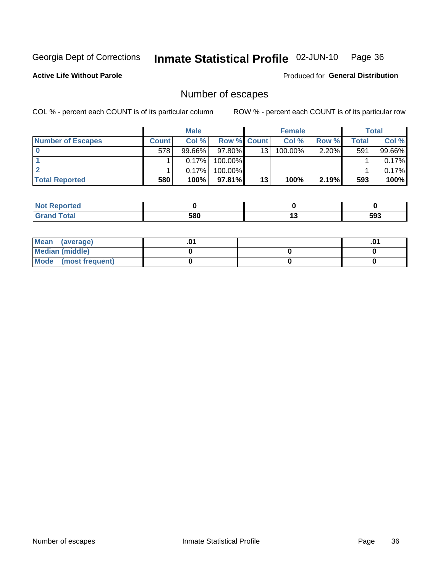#### Inmate Statistical Profile 02-JUN-10 Page 36

**Active Life Without Parole** 

**Produced for General Distribution** 

## Number of escapes

COL % - percent each COUNT is of its particular column

|                          |         | <b>Male</b> |                    |    | <b>Female</b> |          |       | <b>Total</b> |
|--------------------------|---------|-------------|--------------------|----|---------------|----------|-------|--------------|
| <b>Number of Escapes</b> | Count l | Col %       | <b>Row % Count</b> |    | Col %         | Row %    | Total | Col %        |
|                          | 578     | $99.66\%$   | $97.80\%$          | 13 | $100.00\%$    | $2.20\%$ | 591   | 99.66%       |
|                          |         | 0.17%       | $100.00\%$         |    |               |          |       | 0.17%        |
|                          |         | 0.17%       | $100.00\%$         |    |               |          |       | 0.17%        |
| <b>Total Reported</b>    | 580     | 100%        | $97.81\%$          | 13 | 100%          | 2.19%    | 593   | 100%         |

| <b>Not Reported</b>          |     |     |     |
|------------------------------|-----|-----|-----|
| <b>Total</b><br><b>Grand</b> | 580 | . . | 593 |

| Mean (average)       |  | .01 |
|----------------------|--|-----|
| Median (middle)      |  |     |
| Mode (most frequent) |  |     |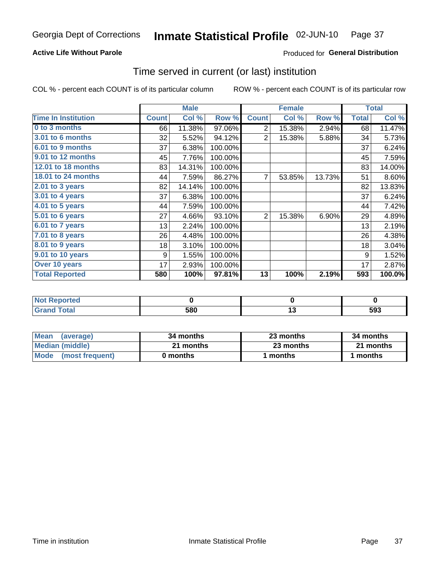## **Active Life Without Parole**

## Produced for General Distribution

## Time served in current (or last) institution

COL % - percent each COUNT is of its particular column

|                            |              | <b>Male</b> |         |              | <b>Female</b> |        |              | <b>Total</b> |
|----------------------------|--------------|-------------|---------|--------------|---------------|--------|--------------|--------------|
| <b>Time In Institution</b> | <b>Count</b> | Col %       | Row %   | <b>Count</b> | Col %         | Row %  | <b>Total</b> | Col %        |
| 0 to 3 months              | 66           | 11.38%      | 97.06%  | 2            | 15.38%        | 2.94%  | 68           | 11.47%       |
| 3.01 to 6 months           | 32           | 5.52%       | 94.12%  | 2            | 15.38%        | 5.88%  | 34           | 5.73%        |
| 6.01 to 9 months           | 37           | 6.38%       | 100.00% |              |               |        | 37           | 6.24%        |
| 9.01 to 12 months          | 45           | 7.76%       | 100.00% |              |               |        | 45           | 7.59%        |
| 12.01 to 18 months         | 83           | 14.31%      | 100.00% |              |               |        | 83           | 14.00%       |
| 18.01 to 24 months         | 44           | 7.59%       | 86.27%  | 7            | 53.85%        | 13.73% | 51           | 8.60%        |
| 2.01 to 3 years            | 82           | 14.14%      | 100.00% |              |               |        | 82           | 13.83%       |
| $3.01$ to 4 years          | 37           | 6.38%       | 100.00% |              |               |        | 37           | 6.24%        |
| 4.01 to 5 years            | 44           | 7.59%       | 100.00% |              |               |        | 44           | 7.42%        |
| 5.01 to 6 years            | 27           | 4.66%       | 93.10%  | 2            | 15.38%        | 6.90%  | 29           | 4.89%        |
| $6.01$ to 7 years          | 13           | 2.24%       | 100.00% |              |               |        | 13           | 2.19%        |
| 7.01 to 8 years            | 26           | 4.48%       | 100.00% |              |               |        | 26           | 4.38%        |
| 8.01 to 9 years            | 18           | 3.10%       | 100.00% |              |               |        | 18           | 3.04%        |
| 9.01 to 10 years           | 9            | 1.55%       | 100.00% |              |               |        | 9            | 1.52%        |
| Over 10 years              | 17           | 2.93%       | 100.00% |              |               |        | 17           | 2.87%        |
| <b>Total Reported</b>      | 580          | 100%        | 97.81%  | 13           | 100%          | 2.19%  | 593          | 100.0%       |

| $\bullet$ at $\bullet$ and $\bullet$ |     |            |
|--------------------------------------|-----|------------|
| .'nta'                               | 580 | cag<br>უუკ |

| <b>Mean</b><br>(average) | 34 months | 23 months | 34 months |
|--------------------------|-----------|-----------|-----------|
| Median (middle)          | 21 months | 23 months | 21 months |
| Mode (most frequent)     | 0 months  | 1 months  | 1 months  |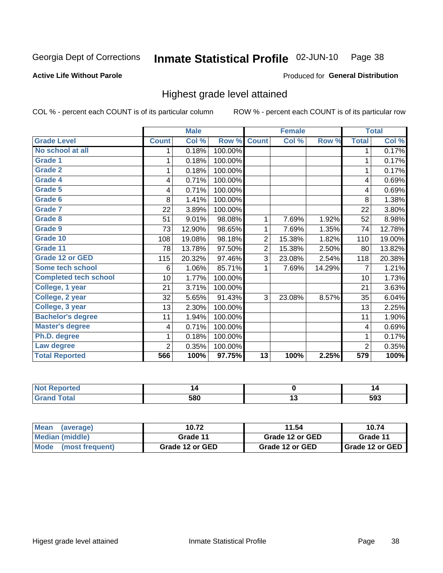#### Inmate Statistical Profile 02-JUN-10 Page 38

### **Active Life Without Parole**

### Produced for General Distribution

## Highest grade level attained

COL % - percent each COUNT is of its particular column

|                              |                | <b>Male</b> |         |                 | <b>Female</b> |        |                | <b>Total</b> |
|------------------------------|----------------|-------------|---------|-----------------|---------------|--------|----------------|--------------|
| <b>Grade Level</b>           | <b>Count</b>   | Col %       | Row %   | <b>Count</b>    | Col %         | Row %  | <b>Total</b>   | Col %        |
| No school at all             | 1              | 0.18%       | 100.00% |                 |               |        | 1              | 0.17%        |
| <b>Grade 1</b>               | 1              | 0.18%       | 100.00% |                 |               |        | 1              | 0.17%        |
| <b>Grade 2</b>               | 1              | 0.18%       | 100.00% |                 |               |        | 1              | 0.17%        |
| Grade 4                      | 4              | 0.71%       | 100.00% |                 |               |        | 4              | 0.69%        |
| Grade 5                      | 4              | 0.71%       | 100.00% |                 |               |        | 4              | 0.69%        |
| Grade 6                      | 8              | 1.41%       | 100.00% |                 |               |        | 8              | 1.38%        |
| <b>Grade 7</b>               | 22             | 3.89%       | 100.00% |                 |               |        | 22             | 3.80%        |
| <b>Grade 8</b>               | 51             | 9.01%       | 98.08%  | 1               | 7.69%         | 1.92%  | 52             | 8.98%        |
| <b>Grade 9</b>               | 73             | 12.90%      | 98.65%  | 1               | 7.69%         | 1.35%  | 74             | 12.78%       |
| Grade 10                     | 108            | 19.08%      | 98.18%  | $\overline{2}$  | 15.38%        | 1.82%  | 110            | 19.00%       |
| Grade 11                     | 78             | 13.78%      | 97.50%  | $\overline{2}$  | 15.38%        | 2.50%  | 80             | 13.82%       |
| <b>Grade 12 or GED</b>       | 115            | 20.32%      | 97.46%  | 3               | 23.08%        | 2.54%  | 118            | 20.38%       |
| <b>Some tech school</b>      | 6              | 1.06%       | 85.71%  | 1               | 7.69%         | 14.29% | 7              | 1.21%        |
| <b>Completed tech school</b> | 10             | 1.77%       | 100.00% |                 |               |        | 10             | 1.73%        |
| College, 1 year              | 21             | 3.71%       | 100.00% |                 |               |        | 21             | 3.63%        |
| College, 2 year              | 32             | 5.65%       | 91.43%  | 3               | 23.08%        | 8.57%  | 35             | 6.04%        |
| College, 3 year              | 13             | 2.30%       | 100.00% |                 |               |        | 13             | 2.25%        |
| <b>Bachelor's degree</b>     | 11             | 1.94%       | 100.00% |                 |               |        | 11             | 1.90%        |
| <b>Master's degree</b>       | 4              | 0.71%       | 100.00% |                 |               |        | 4              | 0.69%        |
| Ph.D. degree                 | 1              | 0.18%       | 100.00% |                 |               |        | 1              | 0.17%        |
| Law degree                   | $\overline{2}$ | 0.35%       | 100.00% |                 |               |        | $\overline{2}$ | 0.35%        |
| <b>Total Reported</b>        | 566            | 100%        | 97.75%  | $\overline{13}$ | 100%          | 2.25%  | 579            | 100%         |

| <b>REDIORES</b> | 14  | L<br>.     |
|-----------------|-----|------------|
| <b>ota</b>      | 580 | 503<br>JJu |

| Mean (average)       | 10.72           | 11.54           | 10.74                    |
|----------------------|-----------------|-----------------|--------------------------|
| Median (middle)      | Grade 11        | Grade 12 or GED | Grade 11                 |
| Mode (most frequent) | Grade 12 or GED | Grade 12 or GED | <b>I</b> Grade 12 or GED |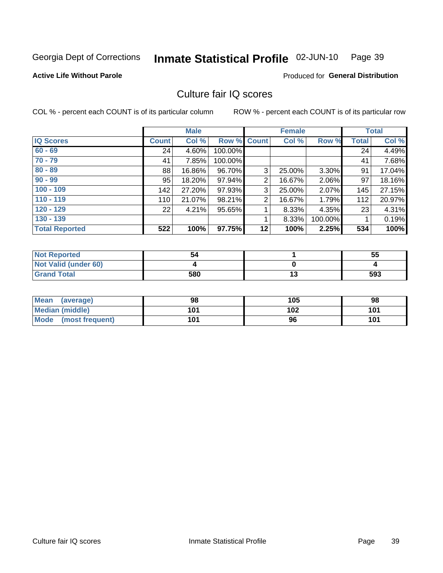#### Inmate Statistical Profile 02-JUN-10 Page 39

### **Active Life Without Parole**

**Produced for General Distribution** 

## Culture fair IQ scores

COL % - percent each COUNT is of its particular column

|                       |              | <b>Male</b> |                    |                | <b>Female</b> |          |              | <b>Total</b> |
|-----------------------|--------------|-------------|--------------------|----------------|---------------|----------|--------------|--------------|
| <b>IQ Scores</b>      | <b>Count</b> | Col %       | <b>Row % Count</b> |                | Col %         | Row %    | <b>Total</b> | Col %        |
| $60 - 69$             | 24           | 4.60%       | 100.00%            |                |               |          | 24           | 4.49%        |
| $70 - 79$             | 41           | 7.85%       | 100.00%            |                |               |          | 41           | 7.68%        |
| $80 - 89$             | 88           | 16.86%      | 96.70%             | 3              | 25.00%        | $3.30\%$ | 91           | 17.04%       |
| $90 - 99$             | 95           | 18.20%      | 97.94%             | $\overline{2}$ | 16.67%        | 2.06%    | 97           | 18.16%       |
| $100 - 109$           | 142          | 27.20%      | 97.93%             | 3              | 25.00%        | 2.07%    | 145          | 27.15%       |
| $110 - 119$           | 110          | 21.07%      | 98.21%             | $\overline{2}$ | 16.67%        | 1.79%    | 112          | 20.97%       |
| $120 - 129$           | 22           | 4.21%       | 95.65%             |                | 8.33%         | 4.35%    | 23           | 4.31%        |
| $130 - 139$           |              |             |                    | 1              | 8.33%         | 100.00%  |              | 0.19%        |
| <b>Total Reported</b> | 522          | 100%        | 97.75%             | 12             | 100%          | 2.25%    | 534          | 100%         |

| <b>Not Reported</b>  | 54  | 55      |
|----------------------|-----|---------|
| Not Valid (under 60) |     |         |
| <b>Grand Total</b>   | 580 | <br>593 |

| Mean<br>(average)       | 98  | 105 | 98  |
|-------------------------|-----|-----|-----|
| <b>Median (middle)</b>  | 101 | 102 | 101 |
| Mode<br>(most frequent) | 101 | 96  | 101 |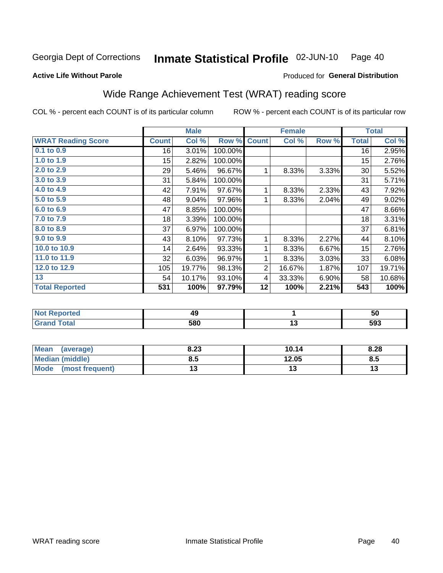#### Inmate Statistical Profile 02-JUN-10 Page 40

### **Active Life Without Parole**

## Produced for General Distribution

## Wide Range Achievement Test (WRAT) reading score

COL % - percent each COUNT is of its particular column

ROW % - percent each COUNT is of its particular row

|                           |              | <b>Male</b> |         |                | <b>Female</b>   |       |              | <b>Total</b>               |
|---------------------------|--------------|-------------|---------|----------------|-----------------|-------|--------------|----------------------------|
| <b>WRAT Reading Score</b> | <b>Count</b> | Col %       | Row %   | <b>Count</b>   | Col %           | Row % | <b>Total</b> | $\overline{\text{Col }^9}$ |
| 0.1 to 0.9                | 16           | 3.01%       | 100.00% |                |                 |       | 16           | 2.95%                      |
| 1.0 to 1.9                | 15           | 2.82%       | 100.00% |                |                 |       | 15           | 2.76%                      |
| 2.0 to 2.9                | 29           | 5.46%       | 96.67%  | 1              | 8.33%           | 3.33% | 30           | 5.52%                      |
| 3.0 to 3.9                | 31           | 5.84%       | 100.00% |                |                 |       | 31           | 5.71%                      |
| 4.0 to 4.9                | 42           | 7.91%       | 97.67%  | 1              | 8.33%           | 2.33% | 43           | 7.92%                      |
| 5.0 to 5.9                | 48           | 9.04%       | 97.96%  | 1              | 8.33%           | 2.04% | 49           | 9.02%                      |
| 6.0 to 6.9                | 47           | 8.85%       | 100.00% |                |                 |       | 47           | 8.66%                      |
| 7.0 to 7.9                | 18           | 3.39%       | 100.00% |                |                 |       | 18           | 3.31%                      |
| 8.0 to 8.9                | 37           | 6.97%       | 100.00% |                |                 |       | 37           | 6.81%                      |
| 9.0 to 9.9                | 43           | 8.10%       | 97.73%  | 1              | 8.33%           | 2.27% | 44           | 8.10%                      |
| 10.0 to 10.9              | 14           | 2.64%       | 93.33%  | 1              | 8.33%           | 6.67% | 15           | 2.76%                      |
| 11.0 to 11.9              | 32           | 6.03%       | 96.97%  | 1              | 8.33%           | 3.03% | 33           | 6.08%                      |
| 12.0 to 12.9              | 105          | 19.77%      | 98.13%  | $\overline{2}$ | 16.67%          | 1.87% | 107          | 19.71%                     |
| 13                        | 54           | 10.17%      | 93.10%  | 4              | 33.33%          | 6.90% | 58           | 10.68%                     |
| <b>Total Reported</b>     | 531          | 100%        | 97.79%  | 12             | 100%            | 2.21% | 543          | 100%                       |
|                           |              |             |         |                |                 |       |              |                            |
| <b>Not Reported</b>       |              | 49          |         |                | $\mathbf{1}$    |       |              | 50                         |
| <b>Grand Total</b>        |              | 580         |         |                | $\overline{13}$ |       |              | 593                        |

| <b>Mean</b><br>(average) | 8.23 | 10.14 | 8.28 |
|--------------------------|------|-------|------|
| <b>Median (middle)</b>   | 8.5  | 12.05 | Ծ.J  |
| Mode<br>(most frequent)  |      | ıw    | ויי  |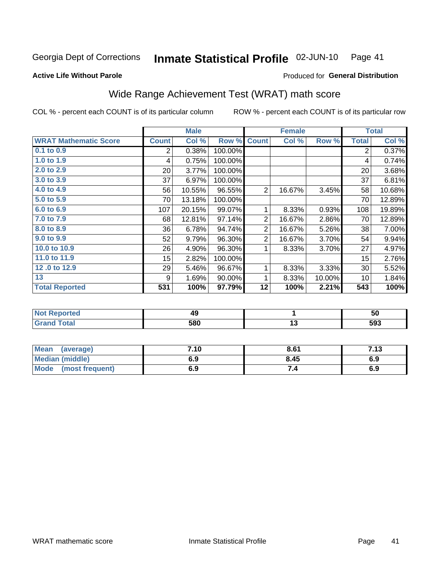#### Inmate Statistical Profile 02-JUN-10 Page 41

### **Active Life Without Parole**

## Produced for General Distribution

## Wide Range Achievement Test (WRAT) math score

COL % - percent each COUNT is of its particular column

ROW % - percent each COUNT is of its particular row

|                              |                | <b>Male</b> |         |                | <b>Female</b> |        |                | <b>Total</b> |
|------------------------------|----------------|-------------|---------|----------------|---------------|--------|----------------|--------------|
| <b>WRAT Mathematic Score</b> | <b>Count</b>   | Col %       | Row %   | <b>Count</b>   | Col %         | Row %  | <b>Total</b>   | Col %        |
| 0.1 to 0.9                   | $\overline{2}$ | 0.38%       | 100.00% |                |               |        | $\overline{2}$ | 0.37%        |
| 1.0 to 1.9                   | 4              | 0.75%       | 100.00% |                |               |        | 4              | 0.74%        |
| 2.0 to 2.9                   | 20             | 3.77%       | 100.00% |                |               |        | 20             | 3.68%        |
| 3.0 to 3.9                   | 37             | 6.97%       | 100.00% |                |               |        | 37             | 6.81%        |
| 4.0 to 4.9                   | 56             | 10.55%      | 96.55%  | $\overline{2}$ | 16.67%        | 3.45%  | 58             | 10.68%       |
| 5.0 t0 5.9                   | 70             | 13.18%      | 100.00% |                |               |        | 70             | 12.89%       |
| 6.0 to 6.9                   | 107            | 20.15%      | 99.07%  | 1              | 8.33%         | 0.93%  | 108            | 19.89%       |
| 7.0 to 7.9                   | 68             | 12.81%      | 97.14%  | $\overline{2}$ | 16.67%        | 2.86%  | 70             | 12.89%       |
| 8.0 to 8.9                   | 36             | 6.78%       | 94.74%  | $\overline{2}$ | 16.67%        | 5.26%  | 38             | 7.00%        |
| 9.0 to 9.9                   | 52             | 9.79%       | 96.30%  | $\overline{2}$ | 16.67%        | 3.70%  | 54             | 9.94%        |
| 10.0 to 10.9                 | 26             | 4.90%       | 96.30%  | 1              | 8.33%         | 3.70%  | 27             | 4.97%        |
| 11.0 to 11.9                 | 15             | 2.82%       | 100.00% |                |               |        | 15             | 2.76%        |
| 12.0 to 12.9                 | 29             | 5.46%       | 96.67%  | 1              | 8.33%         | 3.33%  | 30             | 5.52%        |
| 13                           | 9              | 1.69%       | 90.00%  | 1              | 8.33%         | 10.00% | 10             | 1.84%        |
| <b>Total Reported</b>        | 531            | 100%        | 97.79%  | 12             | 100%          | 2.21%  | 543            | 100%         |
|                              |                |             |         |                |               |        |                |              |
| <b>Not Reported</b>          |                | 49          |         |                | 1             |        |                | 50           |
| <b>Grand Total</b>           |                | 580         |         |                | 13            |        |                | 593          |

| Mean<br>(average)       | 7.10 | 8.61 | - 42<br>. ש |
|-------------------------|------|------|-------------|
| <b>Median (middle)</b>  | 6.9  | 8.45 | 6.9         |
| Mode<br>(most frequent) | 6.9  |      | 6.9         |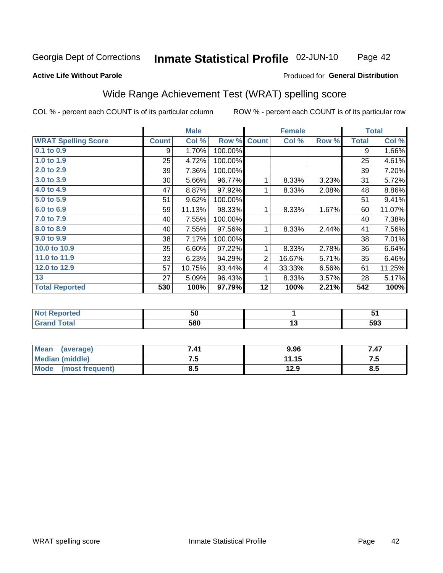#### **Inmate Statistical Profile 02-JUN-10** Page 42

### **Active Life Without Parole**

### Produced for General Distribution

## Wide Range Achievement Test (WRAT) spelling score

COL % - percent each COUNT is of its particular column

|                            |              | <b>Male</b> |         |              | <b>Female</b> |       |              | <b>Total</b> |
|----------------------------|--------------|-------------|---------|--------------|---------------|-------|--------------|--------------|
| <b>WRAT Spelling Score</b> | <b>Count</b> | Col %       | Row %   | <b>Count</b> | Col %         | Row % | <b>Total</b> | Col %        |
| $0.1$ to $0.9$             | 9            | 1.70%       | 100.00% |              |               |       | 9            | 1.66%        |
| 1.0 to 1.9                 | 25           | 4.72%       | 100.00% |              |               |       | 25           | 4.61%        |
| 2.0 to 2.9                 | 39           | 7.36%       | 100.00% |              |               |       | 39           | 7.20%        |
| 3.0 to 3.9                 | 30           | 5.66%       | 96.77%  | 1            | 8.33%         | 3.23% | 31           | 5.72%        |
| 4.0 to 4.9                 | 47           | 8.87%       | 97.92%  | 1            | 8.33%         | 2.08% | 48           | 8.86%        |
| 5.0 to 5.9                 | 51           | 9.62%       | 100.00% |              |               |       | 51           | 9.41%        |
| 6.0 to 6.9                 | 59           | 11.13%      | 98.33%  | 1            | 8.33%         | 1.67% | 60           | 11.07%       |
| 7.0 to 7.9                 | 40           | 7.55%       | 100.00% |              |               |       | 40           | 7.38%        |
| 8.0 to 8.9                 | 40           | 7.55%       | 97.56%  | 1            | 8.33%         | 2.44% | 41           | 7.56%        |
| 9.0 to 9.9                 | 38           | 7.17%       | 100.00% |              |               |       | 38           | 7.01%        |
| 10.0 to 10.9               | 35           | 6.60%       | 97.22%  | 1            | 8.33%         | 2.78% | 36           | 6.64%        |
| 11.0 to 11.9               | 33           | 6.23%       | 94.29%  | $\sqrt{2}$   | 16.67%        | 5.71% | 35           | 6.46%        |
| 12.0 to 12.9               | 57           | 10.75%      | 93.44%  | 4            | 33.33%        | 6.56% | 61           | 11.25%       |
| 13                         | 27           | 5.09%       | 96.43%  | 1            | 8.33%         | 3.57% | 28           | 5.17%        |
| <b>Total Reported</b>      | 530          | 100%        | 97.79%  | 12           | 100%          | 2.21% | 542          | 100%         |
|                            |              |             |         |              |               |       |              |              |
| <b>Not Reported</b>        |              | 50          |         |              | 1             |       |              | 51           |
| <b>Grand Total</b>         |              | 580         |         |              | 13            |       |              | 593          |

| Mean<br>(average)      | 7.41 | 9.96  | 7.47 |
|------------------------|------|-------|------|
| <b>Median (middle)</b> | ں ،  | 11.15 | ن. ا |
| Mode (most frequent)   | ช.อ  | 12.9  | 8.5  |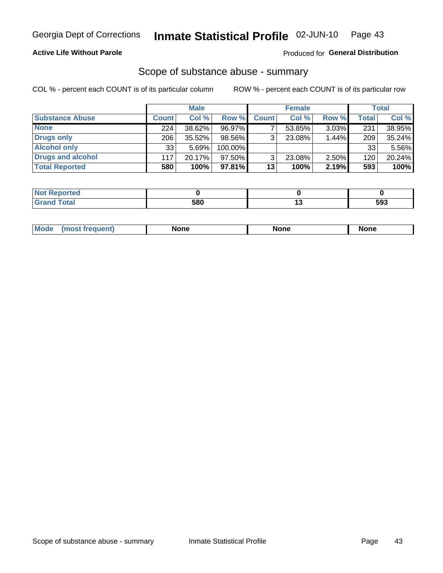## **Active Life Without Parole**

## Produced for General Distribution

## Scope of substance abuse - summary

COL % - percent each COUNT is of its particular column

|                        |                  | <b>Male</b> |           |              | <b>Female</b> |          |       | Total  |
|------------------------|------------------|-------------|-----------|--------------|---------------|----------|-------|--------|
| <b>Substance Abuse</b> | <b>Count</b>     | Col %       | Row %     | <b>Count</b> | Col %         | Row %    | Total | Col %  |
| <b>None</b>            | 224 <sub>1</sub> | 38.62%      | 96.97%    |              | 53.85%        | $3.03\%$ | 231   | 38.95% |
| <b>Drugs only</b>      | 206              | $35.52\%$   | 98.56%    | 3            | 23.08%        | 1.44%    | 209   | 35.24% |
| <b>Alcohol only</b>    | 33               | 5.69%       | 100.00%   |              |               |          | 33    | 5.56%  |
| Drugs and alcohol      | 117              | 20.17%      | 97.50%    | 3            | 23.08%        | 2.50%    | 120   | 20.24% |
| <b>Total Reported</b>  | 580              | 100%        | $97.81\%$ | 13           | 100%          | 2.19%    | 593   | 100%   |

| <b>Not</b><br>Reported       |     |     |
|------------------------------|-----|-----|
| <b>Total</b><br><b>Grand</b> | 580 | 593 |

| nuem | <b>Mo</b> | None | <b>None</b> | None |
|------|-----------|------|-------------|------|
|------|-----------|------|-------------|------|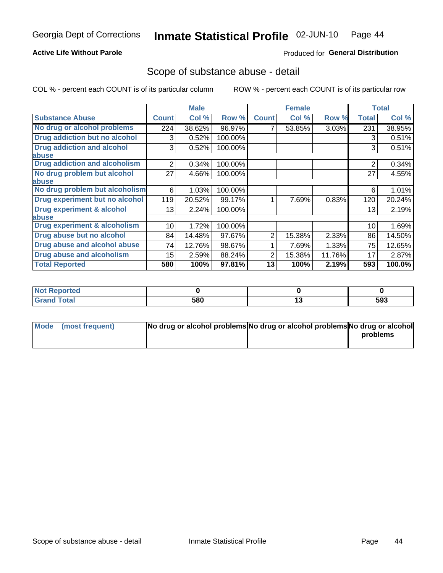## **Active Life Without Parole**

## Produced for General Distribution

## Scope of substance abuse - detail

COL % - percent each COUNT is of its particular column

|                                         |                | <b>Male</b> |         |              | <b>Female</b> |        |                | <b>Total</b> |
|-----------------------------------------|----------------|-------------|---------|--------------|---------------|--------|----------------|--------------|
| <b>Substance Abuse</b>                  | <b>Count</b>   | Col %       | Row %   | <b>Count</b> | Col %         | Row %  | <b>Total</b>   | Col %        |
| No drug or alcohol problems             | 224            | 38.62%      | 96.97%  |              | 53.85%        | 3.03%  | 231            | 38.95%       |
| Drug addiction but no alcohol           | 3              | 0.52%       | 100.00% |              |               |        | 3              | 0.51%        |
| <b>Drug addiction and alcohol</b>       | 3              | 0.52%       | 100.00% |              |               |        | 3              | 0.51%        |
| abuse                                   |                |             |         |              |               |        |                |              |
| <b>Drug addiction and alcoholism</b>    | $\overline{2}$ | 0.34%       | 100.00% |              |               |        | $\overline{2}$ | 0.34%        |
| No drug problem but alcohol             | 27             | 4.66%       | 100.00% |              |               |        | 27             | 4.55%        |
| abuse                                   |                |             |         |              |               |        |                |              |
| No drug problem but alcoholism          | 6              | 1.03%       | 100.00% |              |               |        | 6              | 1.01%        |
| Drug experiment but no alcohol          | 119            | 20.52%      | 99.17%  |              | 7.69%         | 0.83%  | 120            | 20.24%       |
| <b>Drug experiment &amp; alcohol</b>    | 13             | 2.24%       | 100.00% |              |               |        | 13             | 2.19%        |
| abuse                                   |                |             |         |              |               |        |                |              |
| <b>Drug experiment &amp; alcoholism</b> | 10             | 1.72%       | 100.00% |              |               |        | 10             | 1.69%        |
| Drug abuse but no alcohol               | 84             | 14.48%      | 97.67%  | 2            | 15.38%        | 2.33%  | 86             | 14.50%       |
| Drug abuse and alcohol abuse            | 74             | 12.76%      | 98.67%  |              | 7.69%         | 1.33%  | 75             | 12.65%       |
| <b>Drug abuse and alcoholism</b>        | 15             | 2.59%       | 88.24%  | 2            | 15.38%        | 11.76% | 17             | 2.87%        |
| <b>Total Reported</b>                   | 580            | 100%        | 97.81%  | 13           | 100%          | 2.19%  | 593            | 100.0%       |

| ported<br>NOT |     |    |     |
|---------------|-----|----|-----|
| $\sim$        | 580 | יי | 593 |

| Mode (most frequent) | No drug or alcohol problems No drug or alcohol problems No drug or alcohol |          |
|----------------------|----------------------------------------------------------------------------|----------|
|                      |                                                                            | problems |
|                      |                                                                            |          |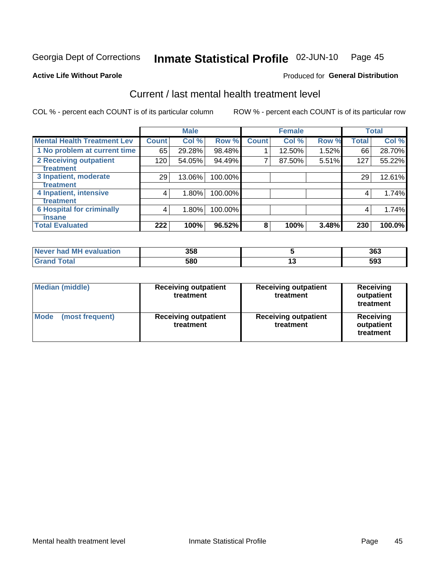#### Inmate Statistical Profile 02-JUN-10 Page 45

**Produced for General Distribution** 

## **Active Life Without Parole**

## Current / last mental health treatment level

COL % - percent each COUNT is of its particular column

|                                    |              | <b>Male</b> |         |              | <b>Female</b> |       |              | <b>Total</b> |
|------------------------------------|--------------|-------------|---------|--------------|---------------|-------|--------------|--------------|
| <b>Mental Health Treatment Lev</b> | <b>Count</b> | Col %       | Row %   | <b>Count</b> | Col %         | Row % | <b>Total</b> | Col %        |
| 1 No problem at current time       | 65           | 29.28%      | 98.48%  |              | 12.50%        | 1.52% | 66           | 28.70%       |
| 2 Receiving outpatient             | 120          | 54.05%      | 94.49%  | 7            | 87.50%        | 5.51% | 127          | 55.22%       |
| Treatment                          |              |             |         |              |               |       |              |              |
| 3 Inpatient, moderate              | 29           | 13.06%      | 100.00% |              |               |       | 29           | 12.61%       |
| Treatment                          |              |             |         |              |               |       |              |              |
| 4 Inpatient, intensive             | 4            | 1.80%       | 100.00% |              |               |       | 4            | 1.74%        |
| Treatment                          |              |             |         |              |               |       |              |              |
| <b>6 Hospital for criminally</b>   | 4            | 1.80%       | 100.00% |              |               |       | 4            | 1.74%        |
| <b>T</b> nsane                     |              |             |         |              |               |       |              |              |
| <b>Total Evaluated</b>             | 222          | 100%        | 96.52%  | 8            | 100%          | 3.48% | 230          | 100.0%       |

| <b>evaluation</b><br>Never had MI | 358 |            | 363 |
|-----------------------------------|-----|------------|-----|
| $int^{\bullet}$                   | 580 | <br>$\sim$ | 593 |

| <b>Median (middle)</b>  | <b>Receiving outpatient</b><br>treatment | <b>Receiving outpatient</b><br>treatment | <b>Receiving</b><br>outpatient<br>treatment |  |
|-------------------------|------------------------------------------|------------------------------------------|---------------------------------------------|--|
| Mode<br>(most frequent) | <b>Receiving outpatient</b><br>treatment | <b>Receiving outpatient</b><br>treatment | <b>Receiving</b><br>outpatient<br>treatment |  |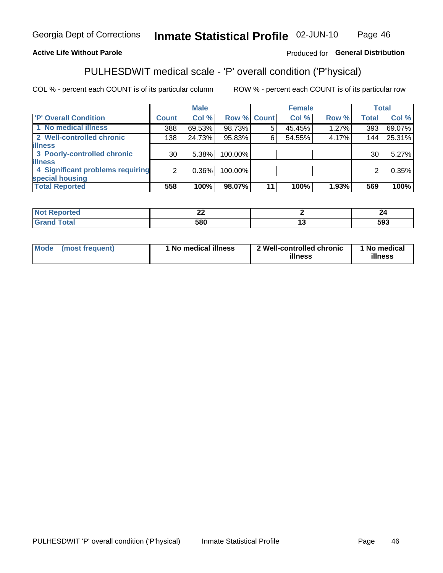#### Inmate Statistical Profile 02-JUN-10 Page 46

## **Active Life Without Parole**

## Produced for General Distribution

# PULHESDWIT medical scale - 'P' overall condition ('P'hysical)

COL % - percent each COUNT is of its particular column

|                                  |                 | <b>Male</b> |         |             | <b>Female</b> |       |              | <b>Total</b> |
|----------------------------------|-----------------|-------------|---------|-------------|---------------|-------|--------------|--------------|
| 'P' Overall Condition            | Count l         | Col %       |         | Row % Count | Col %         | Row % | <b>Total</b> | Col %        |
| 1 No medical illness             | 388             | 69.53%      | 98.73%  | 5           | 45.45%        | 1.27% | 393          | 69.07%       |
| 2 Well-controlled chronic        | 138             | 24.73%      | 95.83%  | 6           | 54.55%        | 4.17% | 144          | 25.31%       |
| <b>illness</b>                   |                 |             |         |             |               |       |              |              |
| 3 Poorly-controlled chronic      | 30 <sub>1</sub> | 5.38%       | 100.00% |             |               |       | 30           | 5.27%        |
| <b>illness</b>                   |                 |             |         |             |               |       |              |              |
| 4 Significant problems requiring | 2               | $0.36\%$    | 100.00% |             |               |       | 2            | 0.35%        |
| special housing                  |                 |             |         |             |               |       |              |              |
| <b>Total Reported</b>            | 558             | 100%        | 98.07%  | 11          | 100%          | 1.93% | 569          | 100%         |

|       | $\overline{\phantom{a}}$<br>-- |     |
|-------|--------------------------------|-----|
| _____ | 580                            | 593 |

| <b>Mode</b> | (most frequent) | 1 No medical illness | 2 Well-controlled chronic<br>illness | 1 No medical<br>illness |
|-------------|-----------------|----------------------|--------------------------------------|-------------------------|
|-------------|-----------------|----------------------|--------------------------------------|-------------------------|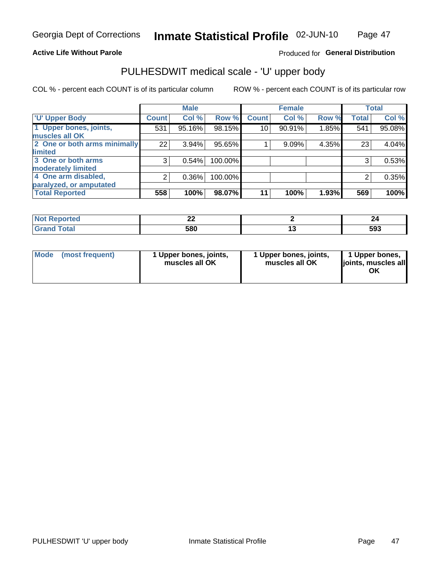### **Active Life Without Parole**

## Produced for General Distribution

# PULHESDWIT medical scale - 'U' upper body

COL % - percent each COUNT is of its particular column

|                              |                    | <b>Male</b> |         |              | <b>Female</b> |       |              | <b>Total</b> |
|------------------------------|--------------------|-------------|---------|--------------|---------------|-------|--------------|--------------|
| <b>'U' Upper Body</b>        | Count <sup>1</sup> | Col %       | Row %   | <b>Count</b> | Col %         | Row % | <b>Total</b> | Col %        |
| 1 Upper bones, joints,       | 531                | 95.16%      | 98.15%  | 10           | 90.91%        | 1.85% | 541          | 95.08%       |
| muscles all OK               |                    |             |         |              |               |       |              |              |
| 2 One or both arms minimally | 22                 | 3.94%       | 95.65%  |              | 9.09%         | 4.35% | 23           | 4.04%        |
| limited                      |                    |             |         |              |               |       |              |              |
| 3 One or both arms           | 3                  | 0.54%       | 100.00% |              |               |       | 3            | 0.53%        |
| moderately limited           |                    |             |         |              |               |       |              |              |
| 4 One arm disabled,          | 2                  | 0.36%       | 100.00% |              |               |       | 2            | 0.35%        |
| paralyzed, or amputated      |                    |             |         |              |               |       |              |              |
| <b>Total Reported</b>        | 558                | 100%        | 98.07%  | 11           | 100%          | 1.93% | 569          | 100%         |

| prtea<br>NOT I | --- |     |
|----------------|-----|-----|
| <b>Total</b>   | 580 | 593 |

| Mode | (most frequent) | 1 Upper bones, joints,<br>muscles all OK | 1 Upper bones, joints,<br>muscles all OK | 1 Upper bones,<br>ljoints, muscles all<br>ΟK |
|------|-----------------|------------------------------------------|------------------------------------------|----------------------------------------------|
|------|-----------------|------------------------------------------|------------------------------------------|----------------------------------------------|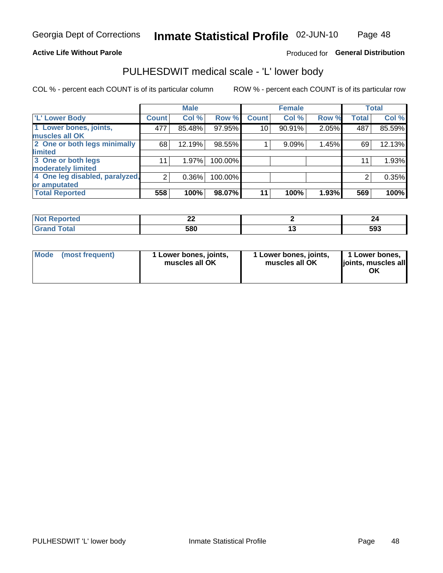### **Active Life Without Parole**

## Produced for General Distribution

## PULHESDWIT medical scale - 'L' lower body

COL % - percent each COUNT is of its particular column

|                                |              | <b>Male</b> |         |              | <b>Female</b> |       |              | <b>Total</b> |
|--------------------------------|--------------|-------------|---------|--------------|---------------|-------|--------------|--------------|
| 'L' Lower Body                 | <b>Count</b> | Col %       | Row %   | <b>Count</b> | Col %         | Row % | <b>Total</b> | Col %        |
| 1 Lower bones, joints,         | 477          | 85.48%      | 97.95%  | 10           | 90.91%        | 2.05% | 487          | 85.59%       |
| muscles all OK                 |              |             |         |              |               |       |              |              |
| 2 One or both legs minimally   | 68           | 12.19%      | 98.55%  |              | 9.09%         | 1.45% | 69           | 12.13%       |
| limited                        |              |             |         |              |               |       |              |              |
| 3 One or both legs             | 11           | 1.97%       | 100.00% |              |               |       | 11           | 1.93%        |
| moderately limited             |              |             |         |              |               |       |              |              |
| 4 One leg disabled, paralyzed, | 2            | 0.36%       | 100.00% |              |               |       | 2            | 0.35%        |
| or amputated                   |              |             |         |              |               |       |              |              |
| <b>Total Reported</b>          | 558          | 100%        | 98.07%  | 11           | 100%          | 1.93% | 569          | 100%         |

| prtea<br>NOT I | --- |     |
|----------------|-----|-----|
| <b>Total</b>   | 580 | 593 |

| Mode | (most frequent) | 1 Lower bones, joints,<br>muscles all OK | 1 Lower bones, joints,<br>muscles all OK | 1 Lower bones,<br>ljoints, muscles all<br>ΟK |
|------|-----------------|------------------------------------------|------------------------------------------|----------------------------------------------|
|------|-----------------|------------------------------------------|------------------------------------------|----------------------------------------------|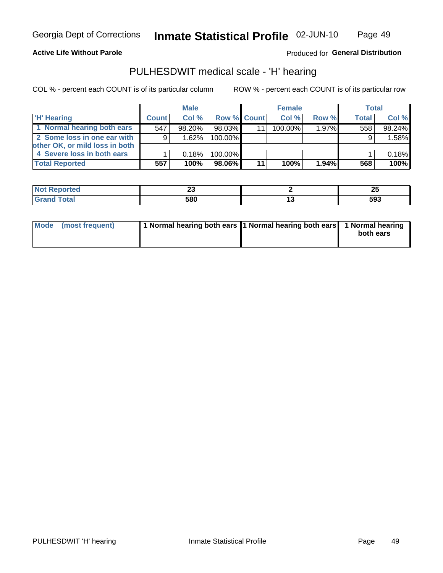### **Active Life Without Parole**

Produced for General Distribution

## PULHESDWIT medical scale - 'H' hearing

COL % - percent each COUNT is of its particular column

|                                |              | <b>Male</b> |                    | <b>Female</b> |       | <b>Total</b> |        |
|--------------------------------|--------------|-------------|--------------------|---------------|-------|--------------|--------|
| <b>H' Hearing</b>              | <b>Count</b> | Col %       | <b>Row % Count</b> | Col%          | Row % | <b>Total</b> | Col %  |
| 1 Normal hearing both ears     | 547          | 98.20%      | 98.03%             | 100.00%       | 1.97% | 558          | 98.24% |
| 2 Some loss in one ear with    | 9            | 1.62%       | 100.00%            |               |       | 9            | 1.58%  |
| other OK, or mild loss in both |              |             |                    |               |       |              |        |
| 4 Severe loss in both ears     |              | 0.18%       | 100.00%            |               |       |              | 0.18%  |
| <b>Total Reported</b>          | 557          | 100%        | 98.06%             | 100%          | 1.94% | 568          | 100%   |

| тео    | - -<br>~~ | --<br>w |
|--------|-----------|---------|
| $\sim$ | 580       | 593     |

| Mode (most frequent) | 1 Normal hearing both ears 1 Normal hearing both ears 1 Normal hearing |           |
|----------------------|------------------------------------------------------------------------|-----------|
|                      |                                                                        | both ears |
|                      |                                                                        |           |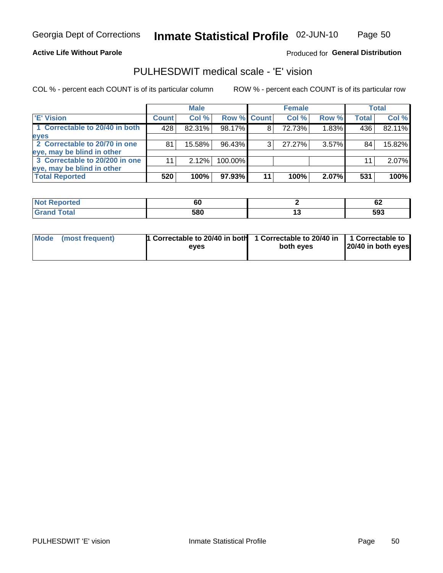### **Active Life Without Parole**

## Produced for General Distribution

## PULHESDWIT medical scale - 'E' vision

COL % - percent each COUNT is of its particular column

|                                |              | <b>Male</b> |                    |    | <b>Female</b> |          |              | Total  |
|--------------------------------|--------------|-------------|--------------------|----|---------------|----------|--------------|--------|
| 'E' Vision                     | <b>Count</b> | Col %       | <b>Row % Count</b> |    | Col %         | Row %    | <b>Total</b> | Col %  |
| 1 Correctable to 20/40 in both | 428          | 82.31%      | 98.17%             | 8  | 72.73%        | 1.83%    | 436          | 82.11% |
| eyes                           |              |             |                    |    |               |          |              |        |
| 2 Correctable to 20/70 in one  | 81           | 15.58%      | 96.43%             | 3  | 27.27%        | $3.57\%$ | 84           | 15.82% |
| eye, may be blind in other     |              |             |                    |    |               |          |              |        |
| 3 Correctable to 20/200 in one |              | 2.12%       | 100.00%            |    |               |          | 11           | 2.07%  |
| eye, may be blind in other     |              |             |                    |    |               |          |              |        |
| <b>Total Reported</b>          | 520          | 100%        | 97.93%             | 11 | 100%          | 2.07%    | 531          | 100%   |

| rted<br>кемон | юL  | <br><u>UL</u> |
|---------------|-----|---------------|
| $\sim$        | 580 | 593           |

| <b>Mode</b> | (most frequent) | 1 Correctable to 20/40 in both | 1 Correctable to 20/40 in   1 Correctable to |                    |
|-------------|-----------------|--------------------------------|----------------------------------------------|--------------------|
|             |                 | eves                           | both eves                                    | 20/40 in both eyes |
|             |                 |                                |                                              |                    |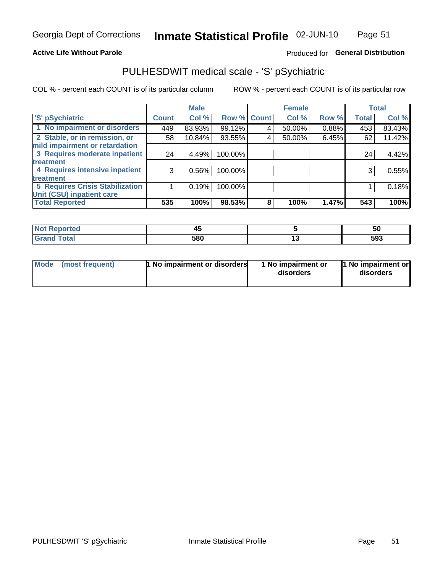### **Active Life Without Parole**

## Produced for General Distribution

## PULHESDWIT medical scale - 'S' pSychiatric

COL % - percent each COUNT is of its particular column

|                                        |              | <b>Male</b> |         |             | <b>Female</b> |       |              | <b>Total</b> |
|----------------------------------------|--------------|-------------|---------|-------------|---------------|-------|--------------|--------------|
| 'S' pSychiatric                        | <b>Count</b> | Col %       |         | Row % Count | Col %         | Row % | <b>Total</b> | Col %        |
| 1 No impairment or disorders           | 449          | 83.93%      | 99.12%  | 4           | 50.00%        | 0.88% | 453          | 83.43%       |
| 2 Stable, or in remission, or          | 58           | 10.84%      | 93.55%  | 4           | 50.00%        | 6.45% | 62           | 11.42%       |
| mild impairment or retardation         |              |             |         |             |               |       |              |              |
| 3 Requires moderate inpatient          | 24           | 4.49%       | 100.00% |             |               |       | 24           | 4.42%        |
| treatment                              |              |             |         |             |               |       |              |              |
| 4 Requires intensive inpatient         | 3            | 0.56%       | 100.00% |             |               |       | 3            | 0.55%        |
| <b>treatment</b>                       |              |             |         |             |               |       |              |              |
| <b>5 Requires Crisis Stabilization</b> |              | 0.19%       | 100.00% |             |               |       |              | 0.18%        |
| Unit (CSU) inpatient care              |              |             |         |             |               |       |              |              |
| <b>Total Reported</b>                  | 535          | 100%        | 98.53%  | 8           | 100%          | 1.47% | 543          | 100%         |

| <b>Not Reported</b> | - - -<br>∼ | ას  |
|---------------------|------------|-----|
| <b>Total</b>        | 580        | 593 |

| Mode | (most frequent) | 1 No impairment or disorders | 1 No impairment or<br>disorders | 11 No impairment or<br>disorders |
|------|-----------------|------------------------------|---------------------------------|----------------------------------|
|------|-----------------|------------------------------|---------------------------------|----------------------------------|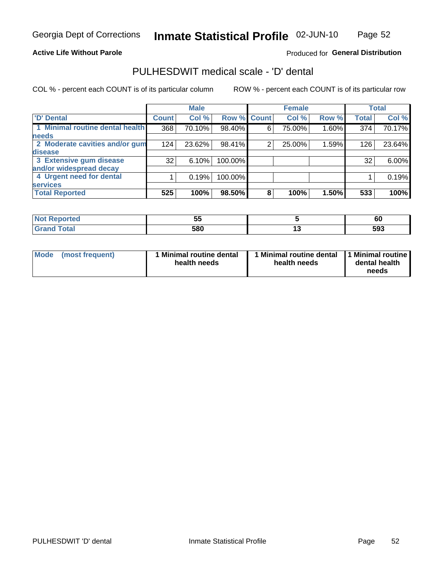### **Active Life Without Parole**

## Produced for General Distribution

## PULHESDWIT medical scale - 'D' dental

COL % - percent each COUNT is of its particular column

|                                 |                 | <b>Male</b> |             |   | <b>Female</b> |       |              | <b>Total</b> |
|---------------------------------|-----------------|-------------|-------------|---|---------------|-------|--------------|--------------|
| 'D' Dental                      | <b>Count</b>    | Col %       | Row % Count |   | Col %         | Row % | <b>Total</b> | Col %        |
| 1 Minimal routine dental health | 368             | 70.10%      | 98.40%      | 6 | 75.00%        | 1.60% | 374          | 70.17%       |
| <b>needs</b>                    |                 |             |             |   |               |       |              |              |
| 2 Moderate cavities and/or gum  | 124             | 23.62%      | 98.41%      | 2 | 25.00%        | 1.59% | 126          | 23.64%       |
| disease                         |                 |             |             |   |               |       |              |              |
| 3 Extensive gum disease         | 32 <sub>1</sub> | 6.10%       | 100.00%     |   |               |       | 32           | 6.00%        |
| and/or widespread decay         |                 |             |             |   |               |       |              |              |
| 4 Urgent need for dental        |                 | 0.19%       | 100.00%     |   |               |       |              | 0.19%        |
| <b>services</b>                 |                 |             |             |   |               |       |              |              |
| <b>Total Reported</b>           | 525             | 100%        | 98.50%      | 8 | 100%          | 1.50% | 533          | 100%         |

| المناسب المسار<br>rtea | --<br>$\sim$<br>v. |    | c'<br>οu |
|------------------------|--------------------|----|----------|
| $f \sim f \sim f$      | 580<br>uu          | __ | 593      |

| Mode | (most frequent) | <b>Minimal routine dental</b><br>health needs | 1 Minimal routine dental<br>health needs | 11 Minimal routine<br>dental health<br>needs |
|------|-----------------|-----------------------------------------------|------------------------------------------|----------------------------------------------|
|------|-----------------|-----------------------------------------------|------------------------------------------|----------------------------------------------|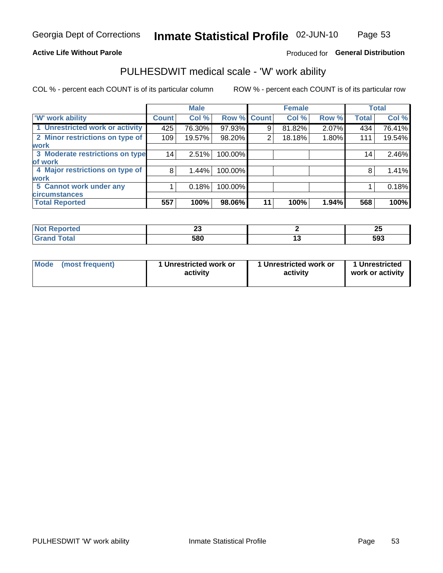### **Active Life Without Parole**

## Produced for General Distribution

## PULHESDWIT medical scale - 'W' work ability

COL % - percent each COUNT is of its particular column

|                                 |              | <b>Male</b> |         |             | <b>Female</b> |       |              | <b>Total</b> |
|---------------------------------|--------------|-------------|---------|-------------|---------------|-------|--------------|--------------|
| <b>W' work ability</b>          | <b>Count</b> | Col %       |         | Row % Count | Col %         | Row % | <b>Total</b> | Col %        |
| 1 Unrestricted work or activity | 425          | 76.30%      | 97.93%  | 9           | 81.82%        | 2.07% | 434          | 76.41%       |
| 2 Minor restrictions on type of | 109          | 19.57%      | 98.20%  | 2           | 18.18%        | 1.80% | 111          | 19.54%       |
| <b>work</b>                     |              |             |         |             |               |       |              |              |
| 3 Moderate restrictions on type | 14           | 2.51%       | 100.00% |             |               |       | 14           | 2.46%        |
| lof work                        |              |             |         |             |               |       |              |              |
| 4 Major restrictions on type of | 8            | 1.44%       | 100.00% |             |               |       | 8            | 1.41%        |
| <b>work</b>                     |              |             |         |             |               |       |              |              |
| 5 Cannot work under any         |              | 0.18%       | 100.00% |             |               |       |              | 0.18%        |
| <b>circumstances</b>            |              |             |         |             |               |       |              |              |
| <b>Total Reported</b>           | 557          | 100%        | 98.06%  | 11          | 100%          | 1.94% | 568          | 100%         |

| <b>Not Reported</b> | $\sim$<br>-- | ΩL<br>-- |
|---------------------|--------------|----------|
| <b>Grand Total</b>  | 580          | 593      |

| <b>Mode</b> | (most frequent) | 1 Unrestricted work or<br>activity | 1 Unrestricted work or<br>activity | 1 Unrestricted<br>work or activity |
|-------------|-----------------|------------------------------------|------------------------------------|------------------------------------|
|-------------|-----------------|------------------------------------|------------------------------------|------------------------------------|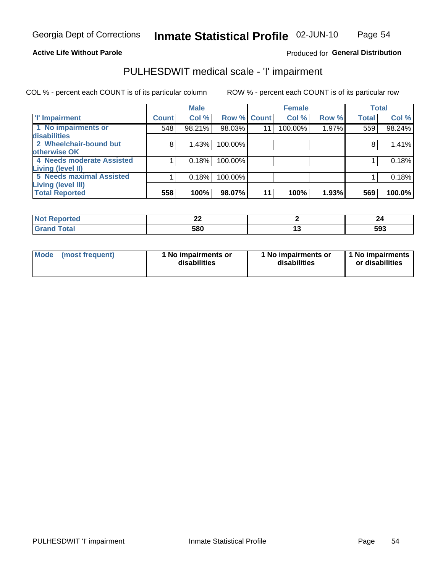### **Active Life Without Parole**

## Produced for General Distribution

## PULHESDWIT medical scale - 'I' impairment

COL % - percent each COUNT is of its particular column ROW % - percent each COUNT is of its particular row

|                           |              | <b>Male</b> |             |    | <b>Female</b> |       |              | <b>Total</b> |
|---------------------------|--------------|-------------|-------------|----|---------------|-------|--------------|--------------|
| <b>T' Impairment</b>      | <b>Count</b> | Col %       | Row % Count |    | Col %         | Row % | <b>Total</b> | Col %        |
| 1 No impairments or       | 548          | 98.21%      | 98.03%      | 11 | 100.00%       | 1.97% | 559          | 98.24%       |
| disabilities              |              |             |             |    |               |       |              |              |
| 2 Wheelchair-bound but    | 8            | 1.43%       | 100.00%     |    |               |       |              | 1.41%        |
| otherwise OK              |              |             |             |    |               |       |              |              |
| 4 Needs moderate Assisted |              | 0.18%       | 100.00%     |    |               |       |              | 0.18%        |
| Living (level II)         |              |             |             |    |               |       |              |              |
| 5 Needs maximal Assisted  |              | 0.18%       | 100.00%     |    |               |       |              | 0.18%        |
| <b>Living (level III)</b> |              |             |             |    |               |       |              |              |
| <b>Total Reported</b>     | 558          | 100%        | 98.07%      | 11 | 100%          | 1.93% | 569          | 100.0%       |

| orted | ^^<br><u>__</u> | 47  |
|-------|-----------------|-----|
|       | 580             | 593 |

| <b>Mode</b>     | 1 No impairments or | 1 No impairments or | 1 No impairments |
|-----------------|---------------------|---------------------|------------------|
| (most frequent) | disabilities        | disabilities        | or disabilities  |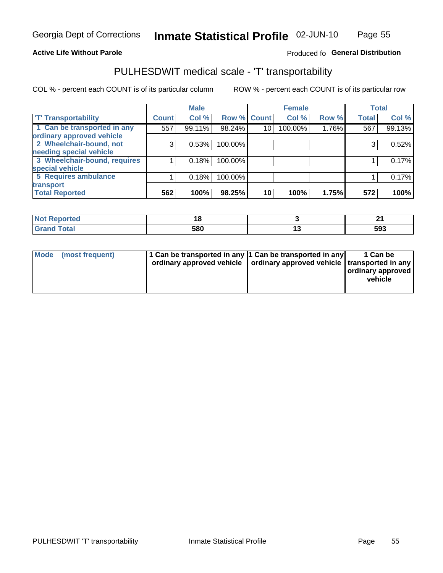### **Active Life Without Parole**

### Produced fo General Distribution

## PULHESDWIT medical scale - 'T' transportability

COL % - percent each COUNT is of its particular column

|                              |              | <b>Male</b> |             |    | <b>Female</b> |       |              | <b>Total</b> |
|------------------------------|--------------|-------------|-------------|----|---------------|-------|--------------|--------------|
| <b>T' Transportability</b>   | <b>Count</b> | Col %       | Row % Count |    | Col %         | Row % | <b>Total</b> | Col %        |
| 1 Can be transported in any  | 557          | 99.11%      | 98.24%      | 10 | 100.00%       | 1.76% | 567          | 99.13%       |
| ordinary approved vehicle    |              |             |             |    |               |       |              |              |
| 2 Wheelchair-bound, not      | 3            | 0.53%       | 100.00%     |    |               |       | 3            | 0.52%        |
| needing special vehicle      |              |             |             |    |               |       |              |              |
| 3 Wheelchair-bound, requires |              | 0.18%       | 100.00%     |    |               |       |              | 0.17%        |
| special vehicle              |              |             |             |    |               |       |              |              |
| 5 Requires ambulance         |              | 0.18%       | 100.00%     |    |               |       |              | 0.17%        |
| transport                    |              |             |             |    |               |       |              |              |
| <b>Total Reported</b>        | 562          | 100%        | 98.25%      | 10 | 100%          | 1.75% | 572          | 100%         |

| .eported     |     | - - |
|--------------|-----|-----|
| <b>Total</b> | 580 | 593 |

| <b>Mode</b> | (most frequent) | 1 Can be transported in any 1 Can be transported in any | ordinary approved vehicle   ordinary approved vehicle   transported in any | 1 Can be<br>  ordinary approved  <br>vehicle |
|-------------|-----------------|---------------------------------------------------------|----------------------------------------------------------------------------|----------------------------------------------|
|-------------|-----------------|---------------------------------------------------------|----------------------------------------------------------------------------|----------------------------------------------|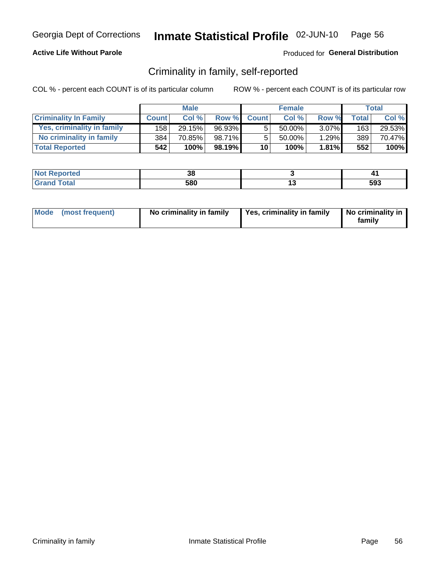## **Active Life Without Parole**

## Produced for General Distribution

## Criminality in family, self-reported

COL % - percent each COUNT is of its particular column

|                              |              | <b>Male</b> |        |              | <b>Female</b> |          |       | Total  |
|------------------------------|--------------|-------------|--------|--------------|---------------|----------|-------|--------|
| <b>Criminality In Family</b> | <b>Count</b> | Col %       | Row %  | <b>Count</b> | Col %         | Row %    | Total | Col %  |
| Yes, criminality in family   | 158 l        | 29.15%      | 96.93% | 5            | 50.00%        | $3.07\%$ | 163   | 29.53% |
| No criminality in family     | 384          | 70.85%      | 98.71% | 5            | 50.00%        | 1.29%    | 389   | 70.47% |
| <b>Total Reported</b>        | 542          | 100%        | 98.19% | 10           | 100%          | 1.81%    | 552   | 100%   |

| Reported<br>NOT | JU. | . . |
|-----------------|-----|-----|
| <b>otal</b>     | 580 | 593 |

|  | Mode (most frequent) | No criminality in family | Yes, criminality in family | No criminality in<br>family |
|--|----------------------|--------------------------|----------------------------|-----------------------------|
|--|----------------------|--------------------------|----------------------------|-----------------------------|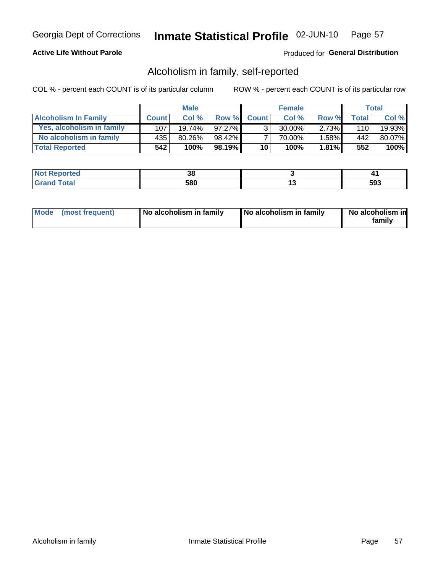## **Active Life Without Parole**

## Produced for General Distribution

## Alcoholism in family, self-reported

COL % - percent each COUNT is of its particular column

|                             |              | <b>Male</b> |        |                 | <b>Female</b> |          |       | Total  |
|-----------------------------|--------------|-------------|--------|-----------------|---------------|----------|-------|--------|
| <b>Alcoholism In Family</b> | <b>Count</b> | Col%        | Row %  | <b>Count</b>    | Col%          | Row %    | Total | Col %  |
| Yes, alcoholism in family   | 107          | $19.74\%$   | 97.27% | $\mathbf{r}$    | $30.00\%$     | $2.73\%$ | 110   | 19.93% |
| No alcoholism in family     | 435          | 80.26%      | 98.42% |                 | 70.00%        | 1.58%    | 442   | 80.07% |
| <b>Total Reported</b>       | 542          | 100%        | 98.19% | 10 <sub>1</sub> | 100%          | $1.81\%$ | 552   | 100%   |

| المنتبط المتعارض<br>$\bullet$ at $\bullet$ and $\bullet$ | Jυ  |     | . .        |
|----------------------------------------------------------|-----|-----|------------|
| ำfar                                                     | 580 | . . | -^^<br>უყკ |

|  | Mode (most frequent) | No alcoholism in family | No alcoholism in family | No alcoholism in<br>family |
|--|----------------------|-------------------------|-------------------------|----------------------------|
|--|----------------------|-------------------------|-------------------------|----------------------------|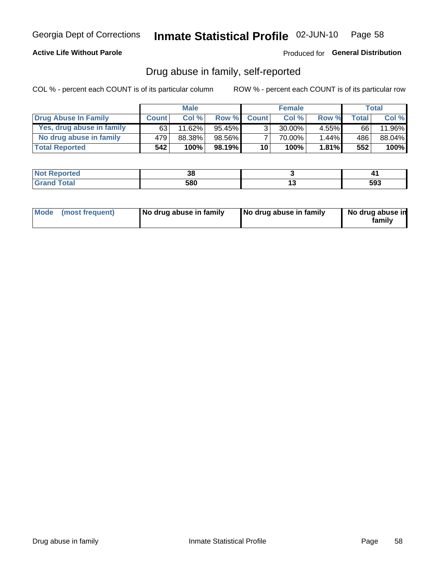## **Active Life Without Parole**

## Produced for General Distribution

## Drug abuse in family, self-reported

COL % - percent each COUNT is of its particular column

|                           |              | <b>Male</b> |           |                 | <b>Female</b> |          |       | Total  |
|---------------------------|--------------|-------------|-----------|-----------------|---------------|----------|-------|--------|
| Drug Abuse In Family      | <b>Count</b> | Col %       | Row %     | <b>Count</b>    | Col%          | Row %    | Total | Col %  |
| Yes, drug abuse in family | 63           | 11.62%      | $95.45\%$ | 3 <sub>1</sub>  | $30.00\%$     | $4.55\%$ | 66    | 11.96% |
| No drug abuse in family   | 479          | 88.38%      | 98.56%    | 7               | 70.00%        | 1.44%    | 486   | 88.04% |
| <b>Total Reported</b>     | 542          | 100%        | $98.19\%$ | 10 <sub>1</sub> | 100%          | 1.81%    | 552   | 100%   |

| <b>Not Reported</b>    | Ju  |     | . . |
|------------------------|-----|-----|-----|
| <b>Total</b><br>l Gran | 580 | . v | 593 |

|  | Mode (most frequent) | No drug abuse in family | No drug abuse in family | No drug abuse in<br>family |
|--|----------------------|-------------------------|-------------------------|----------------------------|
|--|----------------------|-------------------------|-------------------------|----------------------------|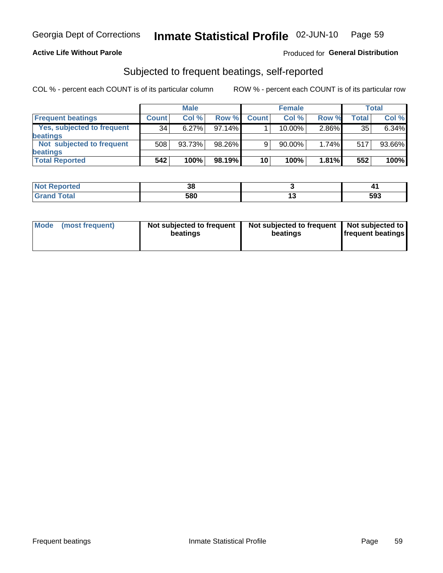### **Active Life Without Parole**

## Produced for General Distribution

## Subjected to frequent beatings, self-reported

COL % - percent each COUNT is of its particular column

|                            |              | <b>Male</b> |           |              | <b>Female</b> |       |       | Total  |
|----------------------------|--------------|-------------|-----------|--------------|---------------|-------|-------|--------|
| <b>Frequent beatings</b>   | <b>Count</b> | Col %       | Row %     | <b>Count</b> | Col %         | Row % | Total | Col %  |
| Yes, subjected to frequent | 34           | 6.27%       | 97.14%    |              | 10.00%        | 2.86% | 35    | 6.34%  |
| <b>beatings</b>            |              |             |           |              |               |       |       |        |
| Not subjected to frequent  | 508          | 93.73%      | 98.26%    | 9            | 90.00%        | 1.74% | 517   | 93.66% |
| <b>beatings</b>            |              |             |           |              |               |       |       |        |
| <b>Total Reported</b>      | 542          | 100%        | $98.19\%$ | 10           | 100%          | 1.81% | 552   | 100%   |

| <b>Not Reported</b> | ne.<br>IJΟ |     |     |
|---------------------|------------|-----|-----|
| <b>Total</b>        | 580        | . . | 593 |

| Mode (most frequent) | Not subjected to frequent<br>beatings | Not subjected to frequent<br>beatings | Not subjected to<br><b>frequent beatings</b> |
|----------------------|---------------------------------------|---------------------------------------|----------------------------------------------|
|                      |                                       |                                       |                                              |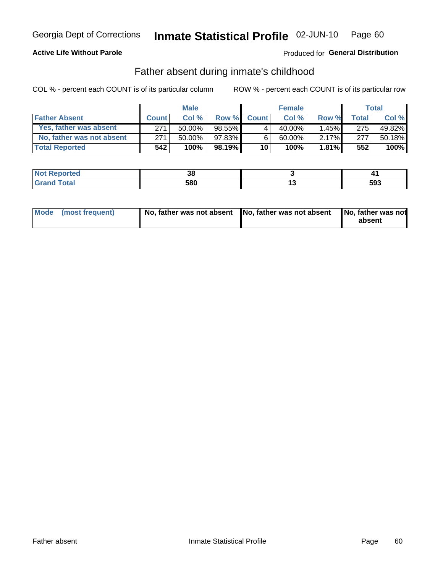## **Active Life Without Parole**

## Produced for General Distribution

## Father absent during inmate's childhood

COL % - percent each COUNT is of its particular column

|                           |              | <b>Male</b> |           |                 | <b>Female</b> |          |         | Total   |
|---------------------------|--------------|-------------|-----------|-----------------|---------------|----------|---------|---------|
| <b>Father Absent</b>      | <b>Count</b> | Col%        | Row %     | <b>Count</b>    | Col %         | Row %    | Total i | Col %   |
| Yes, father was absent    | 271          | 50.00%      | 98.55%    | 4               | 40.00%        | $1.45\%$ | 275     | 49.82%  |
| No, father was not absent | 271          | 50.00%      | 97.83%    | 6               | 60.00%        | $2.17\%$ | 277     | 50.18%  |
| <b>Total Reported</b>     | 542          | 100%        | $98.19\%$ | 10 <sup>1</sup> | 100%          | $1.81\%$ | 552     | $100\%$ |

| <b>Not Reported</b>      | JU. |     |
|--------------------------|-----|-----|
| <b>c</b> otal<br>' Grano | 580 | 593 |

|  | Mode (most frequent) | No, father was not absent No, father was not absent |  | No, father was not<br>absent |
|--|----------------------|-----------------------------------------------------|--|------------------------------|
|--|----------------------|-----------------------------------------------------|--|------------------------------|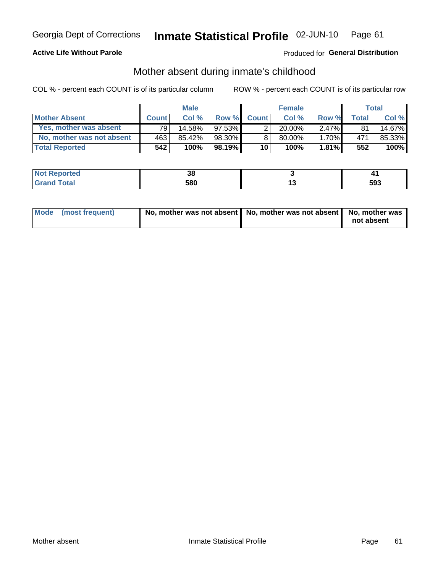## **Active Life Without Parole**

## Produced for General Distribution

## Mother absent during inmate's childhood

COL % - percent each COUNT is of its particular column

|                           |                 | <b>Male</b> |           |              | <b>Female</b> |          |         | <b>Total</b> |
|---------------------------|-----------------|-------------|-----------|--------------|---------------|----------|---------|--------------|
| <b>Mother Absent</b>      | <b>Count</b>    | Col%        | Row %     | <b>Count</b> | Col %         | Row %    | Total ⊧ | Col %        |
| Yes, mother was absent    | 79 <sub>1</sub> | 14.58%      | $97.53\%$ | ົ            | $20.00\%$     | $2.47\%$ | 81      | 14.67%       |
| No, mother was not absent | 463             | 85.42%      | 98.30%    | 8            | $80.00\%$     | $1.70\%$ | 471     | 85.33%       |
| <b>Total Reported</b>     | 542             | 100%        | $98.19\%$ | 10           | 100%          | 1.81%    | 552     | 100%         |

| <b>Reported</b><br><b>NO</b> t | υu  |     | .,  |
|--------------------------------|-----|-----|-----|
| <b>Total</b>                   | 580 | 1 v | 593 |

| Mode (most frequent) | No, mother was not absent   No, mother was not absent   No, mother was | not absent |
|----------------------|------------------------------------------------------------------------|------------|
|                      |                                                                        |            |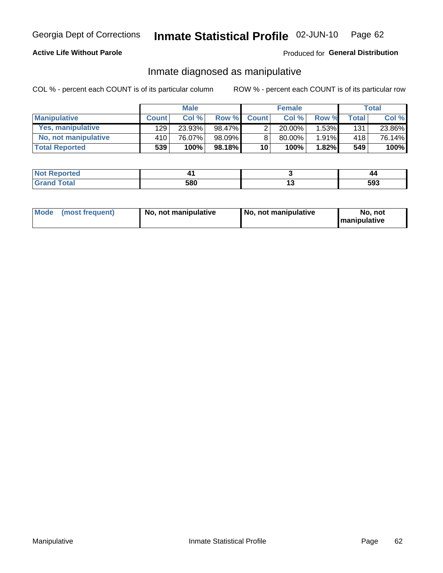## **Active Life Without Parole**

## Produced for General Distribution

## Inmate diagnosed as manipulative

COL % - percent each COUNT is of its particular column

|                       |              | <b>Male</b> |        |                 | <b>Female</b> |       |              | Total  |
|-----------------------|--------------|-------------|--------|-----------------|---------------|-------|--------------|--------|
| <b>Manipulative</b>   | <b>Count</b> | Col %       | Row %  | <b>Count</b>    | Col %         | Row % | <b>Total</b> | Col %  |
| Yes, manipulative     | 129          | 23.93%      | 98.47% | っ               | $20.00\%$     | 1.53% | 131          | 23.86% |
| No, not manipulative  | 410          | 76.07%      | 98.09% | 8               | 80.00%        | 1.91% | 418          | 76.14% |
| <b>Total Reported</b> | 539          | 100%        | 98.18% | 10 <sup>1</sup> | 100%          | 1.82% | 549          | 100%   |

| <b>Not Reported</b>           |     |   | 44  |
|-------------------------------|-----|---|-----|
| <b>c</b> otal<br><b>Grano</b> | 580 | . | 593 |

|  | Mode (most frequent) | No, not manipulative | No, not manipulative | No. not<br><b>I</b> manipulative |
|--|----------------------|----------------------|----------------------|----------------------------------|
|--|----------------------|----------------------|----------------------|----------------------------------|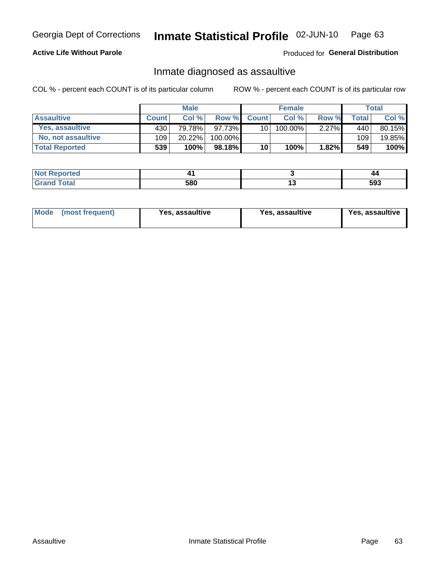#### Inmate Statistical Profile 02-JUN-10 Page 63

## **Active Life Without Parole**

Produced for General Distribution

## Inmate diagnosed as assaultive

COL % - percent each COUNT is of its particular column

|                       |              | <b>Male</b> |           |              | <b>Female</b> |          |         | Total  |
|-----------------------|--------------|-------------|-----------|--------------|---------------|----------|---------|--------|
| <b>Assaultive</b>     | <b>Count</b> | Col%        | Row %     | <b>Count</b> | Col %         | Row %    | Total I | Col %  |
| Yes, assaultive       | 430          | 79.78%      | 97.73%    | 10 I         | 100.00%       | $2.27\%$ | 440     | 80.15% |
| No, not assaultive    | 109          | 20.22%      | 100.00%   |              |               |          | 109     | 19.85% |
| <b>Total Reported</b> | 539          | 100%        | $98.18\%$ | 10           | 100%          | 1.82%    | 549     | 100%   |

| <b>Not Reported</b>     |     |     | 44  |
|-------------------------|-----|-----|-----|
| `otal<br>l Gran<br>____ | 580 | . . | 593 |

| <b>Mode</b><br>(most frequent) | <b>Yes, assaultive</b> | Yes, assaultive | <b>Yes, assaultive</b> |
|--------------------------------|------------------------|-----------------|------------------------|
|--------------------------------|------------------------|-----------------|------------------------|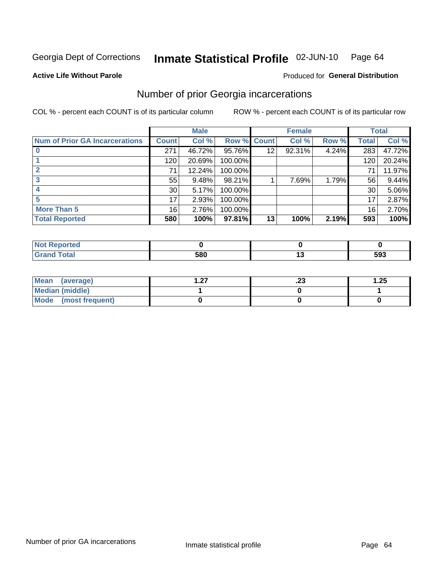#### Inmate Statistical Profile 02-JUN-10 Page 64

### **Active Life Without Parole**

## Produced for General Distribution

## Number of prior Georgia incarcerations

COL % - percent each COUNT is of its particular column

|                                       |                 | <b>Male</b> |         |              | <b>Female</b> |       |       | <b>Total</b> |
|---------------------------------------|-----------------|-------------|---------|--------------|---------------|-------|-------|--------------|
| <b>Num of Prior GA Incarcerations</b> | <b>Count</b>    | Col %       | Row %   | <b>Count</b> | Col %         | Row % | Total | Col %        |
|                                       | 271             | 46.72%      | 95.76%  | 12           | 92.31%        | 4.24% | 283   | 47.72%       |
|                                       | 120             | 20.69%      | 100.00% |              |               |       | 120   | 20.24%       |
|                                       | 71              | 12.24%      | 100.00% |              |               |       | 71    | 11.97%       |
|                                       | 55              | 9.48%       | 98.21%  |              | 7.69%         | 1.79% | 56    | 9.44%        |
|                                       | 30 <sup>°</sup> | 5.17%       | 100.00% |              |               |       | 30    | 5.06%        |
|                                       | 17              | 2.93%       | 100.00% |              |               |       | 17    | 2.87%        |
| <b>More Than 5</b>                    | 16 <sub>1</sub> | 2.76%       | 100.00% |              |               |       | 16    | 2.70%        |
| <b>Total Reported</b>                 | 580             | 100%        | 97.81%  | 13           | 100%          | 2.19% | 593   | 100%         |

| neo |     |     |
|-----|-----|-----|
|     | con | 593 |

| Mean (average)         | - 27 | ن ک | 1.25 |
|------------------------|------|-----|------|
| <b>Median (middle)</b> |      |     |      |
| Mode (most frequent)   |      |     |      |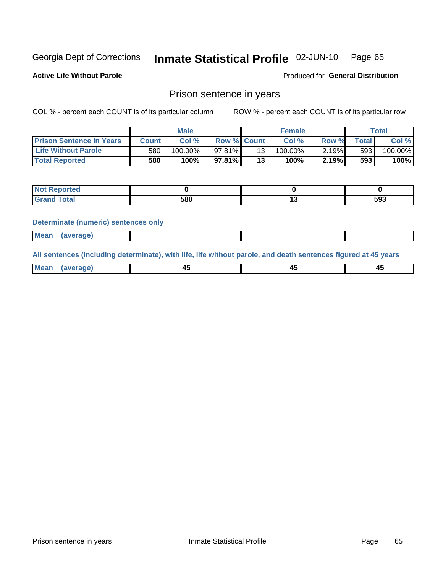#### Inmate Statistical Profile 02-JUN-10 Page 65

**Active Life Without Parole** 

**Produced for General Distribution** 

## Prison sentence in years

COL % - percent each COUNT is of its particular column

ROW % - percent each COUNT is of its particular row

|                                 |        | <b>Male</b> |                    |    | <b>Female</b> |       |       | $\tau$ otal |
|---------------------------------|--------|-------------|--------------------|----|---------------|-------|-------|-------------|
| <b>Prison Sentence In Years</b> | Countl | Col %       | <b>Row % Count</b> |    | Col%          | Row % | Total | Col %       |
| <b>Life Without Parole</b>      | 580    | $100.00\%$  | 97.81%             |    | $100.00\%$    | 2.19% | 593   | $100.00\%$  |
| <b>Total Reported</b>           | 580    | 100%        | $97.81\%$          | 13 | 100%          | 2.19% | 593   | 100%        |

| <b>Not Reported</b> |     |     |
|---------------------|-----|-----|
| <b>Total</b>        | 580 | 593 |

### **Determinate (numeric) sentences only**

| <b>Mean</b><br><i>(average)</i> |  |
|---------------------------------|--|
|---------------------------------|--|

All sentences (including determinate), with life, life without parole, and death sentences figured at 45 years

| l Mea<br>апе<br>. | -⊷ |  |
|-------------------|----|--|
|                   |    |  |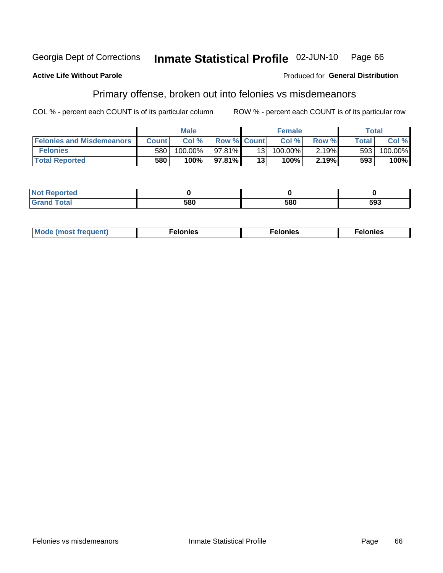#### Georgia Dept of Corrections Inmate Statistical Profile 02-JUN-10 Page 66

### **Active Life Without Parole**

### Produced for General Distribution

## Primary offense, broken out into felonies vs misdemeanors

COL % - percent each COUNT is of its particular column

|                                  | <b>Male</b>  |            |                    |     | <b>Female</b> | Total |              |            |
|----------------------------------|--------------|------------|--------------------|-----|---------------|-------|--------------|------------|
| <b>Felonies and Misdemeanors</b> | <b>Count</b> | Col%       | <b>Row % Count</b> |     | Col%          | Row % | <b>Total</b> | Col %      |
| <b>Felonies</b>                  | 580          | $100.00\%$ | 97.81%             | 131 | 100.00%       | 2.19% | 593          | $100.00\%$ |
| <b>Total Reported</b>            | 580          | $100\%$    | 97.81%             | 13  | 100%          | 2.19% | 593          | 100%       |

| <b>Not Reported</b>         |     |     |     |
|-----------------------------|-----|-----|-----|
| <b>Total</b><br>Gran<br>uuu | 580 | 580 | 593 |

| $Mc$<br>equent)<br>нез<br>$\sim$<br>. | onies<br>. | <b>onies</b><br>. |
|---------------------------------------|------------|-------------------|
|---------------------------------------|------------|-------------------|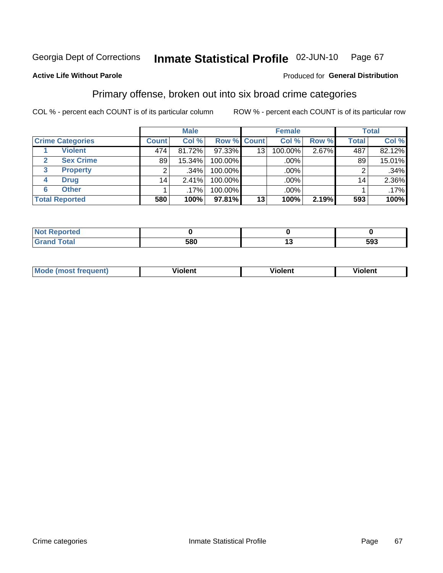#### Inmate Statistical Profile 02-JUN-10 Page 67

### **Active Life Without Parole**

### Produced for General Distribution

## Primary offense, broken out into six broad crime categories

COL % - percent each COUNT is of its particular column

|                         | <b>Male</b>  |        |             | <b>Female</b>   |         |       | <b>Total</b> |        |
|-------------------------|--------------|--------|-------------|-----------------|---------|-------|--------------|--------|
| <b>Crime Categories</b> | <b>Count</b> | Col %  | Row % Count |                 | Col %   | Row % | <b>Total</b> | Col %  |
| <b>Violent</b>          | 474          | 81.72% | 97.33%      | 13 <sub>1</sub> | 100.00% | 2.67% | 487          | 82.12% |
| <b>Sex Crime</b><br>2   | 89           | 15.34% | 100.00%     |                 | .00%    |       | 89           | 15.01% |
| <b>Property</b><br>3    | 2            | .34%   | 100.00%     |                 | .00%    |       |              | .34%   |
| <b>Drug</b><br>4        | 14           | 2.41%  | 100.00%     |                 | .00%    |       | 14           | 2.36%  |
| <b>Other</b><br>6       |              | .17%   | 100.00%     |                 | .00%    |       |              | .17%   |
| <b>Total Reported</b>   | 580          | 100%   | 97.81%      | 13              | 100%    | 2.19% | 593          | 100%   |

| <b>Not Reported</b> |     |     |
|---------------------|-----|-----|
| <b>Total</b>        | 580 | 593 |

| M | . | 40 O |
|---|---|------|
|   |   |      |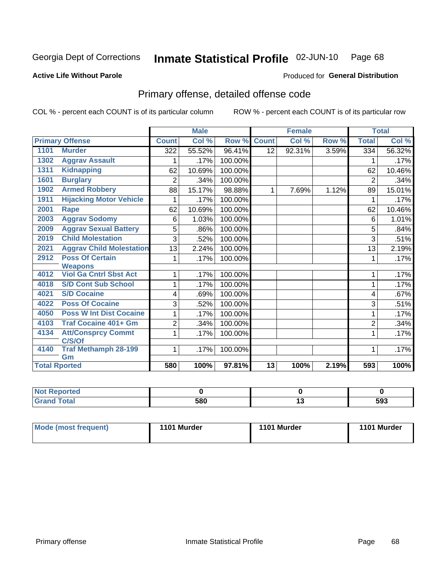#### Inmate Statistical Profile 02-JUN-10 Page 68

### **Active Life Without Parole**

## **Produced for General Distribution**

## Primary offense, detailed offense code

COL % - percent each COUNT is of its particular column

|      |                                     |                | <b>Male</b> |         |              | <b>Female</b> |       |                | <b>Total</b> |
|------|-------------------------------------|----------------|-------------|---------|--------------|---------------|-------|----------------|--------------|
|      | <b>Primary Offense</b>              | <b>Count</b>   | Col %       | Row %   | <b>Count</b> | Col %         | Row % | <b>Total</b>   | Col %        |
| 1101 | <b>Murder</b>                       | 322            | 55.52%      | 96.41%  | 12           | 92.31%        | 3.59% | 334            | 56.32%       |
| 1302 | <b>Aggrav Assault</b>               |                | .17%        | 100.00% |              |               |       | 1              | .17%         |
| 1311 | <b>Kidnapping</b>                   | 62             | 10.69%      | 100.00% |              |               |       | 62             | 10.46%       |
| 1601 | <b>Burglary</b>                     | $\overline{2}$ | .34%        | 100.00% |              |               |       | $\overline{2}$ | .34%         |
| 1902 | <b>Armed Robbery</b>                | 88             | 15.17%      | 98.88%  | 1            | 7.69%         | 1.12% | 89             | 15.01%       |
| 1911 | <b>Hijacking Motor Vehicle</b>      | 1              | .17%        | 100.00% |              |               |       | 1              | .17%         |
| 2001 | Rape                                | 62             | 10.69%      | 100.00% |              |               |       | 62             | 10.46%       |
| 2003 | <b>Aggrav Sodomy</b>                | 6              | 1.03%       | 100.00% |              |               |       | 6              | 1.01%        |
| 2009 | <b>Aggrav Sexual Battery</b>        | 5              | .86%        | 100.00% |              |               |       | 5              | .84%         |
| 2019 | <b>Child Molestation</b>            | 3              | .52%        | 100.00% |              |               |       | 3              | .51%         |
| 2021 | <b>Aggrav Child Molestation</b>     | 13             | 2.24%       | 100.00% |              |               |       | 13             | 2.19%        |
| 2912 | <b>Poss Of Certain</b>              | 1              | .17%        | 100.00% |              |               |       | 1              | .17%         |
|      | <b>Weapons</b>                      |                |             |         |              |               |       |                |              |
| 4012 | <b>Viol Ga Cntrl Sbst Act</b>       |                | .17%        | 100.00% |              |               |       | 1              | .17%         |
| 4018 | <b>S/D Cont Sub School</b>          | 1              | .17%        | 100.00% |              |               |       | 1              | .17%         |
| 4021 | <b>S/D Cocaine</b>                  | 4              | .69%        | 100.00% |              |               |       | 4              | .67%         |
| 4022 | <b>Poss Of Cocaine</b>              | 3              | .52%        | 100.00% |              |               |       | 3              | .51%         |
| 4050 | <b>Poss W Int Dist Cocaine</b>      | 1              | .17%        | 100.00% |              |               |       | 1              | .17%         |
| 4103 | <b>Traf Cocaine 401+ Gm</b>         | 2              | .34%        | 100.00% |              |               |       | $\overline{2}$ | .34%         |
| 4134 | <b>Att/Consprcy Commt</b><br>C/S/Of | 1              | .17%        | 100.00% |              |               |       | 1              | .17%         |
| 4140 | <b>Traf Methamph 28-199</b><br>Gm   | $\mathbf{1}$   | .17%        | 100.00% |              |               |       | 1              | .17%         |
|      | <b>Total Rported</b>                | 580            | 100%        | 97.81%  | 13           | 100%          | 2.19% | 593            | 100%         |

| <b>Reported</b><br>N |     |        |     |
|----------------------|-----|--------|-----|
| <b>Total</b>         | 580 | $\sim$ | 593 |

| Mode (most frequent) | 1101 Murder | 1101 Murder | 1101 Murder |
|----------------------|-------------|-------------|-------------|
|                      |             |             |             |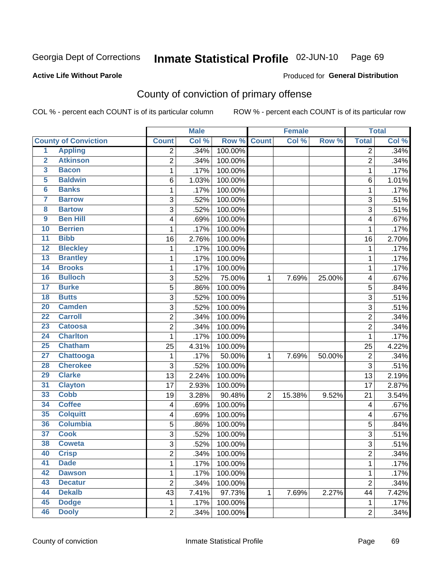#### Inmate Statistical Profile 02-JUN-10 Page 69

### **Active Life Without Parole**

### **Produced for General Distribution**

## County of conviction of primary offense

COL % - percent each COUNT is of its particular column

|                         |                             |                           | <b>Male</b> |         | <b>Female</b>  |        |        |                | <b>Total</b> |
|-------------------------|-----------------------------|---------------------------|-------------|---------|----------------|--------|--------|----------------|--------------|
|                         | <b>County of Conviction</b> | <b>Count</b>              | Col %       | Row %   | <b>Count</b>   | Col %  | Row %  | <b>Total</b>   | Col %        |
| 1                       | <b>Appling</b>              | 2                         | .34%        | 100.00% |                |        |        | 2              | .34%         |
| $\overline{2}$          | <b>Atkinson</b>             | $\overline{2}$            | .34%        | 100.00% |                |        |        | $\overline{2}$ | .34%         |
| $\overline{\mathbf{3}}$ | <b>Bacon</b>                | 1                         | .17%        | 100.00% |                |        |        | $\mathbf 1$    | .17%         |
| 5                       | <b>Baldwin</b>              | 6                         | 1.03%       | 100.00% |                |        |        | 6              | 1.01%        |
| $6\phantom{a}$          | <b>Banks</b>                | 1                         | .17%        | 100.00% |                |        |        | 1              | .17%         |
| 7                       | <b>Barrow</b>               | $\ensuremath{\mathsf{3}}$ | .52%        | 100.00% |                |        |        | 3              | .51%         |
| 8                       | <b>Bartow</b>               | 3                         | .52%        | 100.00% |                |        |        | 3              | .51%         |
| 9                       | <b>Ben Hill</b>             | 4                         | .69%        | 100.00% |                |        |        | 4              | .67%         |
| 10                      | <b>Berrien</b>              | 1                         | .17%        | 100.00% |                |        |        | 1              | .17%         |
| $\overline{11}$         | <b>Bibb</b>                 | 16                        | 2.76%       | 100.00% |                |        |        | 16             | 2.70%        |
| 12                      | <b>Bleckley</b>             | 1                         | .17%        | 100.00% |                |        |        | 1              | .17%         |
| 13                      | <b>Brantley</b>             | 1                         | .17%        | 100.00% |                |        |        | $\mathbf 1$    | .17%         |
| $\overline{14}$         | <b>Brooks</b>               | 1                         | .17%        | 100.00% |                |        |        | $\mathbf 1$    | .17%         |
| 16                      | <b>Bulloch</b>              | $\sqrt{3}$                | .52%        | 75.00%  | 1              | 7.69%  | 25.00% | 4              | .67%         |
| $\overline{17}$         | <b>Burke</b>                | 5                         | .86%        | 100.00% |                |        |        | 5              | .84%         |
| 18                      | <b>Butts</b>                | $\overline{3}$            | .52%        | 100.00% |                |        |        | $\sqrt{3}$     | .51%         |
| 20                      | <b>Camden</b>               | 3                         | .52%        | 100.00% |                |        |        | 3              | .51%         |
| $\overline{22}$         | <b>Carroll</b>              | $\overline{2}$            | .34%        | 100.00% |                |        |        | $\overline{c}$ | .34%         |
| $\overline{23}$         | <b>Catoosa</b>              | 2                         | .34%        | 100.00% |                |        |        | $\overline{c}$ | .34%         |
| 24                      | <b>Charlton</b>             | 1                         | .17%        | 100.00% |                |        |        | $\mathbf{1}$   | .17%         |
| $\overline{25}$         | <b>Chatham</b>              | 25                        | 4.31%       | 100.00% |                |        |        | 25             | 4.22%        |
| $\overline{27}$         | <b>Chattooga</b>            | $\mathbf{1}$              | .17%        | 50.00%  | 1              | 7.69%  | 50.00% | $\overline{2}$ | .34%         |
| 28                      | <b>Cherokee</b>             | 3                         | .52%        | 100.00% |                |        |        | 3              | .51%         |
| 29                      | <b>Clarke</b>               | 13                        | 2.24%       | 100.00% |                |        |        | 13             | 2.19%        |
| 31                      | <b>Clayton</b>              | 17                        | 2.93%       | 100.00% |                |        |        | 17             | 2.87%        |
| 33                      | <b>Cobb</b>                 | 19                        | 3.28%       | 90.48%  | $\overline{2}$ | 15.38% | 9.52%  | 21             | 3.54%        |
| 34                      | <b>Coffee</b>               | 4                         | .69%        | 100.00% |                |        |        | 4              | .67%         |
| 35                      | <b>Colquitt</b>             | 4                         | .69%        | 100.00% |                |        |        | 4              | .67%         |
| 36                      | <b>Columbia</b>             | 5                         | .86%        | 100.00% |                |        |        | 5              | .84%         |
| $\overline{37}$         | <b>Cook</b>                 | $\sqrt{3}$                | .52%        | 100.00% |                |        |        | 3              | .51%         |
| 38                      | <b>Coweta</b>               | 3                         | .52%        | 100.00% |                |        |        | 3              | .51%         |
| 40                      | <b>Crisp</b>                | $\overline{c}$            | .34%        | 100.00% |                |        |        | 2              | .34%         |
| 41                      | <b>Dade</b>                 | 1                         | .17%        | 100.00% |                |        |        | $\mathbf{1}$   | .17%         |
| 42                      | <b>Dawson</b>               | 1                         | .17%        | 100.00% |                |        |        | $\mathbf{1}$   | .17%         |
| 43                      | <b>Decatur</b>              | $\mathbf 2$               | .34%        | 100.00% |                |        |        | $\overline{2}$ | .34%         |
| 44                      | <b>Dekalb</b>               | 43                        | 7.41%       | 97.73%  | 1              | 7.69%  | 2.27%  | 44             | 7.42%        |
| 45                      | <b>Dodge</b>                | $\mathbf{1}$              | .17%        | 100.00% |                |        |        | $\mathbf{1}$   | .17%         |
| 46                      | <b>Dooly</b>                | $\overline{2}$            | .34%        | 100.00% |                |        |        | $\overline{2}$ | .34%         |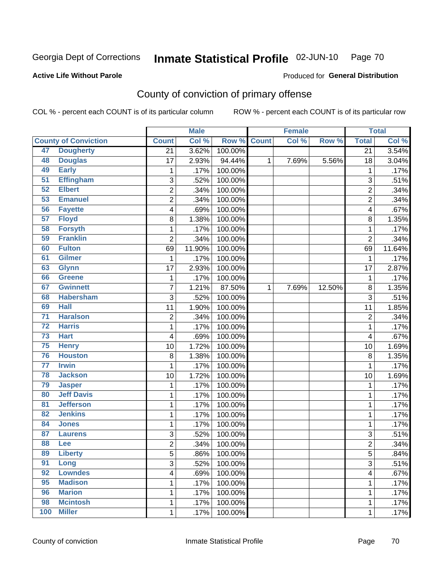#### Inmate Statistical Profile 02-JUN-10 Page 70

Produced for General Distribution

## **Active Life Without Parole**

## County of conviction of primary offense

COL % - percent each COUNT is of its particular column

|                 |                             |                         | <b>Male</b> |         |              | <b>Female</b> |        |                         | <b>Total</b> |
|-----------------|-----------------------------|-------------------------|-------------|---------|--------------|---------------|--------|-------------------------|--------------|
|                 | <b>County of Conviction</b> | <b>Count</b>            | Col %       | Row %   | <b>Count</b> | Col %         | Row %  | <b>Total</b>            | Col %        |
| 47              | <b>Dougherty</b>            | $\overline{21}$         | 3.62%       | 100.00% |              |               |        | $\overline{21}$         | 3.54%        |
| 48              | <b>Douglas</b>              | 17                      | 2.93%       | 94.44%  | 1            | 7.69%         | 5.56%  | 18                      | 3.04%        |
| 49              | <b>Early</b>                | $\mathbf 1$             | .17%        | 100.00% |              |               |        | 1                       | .17%         |
| $\overline{51}$ | <b>Effingham</b>            | $\mathbf{3}$            | .52%        | 100.00% |              |               |        | 3                       | .51%         |
| 52              | <b>Elbert</b>               | 2                       | .34%        | 100.00% |              |               |        | $\overline{c}$          | .34%         |
| 53              | <b>Emanuel</b>              | $\overline{2}$          | .34%        | 100.00% |              |               |        | $\overline{2}$          | .34%         |
| 56              | <b>Fayette</b>              | $\overline{\mathbf{4}}$ | .69%        | 100.00% |              |               |        | 4                       | .67%         |
| 57              | <b>Floyd</b>                | 8                       | 1.38%       | 100.00% |              |               |        | 8                       | 1.35%        |
| 58              | <b>Forsyth</b>              | 1                       | .17%        | 100.00% |              |               |        | $\mathbf 1$             | .17%         |
| 59              | <b>Franklin</b>             | $\overline{2}$          | .34%        | 100.00% |              |               |        | $\overline{2}$          | .34%         |
| 60              | <b>Fulton</b>               | 69                      | 11.90%      | 100.00% |              |               |        | 69                      | 11.64%       |
| 61              | <b>Gilmer</b>               | 1                       | .17%        | 100.00% |              |               |        | 1                       | .17%         |
| 63              | <b>Glynn</b>                | 17                      | 2.93%       | 100.00% |              |               |        | 17                      | 2.87%        |
| 66              | <b>Greene</b>               | 1                       | .17%        | 100.00% |              |               |        | $\mathbf{1}$            | .17%         |
| 67              | <b>Gwinnett</b>             | $\overline{7}$          | 1.21%       | 87.50%  | $\mathbf{1}$ | 7.69%         | 12.50% | 8                       | 1.35%        |
| 68              | <b>Habersham</b>            | $\overline{3}$          | .52%        | 100.00% |              |               |        | 3                       | .51%         |
| 69              | <b>Hall</b>                 | 11                      | 1.90%       | 100.00% |              |               |        | 11                      | 1.85%        |
| $\overline{71}$ | <b>Haralson</b>             | $\overline{2}$          | .34%        | 100.00% |              |               |        | $\overline{c}$          | .34%         |
| $\overline{72}$ | <b>Harris</b>               | 1                       | .17%        | 100.00% |              |               |        | $\mathbf{1}$            | .17%         |
| 73              | <b>Hart</b>                 | 4                       | .69%        | 100.00% |              |               |        | 4                       | .67%         |
| 75              | <b>Henry</b>                | 10                      | 1.72%       | 100.00% |              |               |        | 10                      | 1.69%        |
| 76              | <b>Houston</b>              | 8                       | 1.38%       | 100.00% |              |               |        | 8                       | 1.35%        |
| $\overline{77}$ | <b>Irwin</b>                | 1                       | .17%        | 100.00% |              |               |        | $\mathbf 1$             | .17%         |
| 78              | <b>Jackson</b>              | 10                      | 1.72%       | 100.00% |              |               |        | 10                      | 1.69%        |
| 79              | <b>Jasper</b>               | $\mathbf{1}$            | .17%        | 100.00% |              |               |        | $\mathbf 1$             | .17%         |
| 80              | <b>Jeff Davis</b>           | 1                       | .17%        | 100.00% |              |               |        | $\mathbf 1$             | .17%         |
| 81              | <b>Jefferson</b>            | 1                       | .17%        | 100.00% |              |               |        | $\mathbf 1$             | .17%         |
| 82              | <b>Jenkins</b>              | 1                       | .17%        | 100.00% |              |               |        | $\mathbf 1$             | .17%         |
| 84              | <b>Jones</b>                | 1                       | .17%        | 100.00% |              |               |        | $\mathbf{1}$            | .17%         |
| 87              | <b>Laurens</b>              | 3                       | .52%        | 100.00% |              |               |        | 3                       | .51%         |
| 88              | Lee                         | $\overline{2}$          | .34%        | 100.00% |              |               |        | $\overline{c}$          | .34%         |
| 89              | <b>Liberty</b>              | 5                       | .86%        | 100.00% |              |               |        | 5                       | .84%         |
| 91              | Long                        | 3                       | .52%        | 100.00% |              |               |        | $\overline{3}$          | .51%         |
| 92              | <b>Lowndes</b>              | $\overline{\mathbf{4}}$ | .69%        | 100.00% |              |               |        | $\overline{\mathbf{4}}$ | .67%         |
| 95              | <b>Madison</b>              | 1                       | .17%        | 100.00% |              |               |        | $\mathbf 1$             | .17%         |
| 96              | <b>Marion</b>               | 1                       | .17%        | 100.00% |              |               |        | 1                       | .17%         |
| 98              | <b>Mcintosh</b>             | 1                       | .17%        | 100.00% |              |               |        | $\mathbf{1}$            | .17%         |
| 100             | <b>Miller</b>               | $\mathbf 1$             | .17%        | 100.00% |              |               |        | $\mathbf{1}$            | .17%         |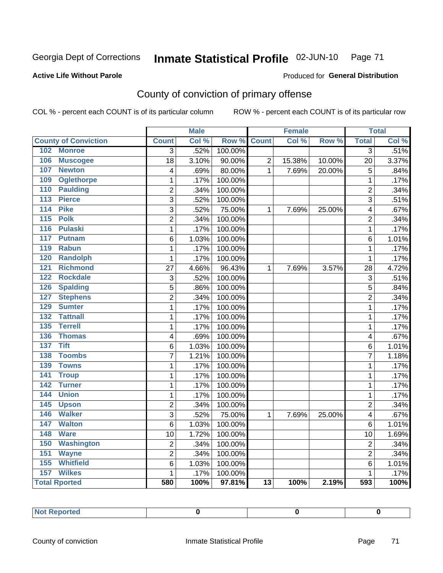#### Inmate Statistical Profile 02-JUN-10 Page 71

### **Active Life Without Parole**

### Produced for General Distribution

## County of conviction of primary offense

COL % - percent each COUNT is of its particular column

|                                     |                           | <b>Male</b> |                  |                 | <b>Female</b> |        |                | <b>Total</b> |
|-------------------------------------|---------------------------|-------------|------------------|-----------------|---------------|--------|----------------|--------------|
| <b>County of Conviction</b>         | <b>Count</b>              | Col %       | Row <sup>%</sup> | <b>Count</b>    | Col %         | Row %  | <b>Total</b>   | Col %        |
| 102<br><b>Monroe</b>                | $\overline{3}$            | .52%        | 100.00%          |                 |               |        | $\overline{3}$ | .51%         |
| 106<br><b>Muscogee</b>              | $\overline{18}$           | 3.10%       | 90.00%           | $\overline{2}$  | 15.38%        | 10.00% | 20             | 3.37%        |
| 107<br><b>Newton</b>                | 4                         | .69%        | 80.00%           | $\mathbf{1}$    | 7.69%         | 20.00% | 5              | .84%         |
| 109<br><b>Oglethorpe</b>            | 1                         | .17%        | 100.00%          |                 |               |        | $\mathbf 1$    | .17%         |
| <b>Paulding</b><br>110              | $\overline{2}$            | .34%        | 100.00%          |                 |               |        | $\overline{2}$ | .34%         |
| <b>Pierce</b><br>113                | $\overline{\overline{3}}$ | .52%        | 100.00%          |                 |               |        | $\overline{3}$ | .51%         |
| <b>Pike</b><br>114                  | $\overline{3}$            | .52%        | 75.00%           | 1               | 7.69%         | 25.00% | 4              | .67%         |
| 115<br><b>Polk</b>                  | $\overline{2}$            | .34%        | 100.00%          |                 |               |        | $\overline{2}$ | .34%         |
| <b>Pulaski</b><br>116               | $\mathbf{1}$              | .17%        | 100.00%          |                 |               |        | $\mathbf{1}$   | .17%         |
| 117<br><b>Putnam</b>                | 6                         | 1.03%       | 100.00%          |                 |               |        | 6              | 1.01%        |
| 119<br><b>Rabun</b>                 | 1                         | .17%        | 100.00%          |                 |               |        | $\mathbf{1}$   | .17%         |
| <b>Randolph</b><br>120              | $\mathbf{1}$              | .17%        | 100.00%          |                 |               |        | $\mathbf{1}$   | .17%         |
| <b>Richmond</b><br>121              | 27                        | 4.66%       | 96.43%           | 1               | 7.69%         | 3.57%  | 28             | 4.72%        |
| <b>Rockdale</b><br>122              | 3                         | .52%        | 100.00%          |                 |               |        | 3              | .51%         |
| <b>Spalding</b><br>126              | 5                         | .86%        | 100.00%          |                 |               |        | 5              | .84%         |
| <b>Stephens</b><br>127              | $\overline{2}$            | .34%        | 100.00%          |                 |               |        | $\overline{c}$ | .34%         |
| <b>Sumter</b><br>129                | 1                         | .17%        | 100.00%          |                 |               |        | $\mathbf{1}$   | .17%         |
| <b>Tattnall</b><br>$\overline{132}$ | 1                         | .17%        | 100.00%          |                 |               |        | $\mathbf{1}$   | .17%         |
| 135<br><b>Terrell</b>               | 1                         | .17%        | 100.00%          |                 |               |        | $\mathbf{1}$   | .17%         |
| <b>Thomas</b><br>136                | 4                         | .69%        | 100.00%          |                 |               |        | 4              | .67%         |
| <b>Tift</b><br>137                  | 6                         | 1.03%       | 100.00%          |                 |               |        | 6              | 1.01%        |
| <b>Toombs</b><br>138                | $\overline{7}$            | 1.21%       | 100.00%          |                 |               |        | $\overline{7}$ | 1.18%        |
| 139<br><b>Towns</b>                 | $\mathbf{1}$              | .17%        | 100.00%          |                 |               |        | $\mathbf 1$    | .17%         |
| 141<br><b>Troup</b>                 | $\mathbf 1$               | .17%        | 100.00%          |                 |               |        | $\mathbf{1}$   | .17%         |
| 142<br><b>Turner</b>                | $\mathbf{1}$              | .17%        | 100.00%          |                 |               |        | $\mathbf 1$    | .17%         |
| <b>Union</b><br>144                 | $\mathbf{1}$              | .17%        | 100.00%          |                 |               |        | $\mathbf 1$    | .17%         |
| 145<br><b>Upson</b>                 | $\overline{2}$            | .34%        | 100.00%          |                 |               |        | $\overline{2}$ | .34%         |
| 146<br><b>Walker</b>                | 3                         | .52%        | 75.00%           | 1               | 7.69%         | 25.00% | 4              | .67%         |
| 147<br><b>Walton</b>                | $\overline{6}$            | 1.03%       | 100.00%          |                 |               |        | 6              | 1.01%        |
| 148<br><b>Ware</b>                  | 10                        | 1.72%       | 100.00%          |                 |               |        | 10             | 1.69%        |
| 150<br><b>Washington</b>            | $\overline{c}$            | .34%        | 100.00%          |                 |               |        | $\overline{2}$ | .34%         |
| 151<br><b>Wayne</b>                 | $\overline{c}$            | .34%        | 100.00%          |                 |               |        | $\overline{2}$ | .34%         |
| <b>Whitfield</b><br>155             | 6                         | 1.03%       | 100.00%          |                 |               |        | 6              | 1.01%        |
| 157<br><b>Wilkes</b>                | 1                         | .17%        | 100.00%          |                 |               |        | $\mathbf 1$    | .17%         |
| <b>Total Rported</b>                | 580                       | 100%        | 97.81%           | $\overline{13}$ | 100%          | 2.19%  | 593            | 100%         |

| <b>Not Reported</b> |  |  |  |
|---------------------|--|--|--|
|---------------------|--|--|--|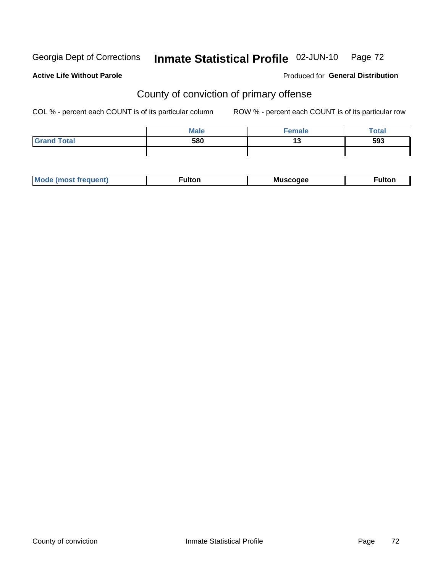# Inmate Statistical Profile 02-JUN-10 Page 72

### **Active Life Without Parole**

### **Produced for General Distribution**

## County of conviction of primary offense

COL % - percent each COUNT is of its particular column

|                    | <b>Male</b> | <b>Eemale</b> | <b>Total</b> |
|--------------------|-------------|---------------|--------------|
| <b>Grand Total</b> | 580         | 40<br>        | 593          |
|                    |             |               |              |

| <b>Mode</b><br><b>ultor</b><br>nuent.<br>Muscogee<br>.<br>−unon.<br>ns |
|------------------------------------------------------------------------|
|------------------------------------------------------------------------|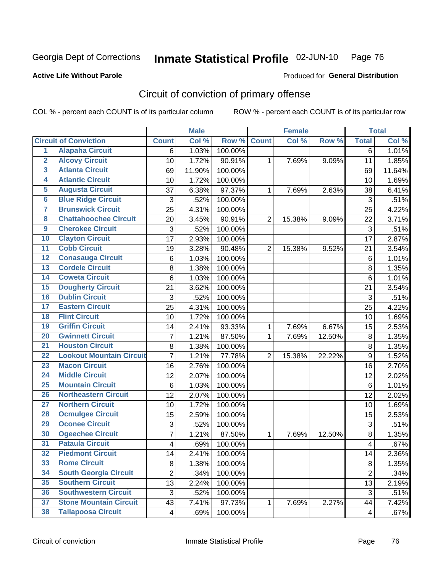Georgia Dept of Corrections

### Inmate Statistical Profile 02-JUN-10 Page 76

**Active Life Without Parole** 

Produced for General Distribution

# Circuit of conviction of primary offense

COL % - percent each COUNT is of its particular column

|                         |                                 |                | <b>Male</b> |         |                | <b>Female</b> |        |                         | <b>Total</b> |
|-------------------------|---------------------------------|----------------|-------------|---------|----------------|---------------|--------|-------------------------|--------------|
|                         | <b>Circuit of Conviction</b>    | <b>Count</b>   | Col %       | Row %   | <b>Count</b>   | Col %         | Row %  | <b>Total</b>            | Col %        |
| 1                       | <b>Alapaha Circuit</b>          | 6              | 1.03%       | 100.00% |                |               |        | $\overline{6}$          | 1.01%        |
| $\overline{2}$          | <b>Alcovy Circuit</b>           | 10             | 1.72%       | 90.91%  | 1              | 7.69%         | 9.09%  | 11                      | 1.85%        |
| $\overline{\mathbf{3}}$ | <b>Atlanta Circuit</b>          | 69             | 11.90%      | 100.00% |                |               |        | 69                      | 11.64%       |
| 4                       | <b>Atlantic Circuit</b>         | 10             | 1.72%       | 100.00% |                |               |        | 10                      | 1.69%        |
| 5                       | <b>Augusta Circuit</b>          | 37             | 6.38%       | 97.37%  | $\mathbf{1}$   | 7.69%         | 2.63%  | 38                      | 6.41%        |
| $\overline{6}$          | <b>Blue Ridge Circuit</b>       | 3              | .52%        | 100.00% |                |               |        | 3                       | .51%         |
| $\overline{\mathbf{7}}$ | <b>Brunswick Circuit</b>        | 25             | 4.31%       | 100.00% |                |               |        | 25                      | 4.22%        |
| 8                       | <b>Chattahoochee Circuit</b>    | 20             | 3.45%       | 90.91%  | $\overline{2}$ | 15.38%        | 9.09%  | 22                      | 3.71%        |
| $\overline{9}$          | <b>Cherokee Circuit</b>         | 3              | .52%        | 100.00% |                |               |        | 3                       | .51%         |
| 10                      | <b>Clayton Circuit</b>          | 17             | 2.93%       | 100.00% |                |               |        | 17                      | 2.87%        |
| $\overline{11}$         | <b>Cobb Circuit</b>             | 19             | 3.28%       | 90.48%  | $\overline{2}$ | 15.38%        | 9.52%  | 21                      | 3.54%        |
| $\overline{12}$         | <b>Conasauga Circuit</b>        | 6              | 1.03%       | 100.00% |                |               |        | $\,6$                   | 1.01%        |
| 13                      | <b>Cordele Circuit</b>          | 8              | 1.38%       | 100.00% |                |               |        | 8                       | 1.35%        |
| 14                      | <b>Coweta Circuit</b>           | $\,6$          | 1.03%       | 100.00% |                |               |        | $\,6$                   | 1.01%        |
| 15                      | <b>Dougherty Circuit</b>        | 21             | 3.62%       | 100.00% |                |               |        | 21                      | 3.54%        |
| 16                      | <b>Dublin Circuit</b>           | 3              | .52%        | 100.00% |                |               |        | 3                       | .51%         |
| 17                      | <b>Eastern Circuit</b>          | 25             | 4.31%       | 100.00% |                |               |        | 25                      | 4.22%        |
| 18                      | <b>Flint Circuit</b>            | 10             | 1.72%       | 100.00% |                |               |        | 10                      | 1.69%        |
| 19                      | <b>Griffin Circuit</b>          | 14             | 2.41%       | 93.33%  | 1              | 7.69%         | 6.67%  | 15                      | 2.53%        |
| 20                      | <b>Gwinnett Circuit</b>         | $\overline{7}$ | 1.21%       | 87.50%  | 1              | 7.69%         | 12.50% | $\bf 8$                 | 1.35%        |
| $\overline{21}$         | <b>Houston Circuit</b>          | 8              | 1.38%       | 100.00% |                |               |        | 8                       | 1.35%        |
| $\overline{22}$         | <b>Lookout Mountain Circuit</b> | $\overline{7}$ | 1.21%       | 77.78%  | $\overline{2}$ | 15.38%        | 22.22% | $\boldsymbol{9}$        | 1.52%        |
| 23                      | <b>Macon Circuit</b>            | 16             | 2.76%       | 100.00% |                |               |        | 16                      | 2.70%        |
| $\overline{24}$         | <b>Middle Circuit</b>           | 12             | 2.07%       | 100.00% |                |               |        | 12                      | 2.02%        |
| 25                      | <b>Mountain Circuit</b>         | 6              | 1.03%       | 100.00% |                |               |        | 6                       | 1.01%        |
| 26                      | <b>Northeastern Circuit</b>     | 12             | 2.07%       | 100.00% |                |               |        | 12                      | 2.02%        |
| $\overline{27}$         | <b>Northern Circuit</b>         | 10             | 1.72%       | 100.00% |                |               |        | 10                      | 1.69%        |
| 28                      | <b>Ocmulgee Circuit</b>         | 15             | 2.59%       | 100.00% |                |               |        | 15                      | 2.53%        |
| 29                      | <b>Oconee Circuit</b>           | 3              | .52%        | 100.00% |                |               |        | 3                       | .51%         |
| 30                      | <b>Ogeechee Circuit</b>         | $\overline{7}$ | 1.21%       | 87.50%  | 1              | 7.69%         | 12.50% | 8                       | 1.35%        |
| $\overline{31}$         | <b>Pataula Circuit</b>          | 4              | .69%        | 100.00% |                |               |        | $\overline{\mathbf{4}}$ | .67%         |
| 32                      | <b>Piedmont Circuit</b>         | 14             | 2.41%       | 100.00% |                |               |        | 14                      | 2.36%        |
| 33                      | <b>Rome Circuit</b>             | 8              | 1.38%       | 100.00% |                |               |        | 8                       | 1.35%        |
| 34                      | <b>South Georgia Circuit</b>    | $\overline{2}$ | .34%        | 100.00% |                |               |        | $\overline{2}$          | .34%         |
| 35                      | <b>Southern Circuit</b>         | 13             | 2.24%       | 100.00% |                |               |        | 13                      | 2.19%        |
| 36                      | <b>Southwestern Circuit</b>     | 3              | .52%        | 100.00% |                |               |        | 3                       | .51%         |
| 37                      | <b>Stone Mountain Circuit</b>   | 43             | 7.41%       | 97.73%  | 1              | 7.69%         | 2.27%  | 44                      | 7.42%        |
| 38                      | <b>Tallapoosa Circuit</b>       | $\overline{4}$ | .69%        | 100.00% |                |               |        | $\overline{\mathbf{4}}$ | $.67\%$      |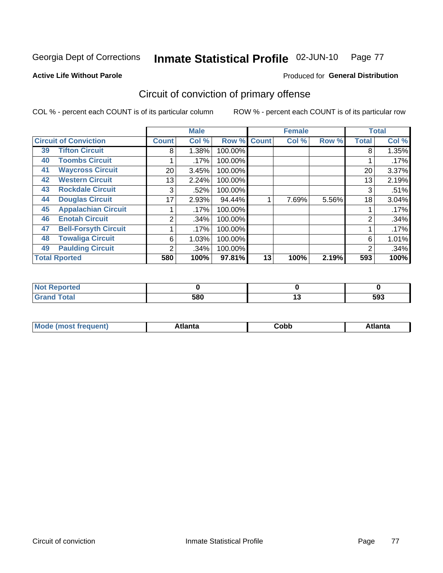Georgia Dept of Corrections

### Inmate Statistical Profile 02-JUN-10 Page 77

**Active Life Without Parole** 

Produced for General Distribution

# Circuit of conviction of primary offense

COL % - percent each COUNT is of its particular column

|                      |                              |                 | <b>Male</b> |         |              | <b>Female</b> |       |              | <b>Total</b> |
|----------------------|------------------------------|-----------------|-------------|---------|--------------|---------------|-------|--------------|--------------|
|                      | <b>Circuit of Conviction</b> | <b>Count</b>    | Col %       | Row %   | <b>Count</b> | Col %         | Row % | <b>Total</b> | Col %        |
| 39                   | <b>Tifton Circuit</b>        | 8               | 1.38%       | 100.00% |              |               |       | 8            | 1.35%        |
| 40                   | <b>Toombs Circuit</b>        |                 | .17%        | 100.00% |              |               |       |              | .17%         |
| 41                   | <b>Waycross Circuit</b>      | 20 <sub>1</sub> | 3.45%       | 100.00% |              |               |       | 20           | 3.37%        |
| 42                   | <b>Western Circuit</b>       | 13              | 2.24%       | 100.00% |              |               |       | 13           | 2.19%        |
| 43                   | <b>Rockdale Circuit</b>      | 3               | .52%        | 100.00% |              |               |       | 3            | .51%         |
| 44                   | <b>Douglas Circuit</b>       | 17              | 2.93%       | 94.44%  |              | 7.69%         | 5.56% | 18           | 3.04%        |
| 45                   | <b>Appalachian Circuit</b>   |                 | .17%        | 100.00% |              |               |       |              | .17%         |
| 46                   | <b>Enotah Circuit</b>        | 2               | .34%        | 100.00% |              |               |       | 2            | .34%         |
| 47                   | <b>Bell-Forsyth Circuit</b>  |                 | .17%        | 100.00% |              |               |       |              | .17%         |
| 48                   | <b>Towaliga Circuit</b>      | 6               | 1.03%       | 100.00% |              |               |       | 6            | 1.01%        |
| 49                   | <b>Paulding Circuit</b>      | $\overline{2}$  | .34%        | 100.00% |              |               |       | 2            | .34%         |
| <b>Total Rported</b> |                              | 580             | 100%        | 97.81%  | 13           | 100%          | 2.19% | 593          | 100%         |

| - 44 - 5<br>eportea   |     |            |
|-----------------------|-----|------------|
| <b>otal</b><br>$\sim$ | 580 | EN0<br>უყა |

| M | . | -----<br>oг | ----<br>пLс |
|---|---|-------------|-------------|
|   |   | <b>OUNN</b> |             |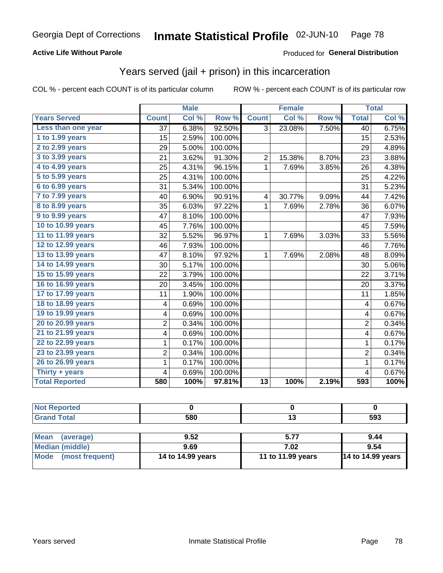### **Active Life Without Parole**

## Produced for General Distribution

## Years served (jail + prison) in this incarceration

COL % - percent each COUNT is of its particular column

|                       |                | <b>Male</b> |         |                         | <b>Female</b>             |       |                         | <b>Total</b> |
|-----------------------|----------------|-------------|---------|-------------------------|---------------------------|-------|-------------------------|--------------|
| <b>Years Served</b>   | <b>Count</b>   | Col %       | Row %   | <b>Count</b>            | $\overline{\text{Col 9}}$ | Row % | <b>Total</b>            | Col %        |
| Less than one year    | 37             | 6.38%       | 92.50%  | 3                       | 23.08%                    | 7.50% | 40                      | 6.75%        |
| 1 to 1.99 years       | 15             | 2.59%       | 100.00% |                         |                           |       | 15                      | 2.53%        |
| 2 to 2.99 years       | 29             | 5.00%       | 100.00% |                         |                           |       | 29                      | 4.89%        |
| 3 to 3.99 years       | 21             | 3.62%       | 91.30%  | $\overline{2}$          | 15.38%                    | 8.70% | 23                      | 3.88%        |
| 4 to 4.99 years       | 25             | 4.31%       | 96.15%  | $\mathbf{1}$            | 7.69%                     | 3.85% | 26                      | 4.38%        |
| 5 to 5.99 years       | 25             | 4.31%       | 100.00% |                         |                           |       | 25                      | 4.22%        |
| 6 to 6.99 years       | 31             | 5.34%       | 100.00% |                         |                           |       | 31                      | 5.23%        |
| 7 to 7.99 years       | 40             | 6.90%       | 90.91%  | $\overline{\mathbf{4}}$ | 30.77%                    | 9.09% | 44                      | 7.42%        |
| 8 to 8.99 years       | 35             | 6.03%       | 97.22%  | $\mathbf 1$             | 7.69%                     | 2.78% | 36                      | 6.07%        |
| 9 to 9.99 years       | 47             | 8.10%       | 100.00% |                         |                           |       | 47                      | 7.93%        |
| 10 to 10.99 years     | 45             | 7.76%       | 100.00% |                         |                           |       | 45                      | 7.59%        |
| 11 to 11.99 years     | 32             | 5.52%       | 96.97%  | $\mathbf{1}$            | 7.69%                     | 3.03% | 33                      | 5.56%        |
| 12 to 12.99 years     | 46             | 7.93%       | 100.00% |                         |                           |       | 46                      | 7.76%        |
| 13 to 13.99 years     | 47             | 8.10%       | 97.92%  | $\mathbf{1}$            | 7.69%                     | 2.08% | 48                      | 8.09%        |
| 14 to 14.99 years     | 30             | 5.17%       | 100.00% |                         |                           |       | 30                      | 5.06%        |
| 15 to 15.99 years     | 22             | 3.79%       | 100.00% |                         |                           |       | 22                      | 3.71%        |
| 16 to 16.99 years     | 20             | 3.45%       | 100.00% |                         |                           |       | 20                      | 3.37%        |
| 17 to 17.99 years     | 11             | 1.90%       | 100.00% |                         |                           |       | 11                      | 1.85%        |
| 18 to 18.99 years     | 4              | 0.69%       | 100.00% |                         |                           |       | $\overline{\mathbf{4}}$ | 0.67%        |
| 19 to 19.99 years     | 4              | 0.69%       | 100.00% |                         |                           |       | 4                       | 0.67%        |
| 20 to 20.99 years     | $\overline{c}$ | 0.34%       | 100.00% |                         |                           |       | $\overline{2}$          | 0.34%        |
| 21 to 21.99 years     | 4              | 0.69%       | 100.00% |                         |                           |       | 4                       | 0.67%        |
| 22 to 22.99 years     | 1              | 0.17%       | 100.00% |                         |                           |       | $\mathbf{1}$            | 0.17%        |
| 23 to 23.99 years     | $\overline{2}$ | 0.34%       | 100.00% |                         |                           |       | $\overline{2}$          | 0.34%        |
| 26 to 26.99 years     | 1              | 0.17%       | 100.00% |                         |                           |       | $\mathbf{1}$            | 0.17%        |
| Thirty + years        | 4              | 0.69%       | 100.00% |                         |                           |       | $\overline{4}$          | 0.67%        |
| <b>Total Reported</b> | 580            | 100%        | 97.81%  | 13                      | 100%                      | 2.19% | 593                     | 100%         |

| <b>Not Reported</b>            |                   |                   |                          |
|--------------------------------|-------------------|-------------------|--------------------------|
| <b>Grand Total</b>             | 580               |                   | 593                      |
|                                |                   |                   |                          |
| <b>Mean</b><br>(average)       | 9.52              | 5.77              | 9.44                     |
| <b>Median (middle)</b>         | 9.69              | 7.02              | 9.54                     |
| <b>Mode</b><br>(most frequent) | 14 to 14.99 years | 11 to 11.99 years | <b>14 to 14.99 years</b> |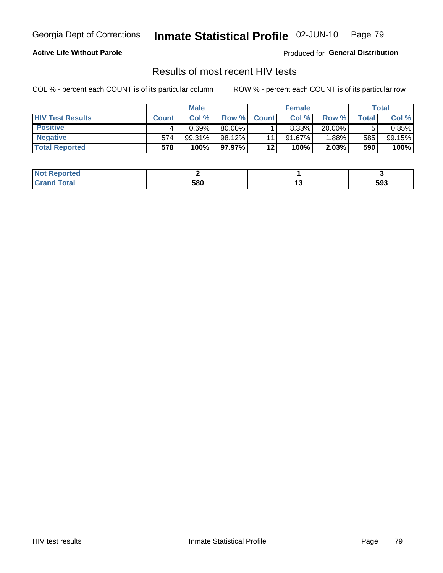Georgia Dept of Corrections

#### Inmate Statistical Profile 02-JUN-10 Page 79

### **Active Life Without Parole**

Produced for General Distribution

## Results of most recent HIV tests

COL % - percent each COUNT is of its particular column

|                         |              | <b>Male</b> |        |              | <b>Female</b> |          |         | Total  |
|-------------------------|--------------|-------------|--------|--------------|---------------|----------|---------|--------|
| <b>HIV Test Results</b> | <b>Count</b> | Col%        | Row %I | <b>Count</b> | Col %         | Row %    | ⊤otal ⊦ | Col %  |
| <b>Positive</b>         |              | 0.69%       | 80.00% |              | 8.33%         | 20.00%   |         | 0.85%  |
| <b>Negative</b>         | 574          | $99.31\%$   | 98.12% | 11           | $91.67\%$     | $1.88\%$ | 585     | 99.15% |
| <b>Total Reported</b>   | 578          | 100%        | 97.97% | $12 \,$      | 100%          | 2.03%    | 590     | 100%   |

| <b>Not Reported</b> |     |     |
|---------------------|-----|-----|
| Total               | 580 | 593 |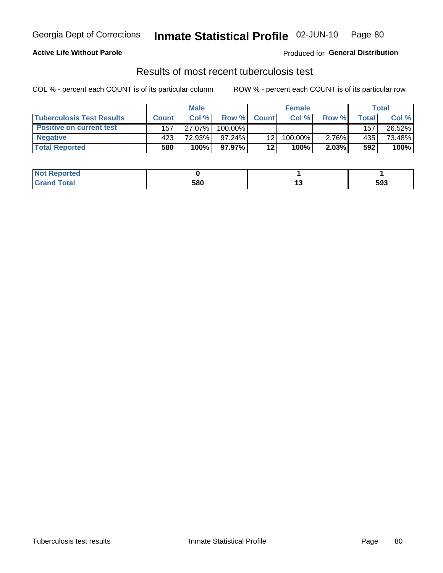### **Active Life Without Parole**

**Produced for General Distribution** 

## Results of most recent tuberculosis test

COL % - percent each COUNT is of its particular column

|                                  |              | <b>Male</b> |            |              | <b>Female</b> |          |       | Total  |
|----------------------------------|--------------|-------------|------------|--------------|---------------|----------|-------|--------|
| <b>Tuberculosis Test Results</b> | <b>Count</b> | Col%        | Row %I     | <b>Count</b> | Col%          | Row %    | Total | Col %  |
| <b>Positive on current test</b>  | 157          | 27.07%      | $100.00\%$ |              |               |          | 157   | 26.52% |
| <b>Negative</b>                  | 423          | 72.93%」     | $97.24\%$  | 12           | 100.00%       | 2.76%    | 435   | 73.48% |
| <b>Total Reported</b>            | 580          | 100%        | $97.97\%$  | 12           | <b>100%</b>   | $2.03\%$ | 592   | 100%   |

| <b>Not Reported</b> |     |     |
|---------------------|-----|-----|
| nd Total            | 580 | 593 |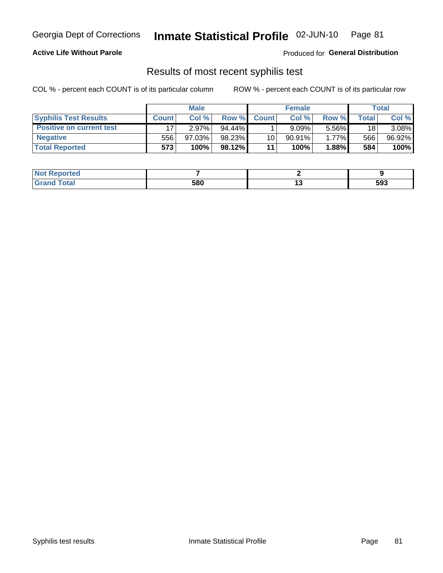### **Active Life Without Parole**

Produced for General Distribution

## Results of most recent syphilis test

COL % - percent each COUNT is of its particular column

|                                 |              | <b>Male</b> |           |                 | <b>Female</b> |        |       | Total  |
|---------------------------------|--------------|-------------|-----------|-----------------|---------------|--------|-------|--------|
| <b>Syphilis Test Results</b>    | <b>Count</b> | Col%        | Row %I    | <b>Count</b>    | Col%          | Row %  | Total | Col %  |
| <b>Positive on current test</b> |              | $2.97\%$    | $94.44\%$ |                 | $9.09\%$      | 5.56%  | 18    | 3.08%  |
| <b>Negative</b>                 | 556          | 97.03%      | 98.23%    | 10 <sup>1</sup> | $90.91\%$     | 1.77%  | 566   | 96.92% |
| <b>Total Reported</b>           | 573          | 100%        | $98.12\%$ | 11              | <b>100%</b>   | 1.88%l | 584   | 100%   |

| <b>Not Reported</b> |     |     |
|---------------------|-----|-----|
| <b>Grand Total</b>  | 580 | 593 |